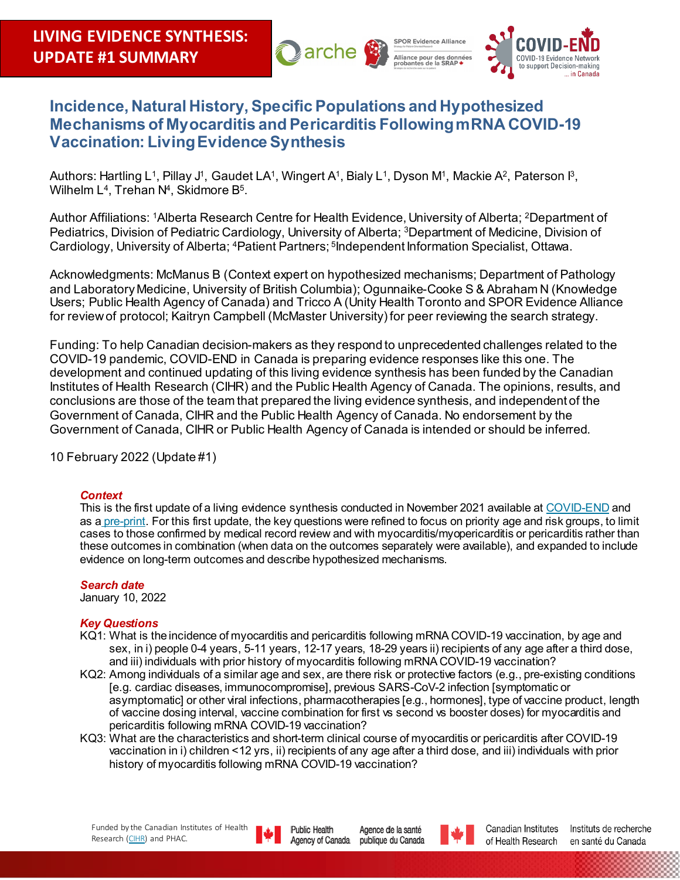

OR Evidence Alliance

### **Incidence, Natural History, Specific Populations and Hypothesized Mechanisms of Myocarditis and Pericarditis Following mRNA COVID-19 Vaccination: Living Evidence Synthesis**

**Darche** 

Authors: Hartling L<sup>1</sup>, Pillay J<sup>1</sup>, Gaudet LA<sup>1</sup>, Wingert A<sup>1</sup>, Bialy L<sup>1</sup>, Dyson M<sup>1</sup>, Mackie A<sup>2</sup>, Paterson <sup>13</sup>, Wilhelm  $L^4$ , Trehan  $N^4$ , Skidmore  $B^5$ .

Author Affiliations: 1Alberta Research Centre for Health Evidence, University of Alberta; 2Department of Pediatrics, Division of Pediatric Cardiology, University of Alberta; <sup>3</sup>Department of Medicine, Division of Cardiology, University of Alberta; 4Patient Partners; 5Independent Information Specialist, Ottawa.

Acknowledgments: McManus B (Context expert on hypothesized mechanisms; Department of Pathology and Laboratory Medicine, University of British Columbia); Ogunnaike-Cooke S & Abraham N (Knowledge Users; Public Health Agency of Canada) and Tricco A (Unity Health Toronto and SPOR Evidence Alliance for review of protocol; Kaitryn Campbell (McMaster University) for peer reviewing the search strategy.

Funding: To help Canadian decision-makers as they respond to unprecedented challenges related to the COVID-19 pandemic, COVID-END in Canada is preparing evidence responses like this one. The development and continued updating of this living evidence synthesis has been funded by the Canadian Institutes of Health Research (CIHR) and the Public Health Agency of Canada. The opinions, results, and conclusions are those of the team that prepared the living evidence synthesis, and independent of the Government of Canada, CIHR and the Public Health Agency of Canada. No endorsement by the Government of Canada, CIHR or Public Health Agency of Canada is intended or should be inferred.

10 February 2022 (Update #1)

### *Context*

This is the first update of a living evidence synthesis conducted in November 2021 available a[t COVID-END](https://sporevidencealliance.ca/wp-content/uploads/2021/11/SPOREA-COVIDEND_Myo-and-Pericarditis-after-Covid-19-Vaccines-Final-11132021.pdf) and as a [pre-print.](https://www.medrxiv.org/content/10.1101/2021.11.19.21266605v1) For this first update, the key questions were refined to focus on priority age and risk groups, to limit cases to those confirmed by medical record review and with myocarditis/myopericarditis or pericarditis rather than these outcomes in combination (when data on the outcomes separately were available), and expanded to include evidence on long-term outcomes and describe hypothesized mechanisms.

### *Search date*

January 10, 2022

### *Key Questions*

- KQ1: What is the incidence of myocarditis and pericarditis following mRNA COVID-19 vaccination, by age and sex, in i) people 0-4 years, 5-11 years, 12-17 years, 18-29 years ii) recipients of any age after a third dose, and iii) individuals with prior history of myocarditis following mRNA COVID-19 vaccination?
- KQ2: Among individuals of a similar age and sex, are there risk or protective factors (e.g., pre-existing conditions [e.g. cardiac diseases, immunocompromise], previous SARS-CoV-2 infection [symptomatic or asymptomatic] or other viral infections, pharmacotherapies [e.g., hormones], type of vaccine product, length of vaccine dosing interval, vaccine combination for first vs second vs booster doses) for myocarditis and pericarditis following mRNA COVID-19 vaccination?
- KQ3: What are the characteristics and short-term clinical course of myocarditis or pericarditis after COVID-19 vaccination in i) children <12 yrs, ii) recipients of any age after a third dose, and iii) individuals with prior history of myocarditis following mRNA COVID-19 vaccination?



Agence de la santé publique du Canada Agency of Canada





Instituts de recherche en santé du Canada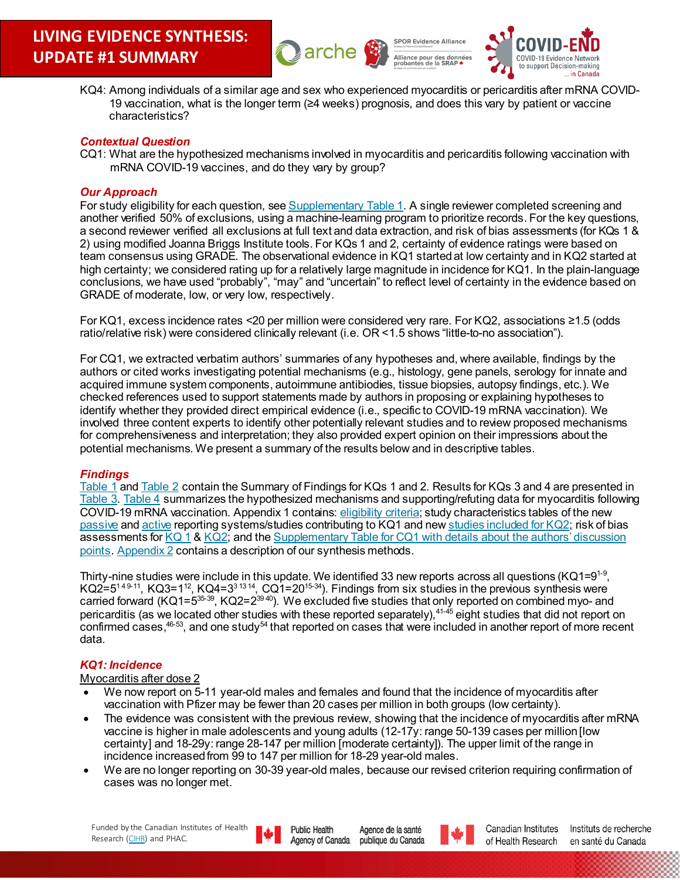

KQ4: Among individuals of a similar age and sex who experienced myocarditis or pericarditis after mRNA COVID-19 vaccination, what is the longer term (≥4 weeks) prognosis, and does this vary by patient or vaccine characteristics?

**Darche** 

**SPOR Evidence Alliance** 

Alliance pour des données

### *Contextual Question*

CQ1: What are the hypothesized mechanisms involved in myocarditis and pericarditis following vaccination with mRNA COVID-19 vaccines, and do they vary by group?

#### *Our Approach*

For study eligibility for each question, se[e Supplementary Table 1.](#page-23-0) A single reviewer completed screening and another verified 50% of exclusions, using a machine-learning program to prioritize records. For the key questions, a second reviewer verified all exclusions at full text and data extraction, and risk of bias assessments (for KQs 1 & 2) using modified Joanna Briggs Institute tools. For KQs 1 and 2, certainty of evidence ratings were based on team consensus using GRADE. The observational evidence in KQ1 started at low certainty and in KQ2 started at high certainty; we considered rating up for a relatively large magnitude in incidence for KQ1. In the plain-language conclusions, we have used "probably", "may" and "uncertain" to reflect level of certainty in the evidence based on GRADE of moderate, low, or very low, respectively.

For KQ1, excess incidence rates <20 per million were considered very rare. For KQ2, associations ≥1.5 (odds ratio/relative risk) were considered clinically relevant (i.e. OR <1.5 shows "little-to-no association").

For CQ1, we extracted verbatim authors' summaries of any hypotheses and, where available, findings by the authors or cited works investigating potential mechanisms (e.g., histology, gene panels, serology for innate and acquired immune system components, autoimmune antibiodies, tissue biopsies, autopsy findings, etc.). We checked references used to support statements made by authors in proposing or explaining hypotheses to identify whether they provided direct empirical evidence (i.e., specific to COVID-19 mRNA vaccination). We involved three content experts to identify other potentially relevant studies and to review proposed mechanisms for comprehensiveness and interpretation; they also provided expert opinion on their impressions about the potential mechanisms. We present a summary of the results below and in descriptive tables.

#### *Findings*

[Table 1](#page-9-0) and [Table 2](#page-12-0) contain the Summary of Findings for KQs 1 and 2. Results for KQs 3 and 4 are presented in [Table 3.](#page-17-0) [Table 4](#page-20-0) summarizes the hypothesized mechanisms and supporting/refuting data for myocarditis following COVID-19 mRNA vaccination. Appendix 1 contains: [eligibility criteria](#page-23-0); study characteristics tables of the new [passive](#page-28-0) and [active](#page-25-0) reporting systems/studies contributing to KQ1 and ne[w studies included for KQ2;](#page-31-0) risk of bias assessments fo[r KQ 1](#page-40-0) [& KQ2;](#page-41-0) and th[e Supplementary Table for CQ1](#page-42-0) with details about the authors' discussion points[. Appendix 2](#page-57-0) contains a description of our synthesis methods.

Thirty-nine studies were include in this update. We identified 33 new reports across all questions (KQ1=9 $^{\rm 1-9}$ , KQ2= $5^{149.11}$ , KQ3= $1^{12}$ , KQ4= $3^{313.14}$ , CQ1= $20^{15.34}$ ). Findings from six studies in the previous synthesis were carried forward (KQ1= $5^{35-39}$ , KQ2= $2^{39-40}$ ). We excluded five studies that only reported on combined myo- and pericarditis (as we located other studies with these reported separately),  $4^{1.45}$  eight studies that did not report on confirmed cases,46-53, and one study54 that reported on cases that were included in another report of more recent data.

#### *KQ1: Incidence*

Myocarditis after dose 2

- We now report on 5-11 year-old males and females and found that the incidence of myocarditis after vaccination with Pfizer may be fewer than 20 cases per million in both groups (low certainty).
- The evidence was consistent with the previous review, showing that the incidence of myocarditis after mRNA vaccine is higher in male adolescents and young adults (12-17y: range 50-139 cases per million[low certainty] and 18-29y: range 28-147 per million [moderate certainty]). The upper limit of the range in incidence increased from 99 to 147 per million for 18-29 year-old males.
- We are no longer reporting on 30-39 year-old males, because our revised criterion requiring confirmation of cases was no longer met.





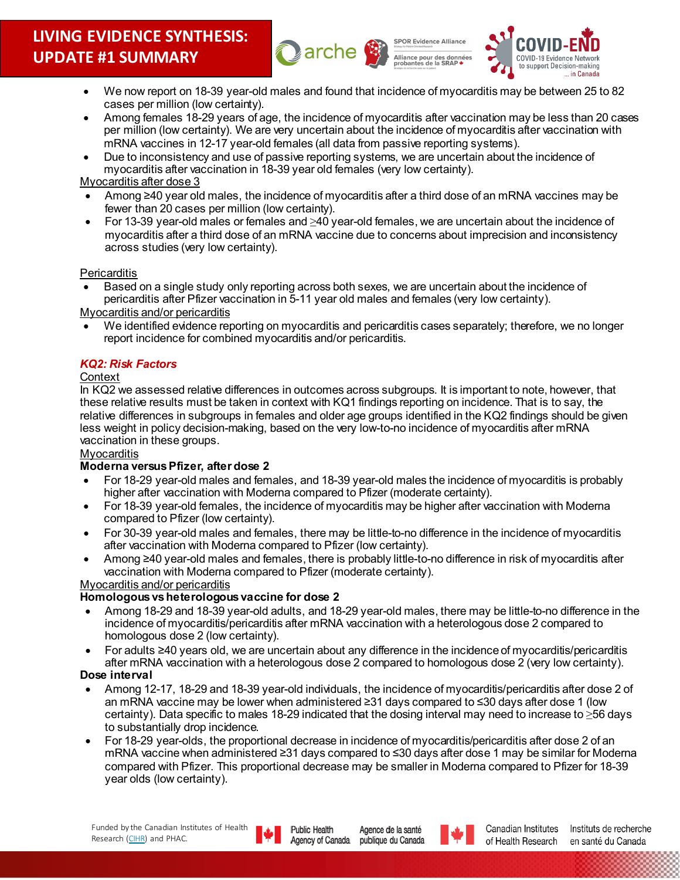



- We now report on 18-39 year-old males and found that incidence of myocarditis may be between 25 to 82 cases per million (low certainty).
- Among females 18-29 years of age, the incidence of myocarditis after vaccination may be less than 20 cases per million (low certainty). We are very uncertain about the incidence of myocarditis after vaccination with mRNA vaccines in 12-17 year-old females (all data from passive reporting systems).
- Due to inconsistency and use of passive reporting systems, we are uncertain about the incidence of myocarditis after vaccination in 18-39 year old females (very low certainty).

### Myocarditis after dose 3

- Among ≥40 year old males, the incidence of myocarditis after a third dose of an mRNA vaccines may be fewer than 20 cases per million (low certainty).
- For 13-39 year-old males or females and ≥40 year-old females, we are uncertain about the incidence of myocarditis after a third dose of an mRNA vaccine due to concerns about imprecision and inconsistency across studies (very low certainty).

### **Pericarditis**

• Based on a single study only reporting across both sexes, we are uncertain about the incidence of pericarditis after Pfizer vaccination in 5-11 year old males and females (very low certainty).

### Myocarditis and/or pericarditis

We identified evidence reporting on myocarditis and pericarditis cases separately; therefore, we no longer report incidence for combined myocarditis and/or pericarditis.

### *KQ2: Risk Factors*

### **Context**

In KQ2 we assessed relative differences in outcomes across subgroups. It is important to note, however, that these relative results must be taken in context with KQ1 findings reporting on incidence. That is to say, the relative differences in subgroups in females and older age groups identified in the KQ2 findings should be given less weight in policy decision-making, based on the very low-to-no incidence of myocarditis after mRNA vaccination in these groups.

### **Myocarditis**

### **Moderna versusPfizer, after dose 2**

- For 18-29 year-old males and females, and 18-39 year-old males the incidence of myocarditis is probably higher after vaccination with Moderna compared to Pfizer (moderate certainty).
- For 18-39 year-old females, the incidence of myocarditis may be higher after vaccination with Moderna compared to Pfizer (low certainty).
- For 30-39 year-old males and females, there may be little-to-no difference in the incidence of myocarditis after vaccination with Moderna compared to Pfizer (low certainty).
- Among ≥40 year-old males and females, there is probably little-to-no difference in risk of myocarditis after vaccination with Moderna compared to Pfizer (moderate certainty).

### Myocarditis and/or pericarditis

### **Homologous vs heterologous vaccine for dose 2**

- Among 18-29 and 18-39 year-old adults, and 18-29 year-old males, there may be little-to-no difference in the incidence of myocarditis/pericarditis after mRNA vaccination with a heterologous dose 2 compared to homologous dose 2 (low certainty).
- For adults ≥40 years old, we are uncertain about any difference in the incidence of myocarditis/pericarditis after mRNA vaccination with a heterologous dose 2 compared to homologous dose 2 (very low certainty).

### **Dose interval**

- Among 12-17, 18-29 and 18-39 year-old individuals, the incidence of myocarditis/pericarditis after dose 2 of an mRNA vaccine may be lower when administered ≥31 days compared to ≤30 days after dose 1 (low certainty). Data specific to males 18-29 indicated that the dosing interval may need to increase to ≥56 days to substantially drop incidence.
- For 18-29 year-olds, the proportional decrease in incidence of myocarditis/pericarditis after dose 2 of an mRNA vaccine when administered ≥31 days compared to ≤30 days after dose 1 may be similar for Moderna compared with Pfizer. This proportional decrease may be smaller in Moderna compared to Pfizer for 18-39 year olds (low certainty).





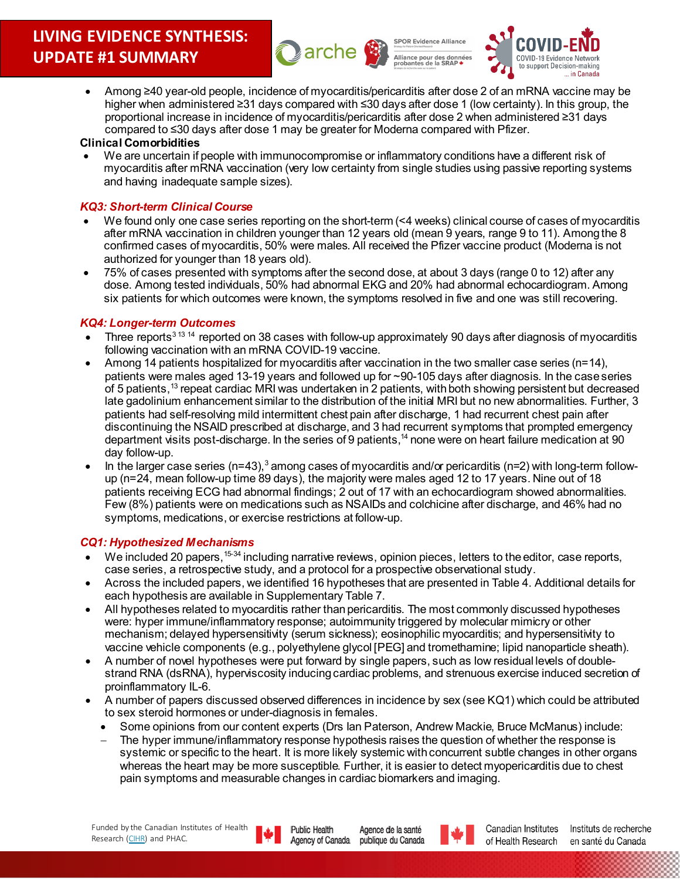

• Among ≥40 year-old people, incidence of myocarditis/pericarditis after dose 2 of an mRNA vaccine may be higher when administered ≥31 days compared with ≤30 days after dose 1 (low certainty). In this group, the proportional increase in incidence of myocarditis/pericarditis after dose 2 when administered ≥31 days compared to ≤30 days after dose 1 may be greater for Moderna compared with Pfizer.

**Darche** 

#### **Clinical Comorbidities**

• We are uncertain if people with immunocompromise or inflammatory conditions have a different risk of myocarditis after mRNA vaccination (very low certainty from single studies using passive reporting systems and having inadequate sample sizes).

### *KQ3: Short-term Clinical Course*

- We found only one case series reporting on the short-term (<4 weeks) clinical course of cases of myocarditis after mRNA vaccination in children younger than 12 years old (mean 9 years, range 9 to 11). Among the 8 confirmed cases of myocarditis, 50% were males. All received the Pfizer vaccine product (Moderna is not authorized for younger than 18 years old).
- 75% of cases presented with symptoms after the second dose, at about 3 days (range 0 to 12) after any dose. Among tested individuals, 50% had abnormal EKG and 20% had abnormal echocardiogram. Among six patients for which outcomes were known, the symptoms resolved in five and one was still recovering.

### *KQ4: Longer-term Outcomes*

- Three reports<sup>3 13 14</sup> reported on 38 cases with follow-up approximately 90 days after diagnosis of myocarditis following vaccination with an mRNA COVID-19 vaccine.
- Among 14 patients hospitalized for myocarditis after vaccination in the two smaller case series (n=14), patients were males aged 13-19 years and followed up for ~90-105 days after diagnosis. In the case series of 5 patients,<sup>13</sup> repeat cardiac MRI was undertaken in 2 patients, with both showing persistent but decreased late gadolinium enhancement similar to the distribution of the initial MRI but no new abnormalities. Further, 3 patients had self-resolving mild intermittent chest pain after discharge, 1 had recurrent chest pain after discontinuing the NSAID prescribed at discharge, and 3 had recurrent symptoms that prompted emergency department visits post-discharge. In the series of 9 patients,<sup>14</sup> none were on heart failure medication at 90 day follow-up.
- In the larger case series (n=43),<sup>3</sup> among cases of myocarditis and/or pericarditis (n=2) with long-term followup (n=24, mean follow-up time 89 days), the majority were males aged 12 to 17 years. Nine out of 18 patients receiving ECG had abnormal findings; 2 out of 17 with an echocardiogram showed abnormalities. Few (8%) patients were on medications such as NSAIDs and colchicine after discharge, and 46% had no symptoms, medications, or exercise restrictions at follow-up.

### *CQ1: Hypothesized Mechanisms*

- We included 20 papers,  $15-34$  including narrative reviews, opinion pieces, letters to the editor, case reports, case series, a retrospective study, and a protocol for a prospective observational study.
- Across the included papers, we identified 16 hypotheses that are presented in Table 4. Additional details for each hypothesis are available in Supplementary Table 7.
- All hypotheses related to myocarditis rather than pericarditis. The most commonly discussed hypotheses were: hyper immune/inflammatory response; autoimmunity triggered by molecular mimicry or other mechanism; delayed hypersensitivity (serum sickness); eosinophilic myocarditis; and hypersensitivity to vaccine vehicle components (e.g., polyethylene glycol [PEG] and tromethamine; lipid nanoparticle sheath).
- A number of novel hypotheses were put forward by single papers, such as low residual levels of doublestrand RNA (dsRNA), hyperviscosity inducing cardiac problems, and strenuous exercise induced secretion of proinflammatory IL-6.
- A number of papers discussed observed differences in incidence by sex (see KQ1) which could be attributed to sex steroid hormones or under-diagnosis in females.
	- Some opinions from our content experts (Drs Ian Paterson, Andrew Mackie, Bruce McManus) include:
	- The hyper immune/inflammatory response hypothesis raises the question of whether the response is systemic or specific to the heart. It is more likely systemic with concurrent subtle changes in other organs whereas the heart may be more susceptible. Further, it is easier to detect myopericarditis due to chest pain symptoms and measurable changes in cardiac biomarkers and imaging.



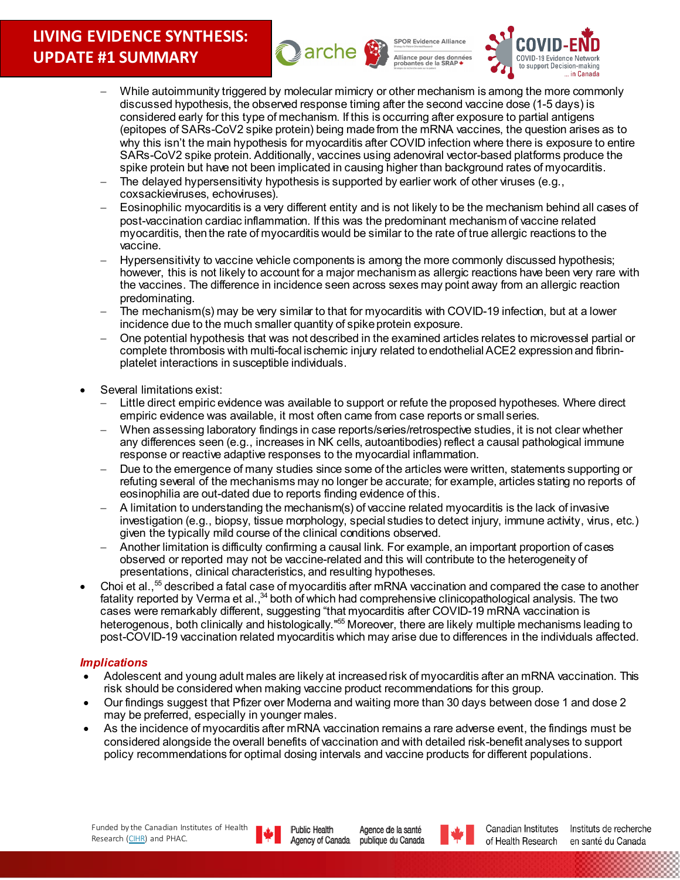

**SPOR Evidence Alliance** Alliance pour des données



- While autoimmunity triggered by molecular mimicry or other mechanism is among the more commonly discussed hypothesis, the observed response timing after the second vaccine dose (1-5 days) is considered early for this type of mechanism. If this is occurring after exposure to partial antigens (epitopes of SARs-CoV2 spike protein) being made from the mRNA vaccines, the question arises as to why this isn't the main hypothesis for myocarditis after COVID infection where there is exposure to entire SARs-CoV2 spike protein. Additionally, vaccines using adenoviral vector-based platforms produce the spike protein but have not been implicated in causing higher than background rates of myocarditis.
- The delayed hypersensitivity hypothesis is supported by earlier work of other viruses (e.g., coxsackieviruses, echoviruses).
- − Eosinophilic myocarditis is a very different entity and is not likely to be the mechanism behind all cases of post-vaccination cardiac inflammation. If this was the predominant mechanism of vaccine related myocarditis, then the rate of myocarditis would be similar to the rate of true allergic reactions to the vaccine.
- − Hypersensitivity to vaccine vehicle components is among the more commonly discussed hypothesis; however, this is not likely to account for a major mechanism as allergic reactions have been very rare with the vaccines. The difference in incidence seen across sexes may point away from an allergic reaction predominating.
- The mechanism(s) may be very similar to that for myocarditis with COVID-19 infection, but at a lower incidence due to the much smaller quantity of spike protein exposure.
- − One potential hypothesis that was not described in the examined articles relates to microvessel partial or complete thrombosis with multi-focal ischemic injury related to endothelial ACE2 expression and fibrinplatelet interactions in susceptible individuals.
- Several limitations exist:
	- − Little direct empiric evidence was available to support or refute the proposed hypotheses. Where direct empiric evidence was available, it most often came from case reports or small series.
	- When assessing laboratory findings in case reports/series/retrospective studies, it is not clear whether any differences seen (e.g., increases in NK cells, autoantibodies) reflect a causal pathological immune response or reactive adaptive responses to the myocardial inflammation.
	- Due to the emergence of many studies since some of the articles were written, statements supporting or refuting several of the mechanisms may no longer be accurate; for example, articles stating no reports of eosinophilia are out-dated due to reports finding evidence of this.
	- − A limitation to understanding the mechanism(s) of vaccine related myocarditis is the lack of invasive investigation (e.g., biopsy, tissue morphology, special studies to detect injury, immune activity, virus, etc.) given the typically mild course of the clinical conditions observed.
	- − Another limitation is difficulty confirming a causal link. For example, an important proportion of cases observed or reported may not be vaccine-related and this will contribute to the heterogeneity of presentations, clinical characteristics, and resulting hypotheses.
- Choi et al.,<sup>55</sup> described a fatal case of myocarditis after mRNA vaccination and compared the case to another fatality reported by Verma et al.,<sup>34</sup> both of which had comprehensive clinicopathological analysis. The two cases were remarkably different, suggesting "that myocarditis after COVID-19 mRNA vaccination is heterogenous, both clinically and histologically."<sup>55</sup> Moreover, there are likely multiple mechanisms leading to post-COVID-19 vaccination related myocarditis which may arise due to differences in the individuals affected.

### *Implications*

- Adolescent and young adult males are likely at increased risk of myocarditis after an mRNA vaccination. This risk should be considered when making vaccine product recommendations for this group.
- Our findings suggest that Pfizer over Moderna and waiting more than 30 days between dose 1 and dose 2 may be preferred, especially in younger males.
- As the incidence of myocarditis after mRNA vaccination remains a rare adverse event, the findings must be considered alongside the overall benefits of vaccination and with detailed risk-benefit analyses to support policy recommendations for optimal dosing intervals and vaccine products for different populations.



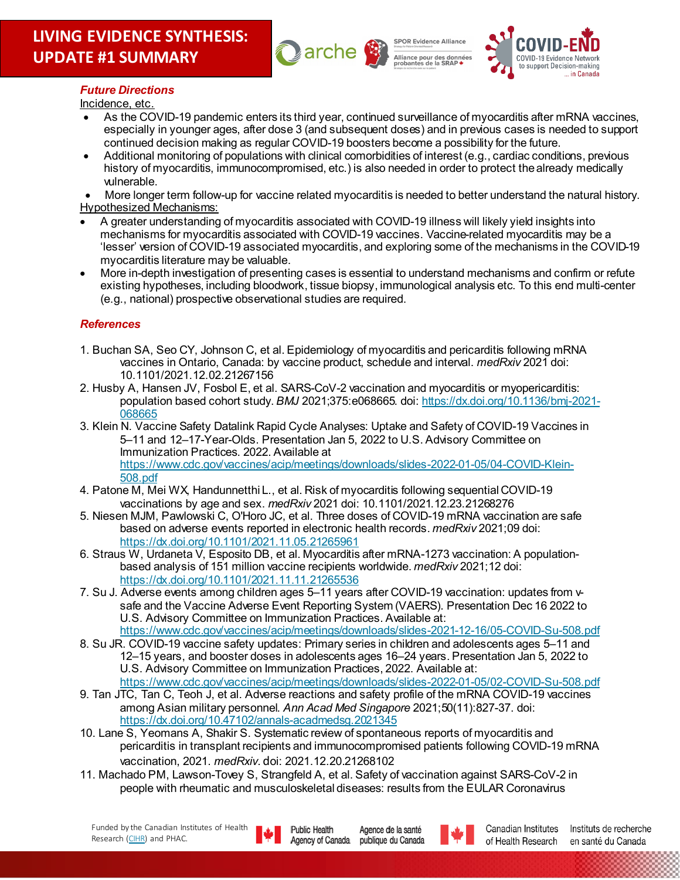



### *Future Directions*

Incidence, etc.

- As the COVID-19 pandemic enters its third year, continued surveillance of myocarditis after mRNA vaccines, especially in younger ages, after dose 3 (and subsequent doses) and in previous cases is needed to support continued decision making as regular COVID-19 boosters become a possibility for the future.
- Additional monitoring of populations with clinical comorbidities of interest (e.g., cardiac conditions, previous history of myocarditis, immunocompromised, etc.) is also needed in order to protect the already medically vulnerable.
- More longer term follow-up for vaccine related myocarditis is needed to better understand the natural history. Hypothesized Mechanisms:
- A greater understanding of myocarditis associated with COVID-19 illness will likely yield insights into mechanisms for myocarditis associated with COVID-19 vaccines. Vaccine-related myocarditis may be a 'lesser' version of COVID-19 associated myocarditis, and exploring some of the mechanisms in the COVID-19 myocarditis literature may be valuable.
- More in-depth investigation of presenting cases is essential to understand mechanisms and confirm or refute existing hypotheses, including bloodwork, tissue biopsy, immunological analysis etc. To this end multi-center (e.g., national) prospective observational studies are required.

### *References*

- 1. Buchan SA, Seo CY, Johnson C, et al. Epidemiology of myocarditis and pericarditis following mRNA vaccines in Ontario, Canada: by vaccine product, schedule and interval. *medRxiv* 2021 doi: 10.1101/2021.12.02.21267156
- 2. Husby A, Hansen JV, Fosbol E, et al. SARS-CoV-2 vaccination and myocarditis or myopericarditis: population based cohort study. *BMJ* 2021;375:e068665. doi[: https://dx.doi.org/10.1136/bmj-2021-](https://dx.doi.org/10.1136/bmj-2021-068665) [068665](https://dx.doi.org/10.1136/bmj-2021-068665)
- 3. Klein N. Vaccine Safety Datalink Rapid Cycle Analyses: Uptake and Safety of COVID-19 Vaccines in 5–11 and 12–17-Year-Olds. Presentation Jan 5, 2022 to U.S. Advisory Committee on Immunization Practices. 2022. Available at [https://www.cdc.gov/vaccines/acip/meetings/downloads/slides-2022-01-05/04-COVID-Klein-](https://www.cdc.gov/vaccines/acip/meetings/downloads/slides-2022-01-05/04-COVID-Klein-508.pdf)[508.pdf](https://www.cdc.gov/vaccines/acip/meetings/downloads/slides-2022-01-05/04-COVID-Klein-508.pdf)
- 4. Patone M, Mei WX, Handunnetthi L., et al. Risk of myocarditis following sequential COVID-19 vaccinations by age and sex. *medRxiv* 2021 doi: 10.1101/2021.12.23.21268276
- 5. Niesen MJM, Pawlowski C, O'Horo JC, et al. Three doses of COVID-19 mRNA vaccination are safe based on adverse events reported in electronic health records. *medRxiv* 2021;09 doi: <https://dx.doi.org/10.1101/2021.11.05.21265961>
- 6. Straus W, Urdaneta V, Esposito DB, et al. Myocarditis after mRNA-1273 vaccination: A populationbased analysis of 151 million vaccine recipients worldwide. *medRxiv* 2021;12 doi: <https://dx.doi.org/10.1101/2021.11.11.21265536>
- 7. Su J. Adverse events among children ages 5–11 years after COVID-19 vaccination: updates from vsafe and the Vaccine Adverse Event Reporting System (VAERS). Presentation Dec 16 2022 to U.S. Advisory Committee on Immunization Practices. Available at: <https://www.cdc.gov/vaccines/acip/meetings/downloads/slides-2021-12-16/05-COVID-Su-508.pdf>
- 8. Su JR. COVID-19 vaccine safety updates: Primary series in children and adolescents ages 5–11 and 12–15 years, and booster doses in adolescents ages 16–24 years. Presentation Jan 5, 2022 to U.S. Advisory Committee on Immunization Practices, 2022. Available at: <https://www.cdc.gov/vaccines/acip/meetings/downloads/slides-2022-01-05/02-COVID-Su-508.pdf>
- 9. Tan JTC, Tan C, Teoh J, et al. Adverse reactions and safety profile of the mRNA COVID-19 vaccines among Asian military personnel. *Ann Acad Med Singapore* 2021;50(11):827-37. doi: <https://dx.doi.org/10.47102/annals-acadmedsg.2021345>
- 10. Lane S, Yeomans A, Shakir S. Systematic review of spontaneous reports of myocarditis and pericarditis in transplant recipients and immunocompromised patients following COVID-19 mRNA vaccination, 2021. *medRxiv*. doi: 2021.12.20.21268102
- 11. Machado PM, Lawson-Tovey S, Strangfeld A, et al. Safety of vaccination against SARS-CoV-2 in people with rheumatic and musculoskeletal diseases: results from the EULAR Coronavirus



Agence de la santé publique du Canada

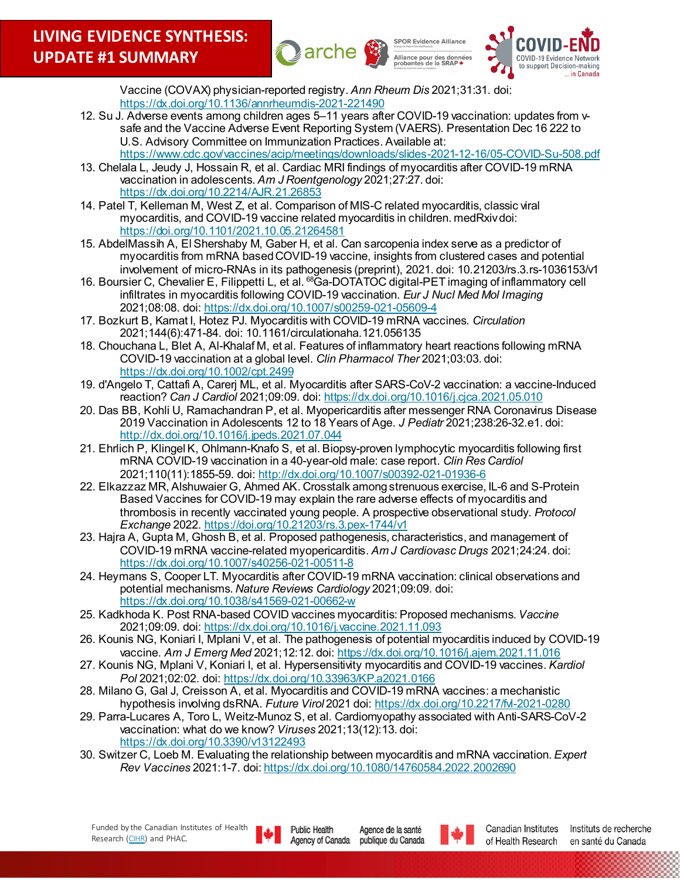

Vaccine (COVAX) physician-reported registry. *Ann Rheum Dis* 2021;31:31. doi: <https://dx.doi.org/10.1136/annrheumdis-2021-221490>

*Darche* 

12. Su J. Adverse events among children ages 5–11 years after COVID-19 vaccination: updates from vsafe and the Vaccine Adverse Event Reporting System (VAERS). Presentation Dec 16 222 to U.S. Advisory Committee on Immunization Practices. Available at: <https://www.cdc.gov/vaccines/acip/meetings/downloads/slides-2021-12-16/05-COVID-Su-508.pdf>

**SPOR Evidence Alliance** 

Alliance pour des données

- 13. Chelala L, Jeudy J, Hossain R, et al. Cardiac MRI findings of myocarditis after COVID-19 mRNA vaccination in adolescents. *Am J Roentgenology* 2021;27:27. doi: <https://dx.doi.org/10.2214/AJR.21.26853>
- 14. Patel T, Kelleman M, West Z, et al. Comparison of MIS-C related myocarditis, classic viral myocarditis, and COVID-19 vaccine related myocarditis in children. medRxiv doi: <https://doi.org/10.1101/2021.10.05.21264581>
- 15. AbdelMassih A, El Shershaby M, Gaber H, et al. Can sarcopenia index serve as a predictor of myocarditis from mRNA based COVID-19 vaccine, insights from clustered cases and potential involvement of micro-RNAs in its pathogenesis (preprint), 2021. doi: 10.21203/rs.3.rs-1036153/v1
- 16. Boursier C, Chevalier E, Filippetti L, et al. <sup>68</sup>Ga-DOTATOC digital-PET imaging of inflammatory cell infiltrates in myocarditis following COVID-19 vaccination. *Eur J Nucl Med Mol Imaging* 2021;08:08. doi[: https://dx.doi.org/10.1007/s00259-021-05609-4](https://dx.doi.org/10.1007/s00259-021-05609-4)
- 17. Bozkurt B, Kamat I, Hotez PJ. Myocarditis with COVID-19 mRNA vaccines. *Circulation* 2021;144(6):471-84. doi: 10.1161/circulationaha.121.056135
- 18. Chouchana L, Blet A, Al-Khalaf M, et al. Features of inflammatory heart reactions following mRNA COVID-19 vaccination at a global level. *Clin Pharmacol Ther* 2021;03:03. doi: <https://dx.doi.org/10.1002/cpt.2499>
- 19. d'Angelo T, Cattafi A, Carerj ML, et al. Myocarditis after SARS-CoV-2 vaccination: a vaccine-Induced reaction? *Can J Cardiol* 2021;09:09. doi[: https://dx.doi.org/10.1016/j.cjca.2021.05.010](https://dx.doi.org/10.1016/j.cjca.2021.05.010)
- 20. Das BB, Kohli U, Ramachandran P, et al. Myopericarditis after messenger RNA Coronavirus Disease 2019 Vaccination in Adolescents 12 to 18 Years of Age. *J Pediatr* 2021;238:26-32.e1. doi: <http://dx.doi.org/10.1016/j.jpeds.2021.07.044>
- 21. Ehrlich P, Klingel K, Ohlmann-Knafo S, et al. Biopsy-proven lymphocytic myocarditis following first mRNA COVID-19 vaccination in a 40-year-old male: case report. *Clin Res Cardiol* 2021;110(11):1855-59. doi[: http://dx.doi.org/10.1007/s00392-021-01936-6](http://dx.doi.org/10.1007/s00392-021-01936-6)
- 22. Elkazzaz MR, Alshuwaier G, Ahmed AK. Crosstalk among strenuous exercise, IL-6 and S-Protein Based Vaccines for COVID-19 may explain the rare adverse effects of myocarditis and thrombosis in recently vaccinated young people. A prospective observational study. *Protocol Exchange* 2022[. https://doi.org/10.21203/rs.3.pex-1744/v1](https://doi.org/10.21203/rs.3.pex-1744/v1)
- 23. Hajra A, Gupta M, Ghosh B, et al. Proposed pathogenesis, characteristics, and management of COVID-19 mRNA vaccine-related myopericarditis. *Am J Cardiovasc Drugs* 2021;24:24. doi: <https://dx.doi.org/10.1007/s40256-021-00511-8>
- 24. Heymans S, Cooper LT. Myocarditis after COVID-19 mRNA vaccination: clinical observations and potential mechanisms. *Nature Reviews Cardiology* 2021;09:09. doi: <https://dx.doi.org/10.1038/s41569-021-00662-w>
- 25. Kadkhoda K. Post RNA-based COVID vaccines myocarditis: Proposed mechanisms. *Vaccine* 2021;09:09. doi[: https://dx.doi.org/10.1016/j.vaccine.2021.11.093](https://dx.doi.org/10.1016/j.vaccine.2021.11.093)
- 26. Kounis NG, Koniari I, Mplani V, et al. The pathogenesis of potential myocarditis induced by COVID-19 vaccine. *Am J Emerg Med* 2021;12:12. doi[: https://dx.doi.org/10.1016/j.ajem.2021.11.016](https://dx.doi.org/10.1016/j.ajem.2021.11.016)
- 27. Kounis NG, Mplani V, Koniari I, et al. Hypersensitivity myocarditis and COVID-19 vaccines. *Kardiol Pol* 2021;02:02. doi[: https://dx.doi.org/10.33963/KP.a2021.0166](https://dx.doi.org/10.33963/KP.a2021.0166)
- 28. Milano G, Gal J, Creisson A, et al. Myocarditis and COVID-19 mRNA vaccines: a mechanistic hypothesis involving dsRNA. *Future Virol* 2021 doi[: https://dx.doi.org/10.2217/fvl-2021-0280](https://dx.doi.org/10.2217/fvl-2021-0280)
- 29. Parra-Lucares A, Toro L, Weitz-Munoz S, et al. Cardiomyopathy associated with Anti-SARS-CoV-2 vaccination: what do we know? *Viruses* 2021;13(12):13. doi: <https://dx.doi.org/10.3390/v13122493>
- 30. Switzer C, Loeb M. Evaluating the relationship between myocarditis and mRNA vaccination. *Expert Rev Vaccines* 2021:1-7. doi[: https://dx.doi.org/10.1080/14760584.2022.2002690](https://dx.doi.org/10.1080/14760584.2022.2002690)



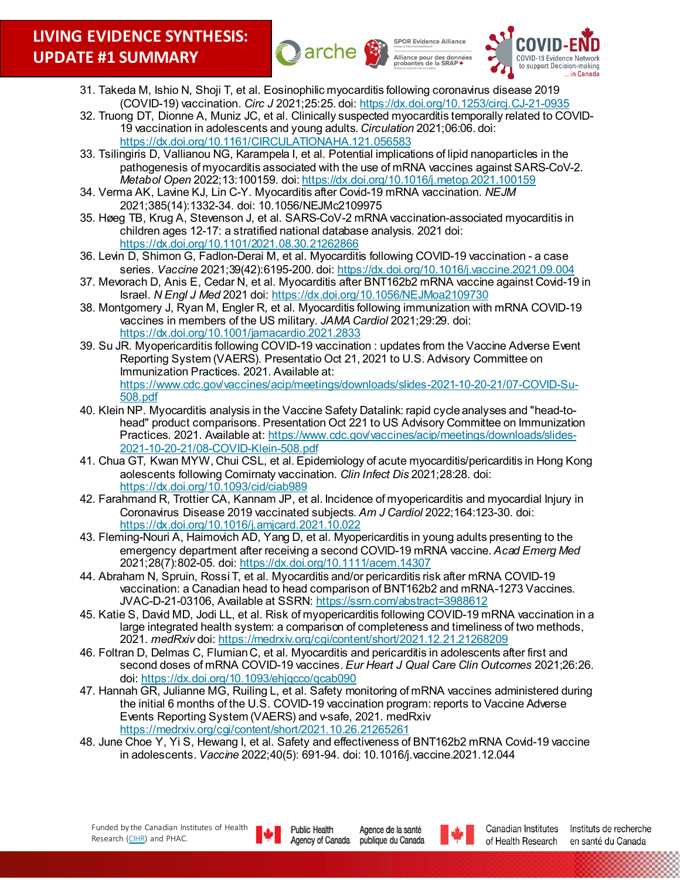

**SPOR Evidence Alliance** 

31. Takeda M, Ishio N, Shoji T, et al. Eosinophilic myocarditis following coronavirus disease 2019 (COVID-19) vaccination. *Circ J* 2021;25:25. doi[: https://dx.doi.org/10.1253/circj.CJ-21-0935](https://dx.doi.org/10.1253/circj.CJ-21-0935)

**Darche** 

- 32. Truong DT, Dionne A, Muniz JC, et al. Clinically suspected myocarditis temporally related to COVID-19 vaccination in adolescents and young adults. *Circulation* 2021;06:06. doi: <https://dx.doi.org/10.1161/CIRCULATIONAHA.121.056583>
- 33. Tsilingiris D, Vallianou NG, Karampela I, et al. Potential implications of lipid nanoparticles in the pathogenesis of myocarditis associated with the use of mRNA vaccines against SARS-CoV-2. *Metabol Open* 2022;13:100159. doi[: https://dx.doi.org/10.1016/j.metop.2021.100159](https://dx.doi.org/10.1016/j.metop.2021.100159)
- 34. Verma AK, Lavine KJ, Lin C-Y. Myocarditis after Covid-19 mRNA vaccination. *NEJM* 2021;385(14):1332-34. doi: 10.1056/NEJMc2109975
- 35. Høeg TB, Krug A, Stevenson J, et al. SARS-CoV-2 mRNA vaccination-associated myocarditis in children ages 12-17: a stratified national database analysis. 2021 doi: <https://dx.doi.org/10.1101/2021.08.30.21262866>
- 36. Levin D, Shimon G, Fadlon-Derai M, et al. Myocarditis following COVID-19 vaccination a case series. *Vaccine* 2021;39(42):6195-200. doi[: https://dx.doi.org/10.1016/j.vaccine.2021.09.004](https://dx.doi.org/10.1016/j.vaccine.2021.09.004)
- 37. Mevorach D, Anis E, Cedar N, et al. Myocarditis after BNT162b2 mRNA vaccine against Covid-19 in Israel. *N Engl J Med* 2021 doi[: https://dx.doi.org/10.1056/NEJMoa2109730](https://dx.doi.org/10.1056/NEJMoa2109730)
- 38. Montgomery J, Ryan M, Engler R, et al. Myocarditis following immunization with mRNA COVID-19 vaccines in members of the US military. *JAMA Cardiol* 2021;29:29. doi: <https://dx.doi.org/10.1001/jamacardio.2021.2833>
- 39. Su JR. Myopericarditis following COVID-19 vaccination : updates from the Vaccine Adverse Event Reporting System (VAERS). Presentatio Oct 21, 2021 to U.S. Advisory Committee on Immunization Practices. 2021. Available at: [https://www.cdc.gov/vaccines/acip/meetings/downloads/slides-2021-10-20-21/07-COVID-Su-](https://www.cdc.gov/vaccines/acip/meetings/downloads/slides-2021-10-20-21/07-COVID-Su-508.pdf)[508.pdf](https://www.cdc.gov/vaccines/acip/meetings/downloads/slides-2021-10-20-21/07-COVID-Su-508.pdf)
- 40. Klein NP. Myocarditis analysis in the Vaccine Safety Datalink: rapid cycle analyses and "head-tohead" product comparisons. Presentation Oct 221 to US Advisory Committee on Immunization Practices. 2021. Available at[: https://www.cdc.gov/vaccines/acip/meetings/downloads/slides-](https://www.cdc.gov/vaccines/acip/meetings/downloads/slides-2021-10-20-21/08-COVID-Klein-508.pdf)[2021-10-20-21/08-COVID-Klein-508.pdf](https://www.cdc.gov/vaccines/acip/meetings/downloads/slides-2021-10-20-21/08-COVID-Klein-508.pdf)
- 41. Chua GT, Kwan MYW, Chui CSL, et al. Epidemiology of acute myocarditis/pericarditis in Hong Kong aolescents following Comirnaty vaccination. *Clin Infect Dis* 2021;28:28. doi: <https://dx.doi.org/10.1093/cid/ciab989>
- 42. Farahmand R, Trottier CA, Kannam JP, et al. Incidence of myopericarditis and myocardial Injury in Coronavirus Disease 2019 vaccinated subjects. *Am J Cardiol* 2022;164:123-30. doi: <https://dx.doi.org/10.1016/j.amjcard.2021.10.022>
- 43. Fleming-Nouri A, Haimovich AD, Yang D, et al. Myopericarditis in young adults presenting to the emergency department after receiving a second COVID-19 mRNA vaccine. *Acad Emerg Med* 2021;28(7):802-05. doi[: https://dx.doi.org/10.1111/acem.14307](https://dx.doi.org/10.1111/acem.14307)
- 44. Abraham N, Spruin, Rossi T, et al. Myocarditis and/or pericarditis risk after mRNA COVID-19 vaccination: a Canadian head to head comparison of BNT162b2 and mRNA-1273 Vaccines. JVAC-D-21-03106, Available at SSRN[: https://ssrn.com/abstract=3988612](https://ssrn.com/abstract=3988612)
- 45. Katie S, David MD, Jodi LL, et al. Risk of myopericarditis following COVID-19 mRNA vaccination in a large integrated health system: a comparison of completeness and timeliness of two methods, 2021. *medRxiv* doi[: https://medrxiv.org/cgi/content/short/2021.12.21.21268209](https://medrxiv.org/cgi/content/short/2021.12.21.21268209)
- 46. Foltran D, Delmas C, Flumian C, et al. Myocarditis and pericarditis in adolescents after first and second doses of mRNA COVID-19 vaccines. *Eur Heart J Qual Care Clin Outcomes* 2021;26:26. doi:<https://dx.doi.org/10.1093/ehjqcco/qcab090>
- 47. Hannah GR, Julianne MG, Ruiling L, et al. Safety monitoring of mRNA vaccines administered during the initial 6 months of the U.S. COVID-19 vaccination program: reports to Vaccine Adverse Events Reporting System (VAERS) and v-safe, 2021. medRxiv <https://medrxiv.org/cgi/content/short/2021.10.26.21265261>
- 48. June Choe Y, Yi S, Hewang I, et al. Safety and effectiveness of BNT162b2 mRNA Covid-19 vaccine in adolescents. *Vaccine* 2022;40(5): 691-94. doi: 10.1016/j.vaccine.2021.12.044



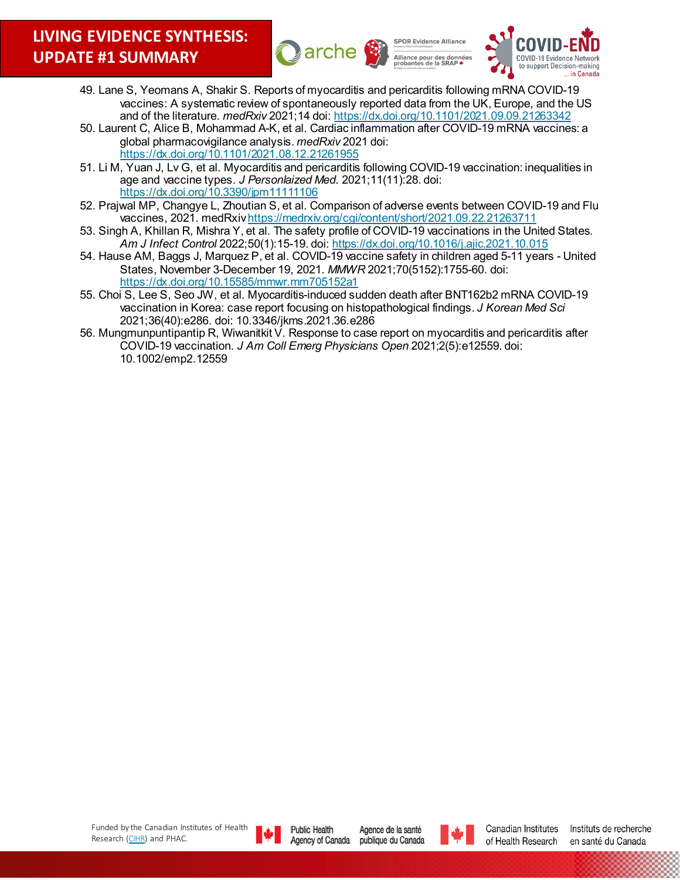



- 49. Lane S, Yeomans A, Shakir S. Reports of myocarditis and pericarditis following mRNA COVID-19 vaccines: A systematic review of spontaneously reported data from the UK, Europe, and the US and of the literature. *medRxiv* 2021;14 doi[: https://dx.doi.org/10.1101/2021.09.09.21263342](https://dx.doi.org/10.1101/2021.09.09.21263342)
- 50. Laurent C, Alice B, Mohammad A-K, et al. Cardiac inflammation after COVID-19 mRNA vaccines: a global pharmacovigilance analysis. *medRxiv* 2021 doi: <https://dx.doi.org/10.1101/2021.08.12.21261955>
- 51. Li M, Yuan J, Lv G, et al. Myocarditis and pericarditis following COVID-19 vaccination: inequalities in age and vaccine types. *J Personlaized Med.* 2021;11(11):28. doi: <https://dx.doi.org/10.3390/jpm11111106>
- 52. Prajwal MP, Changye L, Zhoutian S, et al. Comparison of adverse events between COVID-19 and Flu vaccines, 2021. medRxi[v https://medrxiv.org/cgi/content/short/2021.09.22.21263711](https://medrxiv.org/cgi/content/short/2021.09.22.21263711)
- 53. Singh A, Khillan R, Mishra Y, et al. The safety profile of COVID-19 vaccinations in the United States. *Am J Infect Control* 2022;50(1):15-19. doi[: https://dx.doi.org/10.1016/j.ajic.2021.10.015](https://dx.doi.org/10.1016/j.ajic.2021.10.015)
- 54. Hause AM, Baggs J, Marquez P, et al. COVID-19 vaccine safety in children aged 5-11 years United States, November 3-December 19, 2021. *MMWR* 2021;70(5152):1755-60. doi: <https://dx.doi.org/10.15585/mmwr.mm705152a1>
- 55. Choi S, Lee S, Seo JW, et al. Myocarditis-induced sudden death after BNT162b2 mRNA COVID-19 vaccination in Korea: case report focusing on histopathological findings. *J Korean Med Sci* 2021;36(40):e286. doi: 10.3346/jkms.2021.36.e286
- 56. Mungmunpuntipantip R, Wiwanitkit V. Response to case report on myocarditis and pericarditis after COVID-19 vaccination. *J Am Coll Emerg Physicians Open* 2021;2(5):e12559. doi: 10.1002/emp2.12559



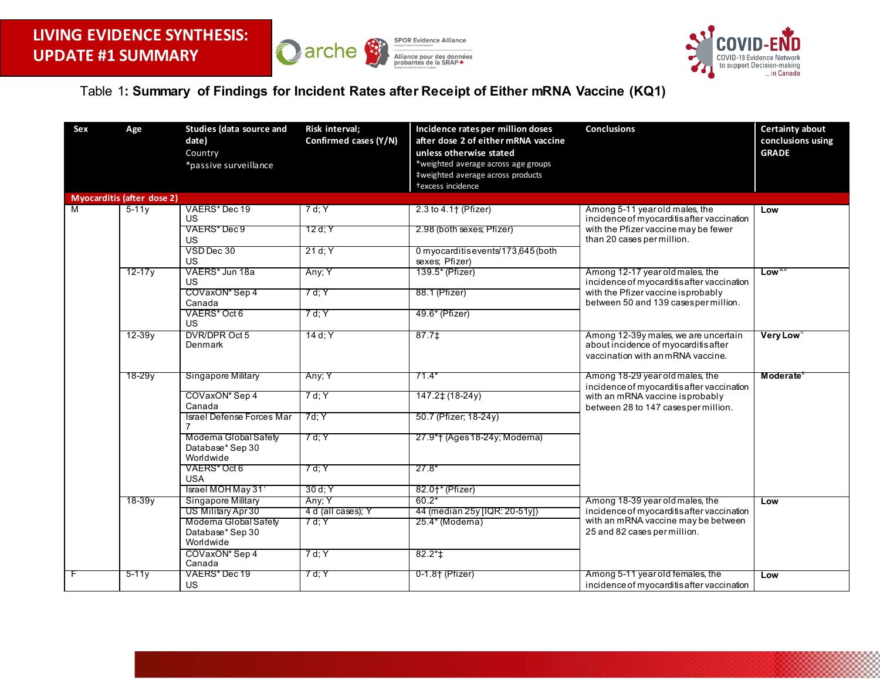



### Table 1**: Summary of Findings for Incident Rates after Receipt of Either mRNA Vaccine (KQ1)**

<span id="page-9-0"></span>

| Sex | Age                               | Studies (data source and<br>date)<br>Country<br>*passive surveillance | Risk interval;<br>Confirmed cases (Y/N) | Incidence rates per million doses<br>after dose 2 of either mRNA vaccine<br>unless otherwise stated<br>*weighted average across age groups<br>‡weighted average across products<br>texcess incidence | <b>Conclusions</b>                                                                                                | <b>Certainty about</b><br>conclusions using<br><b>GRADE</b> |
|-----|-----------------------------------|-----------------------------------------------------------------------|-----------------------------------------|------------------------------------------------------------------------------------------------------------------------------------------------------------------------------------------------------|-------------------------------------------------------------------------------------------------------------------|-------------------------------------------------------------|
|     | <b>Myocarditis (after dose 2)</b> |                                                                       |                                         |                                                                                                                                                                                                      |                                                                                                                   |                                                             |
| м   | $5-11v$                           | VAERS* Dec 19<br>US.                                                  | 7d; Y                                   | 2.3 to 4.1† (Pfizer)                                                                                                                                                                                 | Among 5-11 year old males, the<br>incidence of myocarditis after vaccination                                      | Low                                                         |
|     |                                   | VAERS* Dec 9<br><b>US</b>                                             | 12 d; Y                                 | 2.98 (both sexes; Pfizer)                                                                                                                                                                            | with the Pfizer vaccine may be fewer<br>than 20 cases per million.                                                |                                                             |
|     |                                   | VSD Dec 30<br><b>US</b>                                               | 21 d; Y                                 | 0 myocarditisevents/173,645 (both<br>sexes; Pfizer)                                                                                                                                                  |                                                                                                                   |                                                             |
|     | 12-17y                            | VAERS* Jun 18a<br>US.                                                 | Any; Y                                  | 139.5* (Pfizer)                                                                                                                                                                                      | Among 12-17 year old males, the<br>incidence of myocarditis after vaccination                                     | Low <sup>a,t</sup>                                          |
|     |                                   | COVaxON* Sep 4<br>Canada                                              | 7 d; Y                                  | 88.1 (Pfizer)                                                                                                                                                                                        | with the Pfizer vaccine is probably<br>between 50 and 139 cases per million.                                      |                                                             |
|     |                                   | VAERS* Oct 6<br><b>US</b>                                             | 7 d; Y                                  | 49.6* (Pfizer)                                                                                                                                                                                       |                                                                                                                   |                                                             |
|     | $12-39y$                          | DVR/DPR Oct 5<br>Denmark                                              | 14d; Y                                  | 87.71                                                                                                                                                                                                | Among 12-39y males, we are uncertain<br>about incidence of myocarditis after<br>vaccination with an mRNA vaccine. | Very Low <sup>c</sup>                                       |
|     | 18-29y                            | Singapore Military                                                    | Any; Y                                  | $71.4*$                                                                                                                                                                                              | Among 18-29 year old males, the<br>incidence of myocarditis after vaccination                                     | Moderate <sup>®</sup>                                       |
|     |                                   | COVaxON* Sep 4<br>Canada                                              | 7 d; Y                                  | 147.2‡ (18-24y)                                                                                                                                                                                      | with an mRNA vaccine is probably<br>between 28 to 147 cases per million.                                          |                                                             |
|     |                                   | Israel Defense Forces Mar<br>$\overline{7}$                           | 7d; Y                                   | 50.7 (Pfizer; 18-24y)                                                                                                                                                                                |                                                                                                                   |                                                             |
|     |                                   | Moderna Global Safety<br>Database* Sep 30<br>Worldwide                | 7 d; Y                                  | 27.9*† (Ages 18-24y; Moderna)                                                                                                                                                                        |                                                                                                                   |                                                             |
|     |                                   | VAERS* Oct 6<br><b>USA</b>                                            | 7 d; Y                                  | $27.8*$                                                                                                                                                                                              |                                                                                                                   |                                                             |
|     |                                   | Israel MOH May 31                                                     | 30d; Y                                  | 82.0†* (Pfizer)                                                                                                                                                                                      |                                                                                                                   |                                                             |
|     | 18-39y                            | Singapore Military                                                    | Any; Y                                  | $60.2*$                                                                                                                                                                                              | Among 18-39 year old males, the                                                                                   | Low                                                         |
|     |                                   | US Military Apr 30                                                    | 4 d (all cases); Y                      | 44 (median 25y [IQR: 20-51y])                                                                                                                                                                        | incidence of myocarditis after vaccination                                                                        |                                                             |
|     |                                   | Moderna Global Safety<br>Database* Sep 30<br>Worldwide                | 7 d; Y                                  | 25.4* (Moderna)                                                                                                                                                                                      | with an mRNA vaccine may be between<br>25 and 82 cases per million.                                               |                                                             |
|     |                                   | COVaxON* Sep 4<br>Canada                                              | 7 d; Y                                  | $82.2*$                                                                                                                                                                                              |                                                                                                                   |                                                             |
| F   | $5-11y$                           | VAERS* Dec 19<br><b>US</b>                                            | 7 d; Y                                  | $0-1.8$ † (Pfizer)                                                                                                                                                                                   | Among 5-11 year old females, the<br>incidence of myocarditis after vaccination                                    | Low                                                         |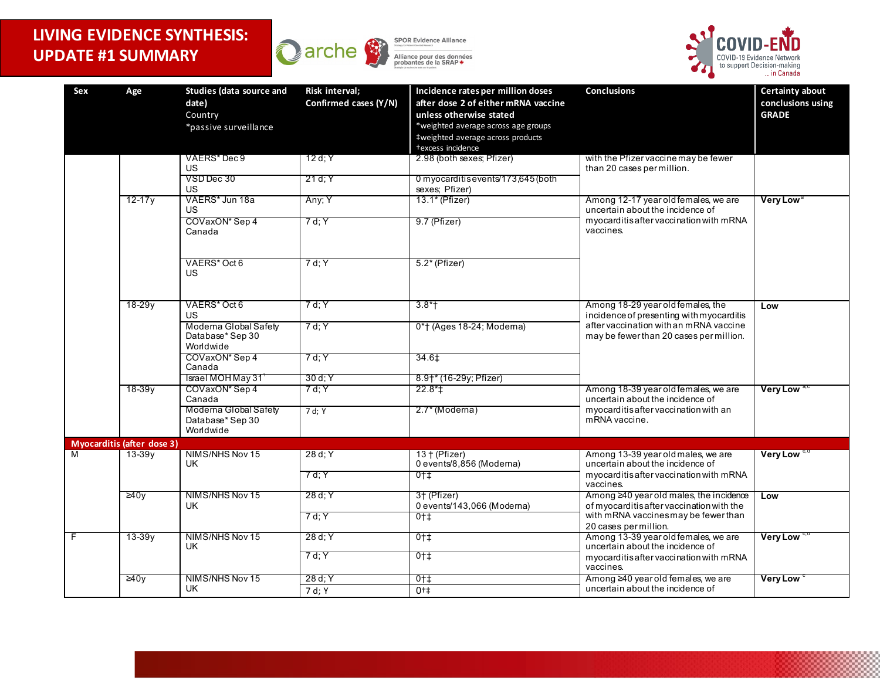

**SPOR Evidence Alliance** Alliance pour des données<br>probantes de la SRAP +



| Sex | Age                               | <b>Studies (data source and</b><br>date)<br>Country<br>*passive surveillance | Risk interval;<br>Confirmed cases (Y/N) | Incidence rates per million doses<br>after dose 2 of either mRNA vaccine<br>unless otherwise stated<br>*weighted average across age groups<br>‡weighted average across products<br>texcess incidence | <b>Conclusions</b>                                                                   | <b>Certainty about</b><br>conclusions using<br><b>GRADE</b> |
|-----|-----------------------------------|------------------------------------------------------------------------------|-----------------------------------------|------------------------------------------------------------------------------------------------------------------------------------------------------------------------------------------------------|--------------------------------------------------------------------------------------|-------------------------------------------------------------|
|     |                                   | VAERS*Dec9<br>US.                                                            | 12 d; Y                                 | 2.98 (both sexes, Pfizer)                                                                                                                                                                            | with the Pfizer vaccine may be fewer<br>than 20 cases per million.                   |                                                             |
|     |                                   | VSD Dec 30<br><b>US</b>                                                      | 21 d; Y                                 | 0 myocarditisevents/173,645 (both<br>sexes; Pfizer)                                                                                                                                                  |                                                                                      |                                                             |
|     | $12 - 17y$                        | VAERS* Jun 18a<br>US                                                         | Any; Y                                  | $13.1*$ (Pfizer)                                                                                                                                                                                     | Among 12-17 year old females, we are<br>uncertain about the incidence of             | Very Low <sup>a</sup>                                       |
|     |                                   | COVaxON* Sep 4<br>Canada                                                     | 7 d; Y                                  | 9.7 (Pfizer)                                                                                                                                                                                         | myocarditis after vaccination with mRNA<br>vaccines.                                 |                                                             |
|     |                                   | VAERS* Oct 6<br>US.                                                          | 7 d; Y                                  | $5.2^*$ (Pfizer)                                                                                                                                                                                     |                                                                                      |                                                             |
|     | 18-29y                            | VAERS* Oct 6<br>US.                                                          | 7 d; Y                                  | $3.8*$                                                                                                                                                                                               | Among 18-29 year old females, the<br>incidence of presenting with myocarditis        | Low                                                         |
|     |                                   | Moderna Global Safety<br>Database* Sep 30<br>Worldwide                       | 7 d; Y                                  | 0*† (Ages 18-24; Moderna)                                                                                                                                                                            | after vaccination with an mRNA vaccine<br>may be fewer than 20 cases per million.    |                                                             |
|     |                                   | COVaxON* Sep 4<br>Canada                                                     | 7 d; Y                                  | 34.6‡                                                                                                                                                                                                |                                                                                      |                                                             |
|     |                                   | Israel MOHMay 31                                                             | 30 d; Y                                 | 8.9†* (16-29y; Pfizer)                                                                                                                                                                               |                                                                                      |                                                             |
|     | 18-39y                            | COVaxON* Sep 4<br>Canada                                                     | 7 d; Y                                  | $22.8*$                                                                                                                                                                                              | Among 18-39 year old females, we are<br>uncertain about the incidence of             | Very Low <sup>a</sup>                                       |
|     |                                   | Moderna Global Safety<br>Database* Sep 30<br>Worldwide                       | 7 d; Y                                  | 2.7* (Moderna)                                                                                                                                                                                       | myocarditis after vaccination with an<br>mRNA vaccine.                               |                                                             |
|     | <b>Myocarditis (after dose 3)</b> |                                                                              |                                         |                                                                                                                                                                                                      |                                                                                      |                                                             |
| M   | $13-39y$                          | NIMS/NHS Nov 15<br><b>UK</b>                                                 | 28 d; Y                                 | $13 + (Pfizer)$<br>0 events/8,856 (Moderna)                                                                                                                                                          | Among 13-39 year old males, we are<br>uncertain about the incidence of               | Very Low <sup>c</sup>                                       |
|     |                                   |                                                                              | 7 d; Y                                  | $0+1$                                                                                                                                                                                                | myocarditis after vaccination with mRNA<br>vaccines.                                 |                                                             |
|     | ≥40y                              | NIMS/NHS Nov 15<br>UK                                                        | 28 d; Y                                 | 3† (Pfizer)<br>0 events/143,066 (Moderna)                                                                                                                                                            | Among ≥40 year old males, the incidence<br>of myocarditis after vaccination with the | Low                                                         |
|     |                                   |                                                                              | 7 d; Y                                  | $0+1$                                                                                                                                                                                                | with mRNA vaccinesmay be fewer than<br>20 cases per million.                         |                                                             |
| F   | $13-39y$                          | NIMS/NHS Nov 15<br>UK.                                                       | 28d:Y                                   | $0+1$                                                                                                                                                                                                | Among 13-39 year old females, we are<br>uncertain about the incidence of             | Very Low                                                    |
|     |                                   |                                                                              | 7 d; Y                                  | 0†‡                                                                                                                                                                                                  | myocarditis after vaccination with mRNA<br>vaccines.                                 |                                                             |
|     | ≥40у                              | NIMS/NHS Nov 15                                                              | 28 d; Y                                 | $0+1$                                                                                                                                                                                                | Among ≥40 year old females, we are                                                   | Very Low                                                    |
|     |                                   | UK                                                                           | 7 d; Y                                  | $0+$                                                                                                                                                                                                 | uncertain about the incidence of                                                     |                                                             |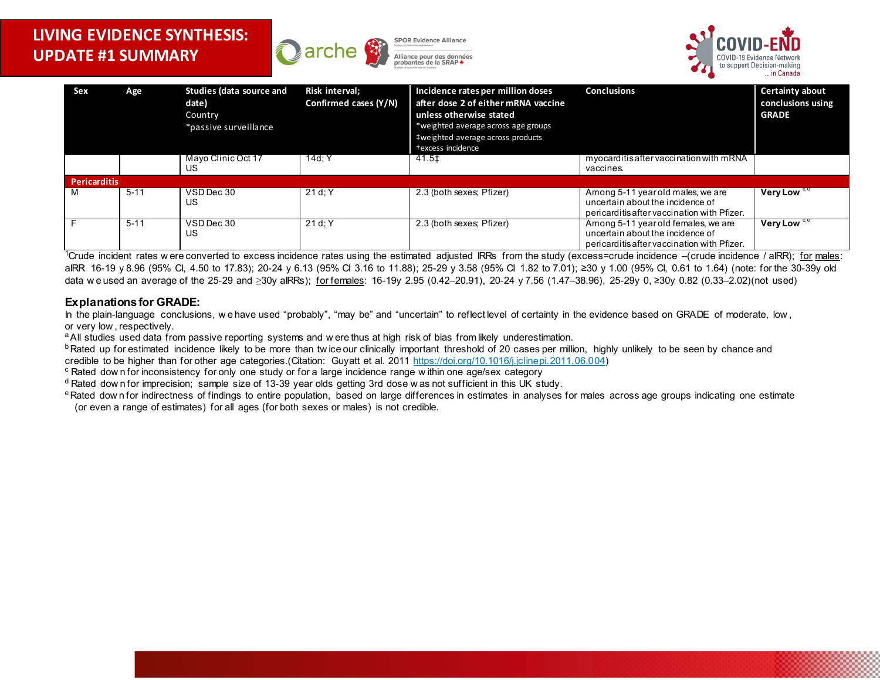

**SPOR Evidence Alliance** Alliance pour des données



| Sex                 | Age      | Studies (data source and<br>date)<br>Country<br>*passive surveillance | Risk interval;<br>Confirmed cases (Y/N) | Incidence rates per million doses<br>after dose 2 of either mRNA vaccine<br>unless otherwise stated<br>*weighted average across age groups<br>‡weighted average across products<br>texcess incidence | <b>Conclusions</b>                                                                                                     | <b>Certainty about</b><br>conclusions using<br><b>GRADE</b> |
|---------------------|----------|-----------------------------------------------------------------------|-----------------------------------------|------------------------------------------------------------------------------------------------------------------------------------------------------------------------------------------------------|------------------------------------------------------------------------------------------------------------------------|-------------------------------------------------------------|
|                     |          | Mayo Clinic Oct 17<br>US                                              | 14d: Y                                  | 41.5±                                                                                                                                                                                                | myocarditis after vaccination with mRNA<br>vaccines.                                                                   |                                                             |
| <b>Pericarditis</b> |          |                                                                       |                                         |                                                                                                                                                                                                      |                                                                                                                        |                                                             |
| M                   | $5 - 11$ | VSD Dec 30<br>US.                                                     | 21d:Y                                   | 2.3 (both sexes; Pfizer)                                                                                                                                                                             | Among 5-11 year old males, we are<br>uncertain about the incidence of<br>pericarditis after vaccination with Pfizer.   | Very Low c.e                                                |
| F                   | $5 - 11$ | VSD Dec 30<br>US.                                                     | 21d:Y                                   | 2.3 (both sexes; Pfizer)                                                                                                                                                                             | Among 5-11 year old females, we are<br>uncertain about the incidence of<br>pericarditis after vaccination with Pfizer. | Very Low <sup>c</sup>                                       |

<sup>1</sup>Crude incident rates w ere converted to excess incidence rates using the estimated adjusted IRRs from the study (excess=crude incidence –(crude incidence / aIRR); for males: aIRR 16-19 y 8.96 (95% CI, 4.50 to 17.83); 20-24 y 6.13 (95% CI 3.16 to 11.88); 25-29 y 3.58 (95% CI 1.82 to 7.01); ≥30 y 1.00 (95% CI, 0.61 to 1.64) (note: for the 30-39y old data w e used an average of the 25-29 and ≥30y aIRRs); for females: 16-19y 2.95 (0.42–20.91), 20-24 y 7.56 (1.47–38.96), 25-29y 0, ≥30y 0.82 (0.33–2.02)(not used)

### **Explanations for GRADE:**

In the plain-language conclusions, we have used "probably", "may be" and "uncertain" to reflect level of certainty in the evidence based on GRADE of moderate, low, or very low , respectively.

a All studies used data from passive reporting systems and w ere thus at high risk of bias from likely underestimation.

<sup>b</sup> Rated up for estimated incidence likely to be more than twice our clinically important threshold of 20 cases per million, highly unlikely to be seen by chance and credible to be higher than for other age categories.(Citation: Guyatt et al. 2011 [https://doi.org/10.1016/j.jclinepi.2011.06.004\)](https://doi.org/10.1016/j.jclinepi.2011.06.004)

<sup>c</sup> Rated dow n for inconsistency for only one study or for a large incidence range within one age/sex category

<sup>d</sup> Rated dow n for imprecision; sample size of 13-39 year olds getting 3rd dose w as not sufficient in this UK study.

<sup>e</sup> Rated dow n for indirectness of findings to entire population, based on large differences in estimates in analyses for males across age groups indicating one estimate (or even a range of estimates) for all ages (for both sexes or males) is not credible.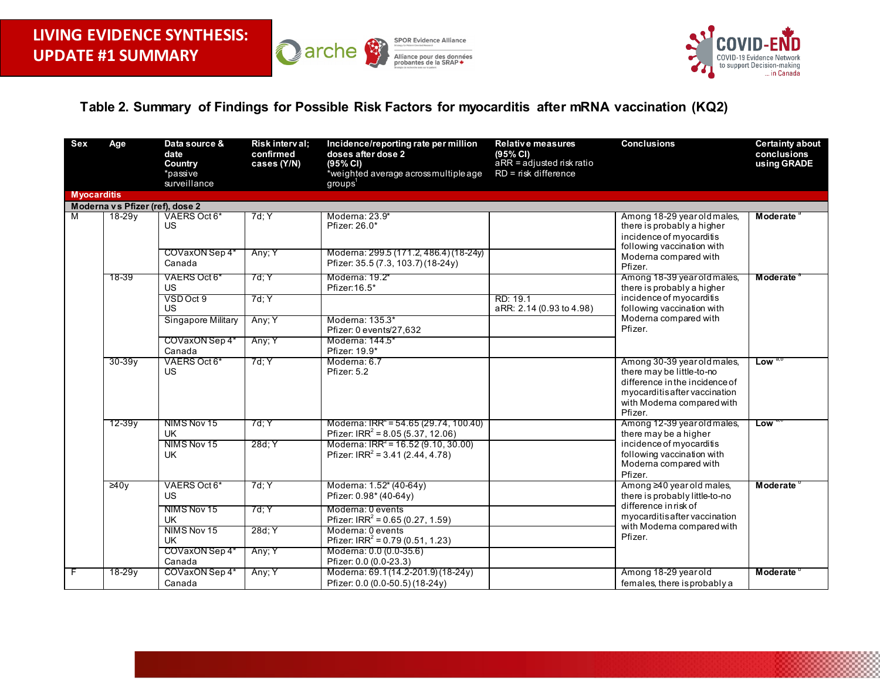



### **Table 2. Summary of Findings for Possible Risk Factors for myocarditis after mRNA vaccination (KQ2)**

<span id="page-12-0"></span>

| Sex                | Age                                           | Data source &<br>date<br>Country<br>*passive<br>surveillance | Risk interval;<br>confirmed<br>cases (Y/N) | Incidence/reporting rate per million<br>doses after dose 2<br>(95% CI)<br>*weighted average across multiple age<br>groups <sup>1</sup> | Relative measures<br>(95% CI)<br>$aRR =$ adjusted risk ratio<br>$RD =$ risk difference | <b>Conclusions</b>                                                                                                                                                  | <b>Certainty about</b><br>conclusions<br>using GRADE |
|--------------------|-----------------------------------------------|--------------------------------------------------------------|--------------------------------------------|----------------------------------------------------------------------------------------------------------------------------------------|----------------------------------------------------------------------------------------|---------------------------------------------------------------------------------------------------------------------------------------------------------------------|------------------------------------------------------|
| <b>Myocarditis</b> |                                               |                                                              |                                            |                                                                                                                                        |                                                                                        |                                                                                                                                                                     |                                                      |
| M                  | Moderna vs Pfizer (ref), dose 2<br>$18 - 29y$ | VAERS Oct 6*                                                 | 7d; Y                                      | Modema: 23.9*                                                                                                                          |                                                                                        | Among 18-29 year old males,                                                                                                                                         | <b>Moderate</b>                                      |
|                    |                                               | <b>US</b>                                                    |                                            | Pfizer: 26.0*                                                                                                                          |                                                                                        | there is probably a higher<br>incidence of myocarditis<br>following vaccination with                                                                                |                                                      |
|                    |                                               | COVaxON Sep 4*<br>Canada                                     | Any; Y                                     | Moderna: 299.5 (171.2, 486.4) (18-24y)<br>Pfizer: 35.5 (7.3, 103.7) (18-24y)                                                           |                                                                                        | Moderna compared with<br>Pfizer.                                                                                                                                    |                                                      |
|                    | 18-39                                         | VAERS Oct 6*<br><b>US</b>                                    | 7d: Y                                      | Modema: 19.2*<br>Pfizer: 16.5*                                                                                                         |                                                                                        | Among 18-39 year old males,<br>there is probably a higher                                                                                                           | Moderate                                             |
|                    |                                               | VSD Oct 9<br><b>US</b>                                       | 7d: Y                                      |                                                                                                                                        | RD: 19.1<br>aRR: 2.14 (0.93 to 4.98)                                                   | incidence of myocarditis<br>following vaccination with                                                                                                              |                                                      |
|                    |                                               | Singapore Military                                           | Any; Y                                     | Modema: 135.3*<br>Pfizer: 0 events/27.632                                                                                              |                                                                                        | Moderna compared with<br>Pfizer.                                                                                                                                    |                                                      |
|                    | Canada                                        | COVaxON Sep 4*                                               | Any; Y                                     | Modema: 144.5*<br>Pfizer: 19.9*                                                                                                        |                                                                                        |                                                                                                                                                                     |                                                      |
|                    | $30-39y$                                      | VAERS Oct 6*<br><b>US</b>                                    | 7d: Y                                      | Modema: 6.7<br>Pfizer: 5.2                                                                                                             |                                                                                        | Among 30-39 year old males,<br>there may be little-to-no<br>difference in the incidence of<br>myocarditisafter vaccination<br>with Moderna compared with<br>Pfizer. | $Low$ <sup>a,p</sup>                                 |
|                    | 12-39y                                        | NIMS Nov 15<br><b>UK</b>                                     | 7d: Y                                      | Moderna: IRR <sup><math>z</math></sup> = 54.65 (29.74, 100.40)<br>Pfizer: $IRR^2 = 8.05(5.37, 12.06)$                                  |                                                                                        | Among 12-39 year old males,<br>there may be a higher                                                                                                                | <b>Low</b>                                           |
|                    |                                               | NIMS Nov 15<br><b>UK</b>                                     | 28d; Y                                     | Moderna: $IRR2 = 16.52 (9.10, 30.00)$<br>Pfizer: $IRR^2 = 3.41 (2.44, 4.78)$                                                           |                                                                                        | incidence of myocarditis<br>following vaccination with<br>Moderna compared with<br>Pfizer.                                                                          |                                                      |
|                    | $\geq 40y$                                    | VAERS Oct 6*<br><b>US</b>                                    | 7d: Y                                      | Modema: 1.52* (40-64y)<br>Pfizer: 0.98* (40-64y)                                                                                       |                                                                                        | Among ≥40 year old males,<br>there is probably little-to-no                                                                                                         | Moderate <sup>'</sup>                                |
|                    |                                               | NIMS Nov 15<br>UK                                            | 7d; Y                                      | Moderna: 0 events<br>Pfizer: $IRR^2 = 0.65(0.27, 1.59)$                                                                                |                                                                                        | difference in risk of<br>myocarditisafter vaccination                                                                                                               |                                                      |
|                    |                                               | NIMS Nov 15<br><b>UK</b>                                     | 28d; Y                                     | Moderna: 0 events<br>Pfizer: $IRR^2 = 0.79(0.51, 1.23)$                                                                                |                                                                                        | with Moderna compared with<br>Pfizer.                                                                                                                               |                                                      |
|                    |                                               | COVaxON Sep 4*<br>Canada                                     | Any; Y                                     | Moderna: $0.0(0.0-35.6)$<br>Pfizer: 0.0 (0.0-23.3)                                                                                     |                                                                                        |                                                                                                                                                                     |                                                      |
| F                  | $18 - 29y$                                    | COVaxON Sep 4*<br>Canada                                     | Any; Y                                     | Moderna: 69.1 (14.2-201.9) (18-24y)<br>Pfizer: 0.0 (0.0-50.5) (18-24y)                                                                 |                                                                                        | Among 18-29 year old<br>females, there is probably a                                                                                                                | <b>Moderate</b>                                      |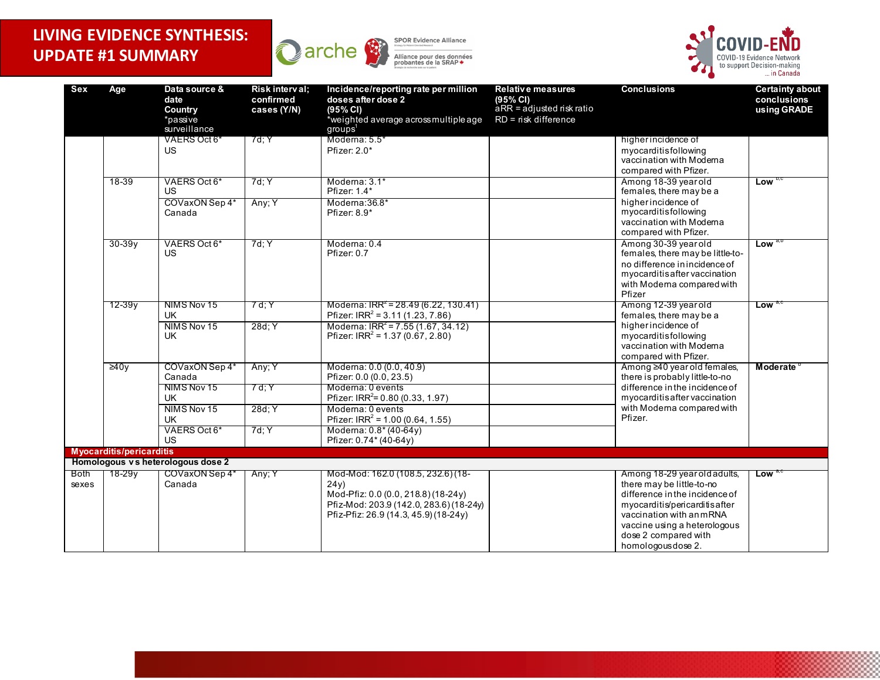





| Sex                  | Age                             | Data source &<br>date<br>Country<br>*passive<br>surveillance | Risk interval;<br>confirmed<br>cases (Y/N) | Incidence/reporting rate per million<br>doses after dose 2<br>(95% CI)<br>weighted average across multiple age<br>groups <sup>1</sup>                                              | Relative measures<br>(95% CI)<br>$\overline{a}RR = \overline{a}d$ justed risk ratio<br>$RD =$ risk difference | <b>Conclusions</b>                                                                                                                                                                                                                     | <b>Certainty about</b><br>conclusions<br>using GRADE |
|----------------------|---------------------------------|--------------------------------------------------------------|--------------------------------------------|------------------------------------------------------------------------------------------------------------------------------------------------------------------------------------|---------------------------------------------------------------------------------------------------------------|----------------------------------------------------------------------------------------------------------------------------------------------------------------------------------------------------------------------------------------|------------------------------------------------------|
|                      |                                 | VAERS Oct 6*<br><b>US</b>                                    | 7d: Y                                      | Modema: $5.5^*$<br>Pfizer: 2.0*                                                                                                                                                    |                                                                                                               | higher incidence of<br>myocarditisfollowing<br>vaccination with Moderna<br>compared with Pfizer.                                                                                                                                       |                                                      |
|                      | 18-39                           | VAERS Oct 6*<br>US.                                          | 7d: Y                                      | Modema $:3.1*$<br>Pfizer: 1.4*                                                                                                                                                     |                                                                                                               | Among 18-39 year old<br>females, there may be a                                                                                                                                                                                        | Low <sup>o</sup>                                     |
|                      |                                 | COVaxON Sep 4*<br>Canada                                     | Any; Y                                     | Modema: 36.8*<br>Pfizer: 8.9*                                                                                                                                                      |                                                                                                               | higher incidence of<br>myocarditisfollowing<br>vaccination with Moderna<br>compared with Pfizer.                                                                                                                                       |                                                      |
|                      | $30-39y$                        | VAERS Oct 6*<br>US.                                          | 7d; Y                                      | Modema: 0.4<br>Pfizer: 0.7                                                                                                                                                         |                                                                                                               | Among 30-39 year old<br>females, there may be little-to-<br>no difference in incidence of<br>myocarditis after vaccination<br>with Moderna compared with<br>Pfizer                                                                     | $Low$ <sup>a,t</sup>                                 |
|                      | 12-39y                          | NIMS Nov 15<br><b>UK</b><br>NIMS Nov 15<br>UK.               | 7 d; Y<br>28d; Y                           | Moderna: IRR <sup><math>2</math></sup> = 28.49 (6.22, 130.41)<br>Pfizer: $IRR^2 = 3.11 (1.23, 7.86)$<br>Moderna: $IRR2 = 7.55(1.67, 34.12)$<br>Pfizer: $IRR^2 = 1.37 (0.67, 2.80)$ |                                                                                                               | Among 12-39 year old<br>females, there may be a<br>higher incidence of<br>myocarditisfollowing<br>vaccination with Moderna<br>compared with Pfizer.                                                                                    | $Low^{\circ}$                                        |
|                      | $\geq 40y$                      | COVaxON Sep 4*<br>Canada<br>NIMS Nov 15<br><b>UK</b>         | Any; Y<br>7 d; Y                           | Modema: 0.0 (0.0, 40.9)<br>Pfizer: 0.0 (0.0, 23.5)<br>Modema: 0 events<br>Pfizer: IRR <sup>2</sup> = $0.80(0.33, 1.97)$                                                            |                                                                                                               | Among ≥40 year old females,<br>there is probably little-to-no<br>difference in the incidence of<br>myocarditis after vaccination                                                                                                       | Moderate                                             |
|                      |                                 | NIMS Nov 15<br>UK.<br>VAERS Oct 6*<br><b>US</b>              | 28d; Y<br>7d; Y                            | Modema: 0 events<br>Pfizer: $IRR^2 = 1.00 (0.64, 1.55)$<br>Modema: $0.8*(40-64y)$<br>Pfizer: 0.74* (40-64y)                                                                        |                                                                                                               | with Moderna compared with<br>Pfizer.                                                                                                                                                                                                  |                                                      |
|                      | <b>Myocarditis/pericarditis</b> |                                                              |                                            |                                                                                                                                                                                    |                                                                                                               |                                                                                                                                                                                                                                        |                                                      |
|                      |                                 | Homologous vs heterologous dose 2                            |                                            |                                                                                                                                                                                    |                                                                                                               |                                                                                                                                                                                                                                        |                                                      |
| <b>Both</b><br>sexes | $18 - 29y$                      | COVaxON Sep 4*<br>Canada                                     | Any; Y                                     | Mod-Mod: 162.0 (108.5, 232.6) (18-<br>24y<br>Mod-Pfiz: 0.0 (0.0, 218.8) (18-24y)<br>Pfiz-Mod: 203.9 (142.0, 283.6) (18-24y)<br>Pfiz-Pfiz: 26.9 (14.3, 45.9) (18-24y)               |                                                                                                               | Among 18-29 year old adults,<br>there may be little-to-no<br>difference in the incidence of<br>myocarditis/pericarditisafter<br>vaccination with an mRNA<br>vaccine using a heterologous<br>dose 2 compared with<br>homologous dose 2. | Low                                                  |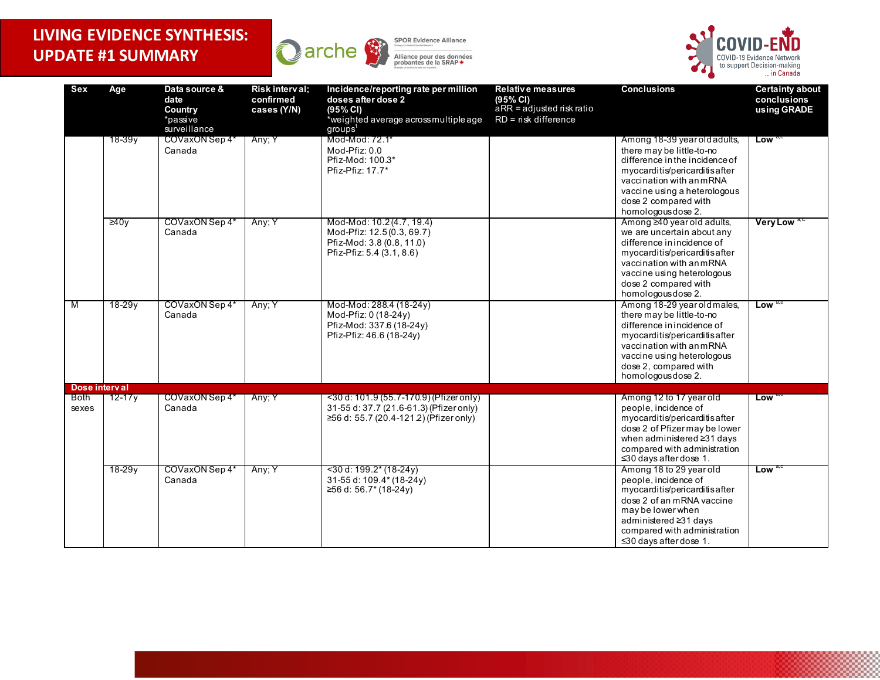





| Sex                   | Age        | Data source &<br>date<br>Country<br>*passive<br>surveillance | Risk interval:<br>confirmed<br>cases (Y/N) | Incidence/reporting rate per million<br>doses after dose 2<br>(95% CI)<br>weighted average across multiple age<br>groups' | <b>Relative measures</b><br>(95% CI)<br>$\overline{a}RR = \overline{a}d$ justed risk ratio<br>$RD =$ risk difference | <b>Conclusions</b>                                                                                                                                                                                                                     | <b>Certainty about</b><br>conclusions<br>using GRADE |
|-----------------------|------------|--------------------------------------------------------------|--------------------------------------------|---------------------------------------------------------------------------------------------------------------------------|----------------------------------------------------------------------------------------------------------------------|----------------------------------------------------------------------------------------------------------------------------------------------------------------------------------------------------------------------------------------|------------------------------------------------------|
|                       | 18-39y     | COVaxON Sep 4*<br>Canada                                     | Any; Y                                     | Mod-Mod: 72.1*<br>Mod-Pfiz: 0.0<br>Pfiz-Mod: 100.3*<br>Pfiz-Pfiz: 17.7*                                                   |                                                                                                                      | Among 18-39 year old adults,<br>there may be little-to-no<br>difference in the incidence of<br>myocarditis/pericarditisafter<br>vaccination with an mRNA<br>vaccine using a heterologous<br>dose 2 compared with<br>homologous dose 2. | $Low$ $\alpha$                                       |
|                       | 240y       | COVaxON Sep 4*<br>Canada                                     | Any; Y                                     | Mod-Mod: 10.2(4.7, 19.4)<br>Mod-Pfiz: 12.5(0.3, 69.7)<br>Pfiz-Mod: 3.8 (0.8, 11.0)<br>Pfiz-Pfiz: 5.4 (3.1, 8.6)           |                                                                                                                      | Among ≥40 year old adults,<br>we are uncertain about any<br>difference in incidence of<br>myocarditis/pericarditisafter<br>vaccination with an mRNA<br>vaccine using heterologous<br>dose 2 compared with<br>homologous dose 2.        | Very Low <sup>a,</sup>                               |
| M                     | 18-29 v    | COVaxON Sep 4*<br>Canada                                     | Any; Y                                     | Mod-Mod: 288.4 (18-24y)<br>Mod-Pfiz: 0 (18-24y)<br>Pfiz-Mod: 337.6 (18-24y)<br>Pfiz-Pfiz: 46.6 (18-24y)                   |                                                                                                                      | Among 18-29 year old males,<br>there may be little-to-no<br>difference in incidence of<br>myocarditis/pericarditisafter<br>vaccination with an mRNA<br>vaccine using heterologous<br>dose 2, compared with<br>homologous dose 2.       | $Low$ <sup>a,</sup>                                  |
| Dose interval<br>Both | $12 - 17y$ | COVaxON Sep 4*                                               | Any; Y                                     | <30 d: 101.9 (55.7-170.9) (Pfizer only)                                                                                   |                                                                                                                      | Among 12 to 17 year old                                                                                                                                                                                                                | Low                                                  |
| sexes                 |            | Canada                                                       |                                            | 31-55 d: 37.7 (21.6-61.3) (Pfizer only)<br>≥56 d: 55.7 (20.4-121.2) (Pfizer only)                                         |                                                                                                                      | people, incidence of<br>myocarditis/pericarditisafter<br>dose 2 of Pfizer may be lower<br>when administered ≥31 days<br>compared with administration<br>$\leq$ 30 days after dose 1.                                                   |                                                      |
|                       | 18-29y     | COVaxON Sep 4<br>Canada                                      | Any; Y                                     | <30 d: 199.2* (18-24y)<br>31-55 d: 109.4* (18-24y)<br>$≥56 d: 56.7*(18-24v)$                                              |                                                                                                                      | Among 18 to 29 year old<br>people, incidence of<br>myocarditis/pericarditisafter<br>dose 2 of an mRNA vaccine<br>may be lower when<br>administered ≥31 days<br>compared with administration<br>$\leq$ 30 days after dose 1.            | Low                                                  |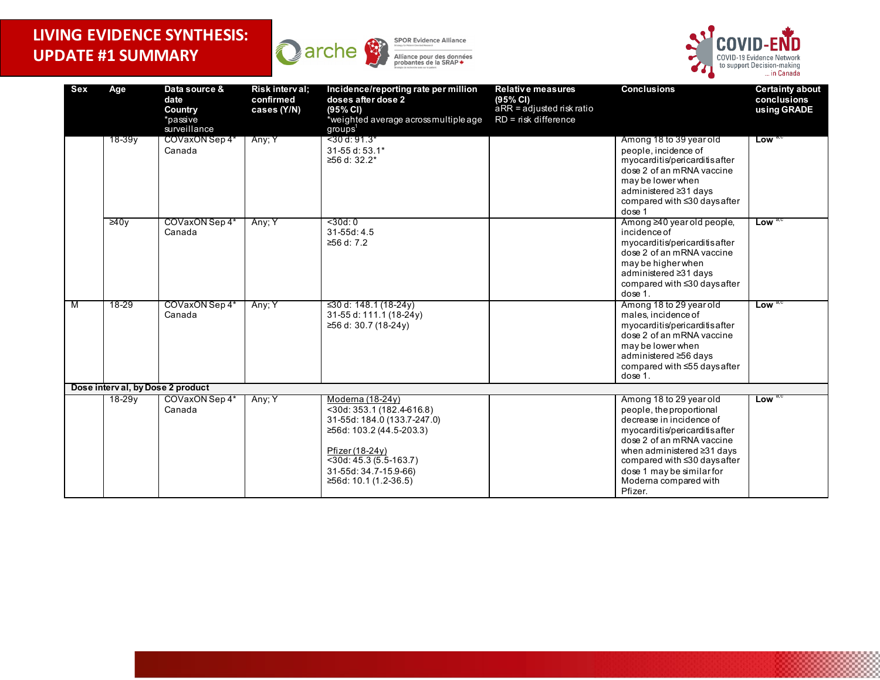





| Sex | Age        | Data source &<br>date<br>Country<br>*passive<br>surveillance | Risk interval;<br>confirmed<br>cases (Y/N) | Incidence/reporting rate per million<br>doses after dose 2<br>(95% CI)<br>weighted average across multiple age<br>groups <sup>1</sup>                                                                      | Relative measures<br>(95% CI)<br>$\overline{a}RR = \overline{a}djusted$ risk ratio<br>$RD =$ risk difference | <b>Conclusions</b>                                                                                                                                                                                                                                                           | <b>Certainty about</b><br>conclusions<br>using GRADE |
|-----|------------|--------------------------------------------------------------|--------------------------------------------|------------------------------------------------------------------------------------------------------------------------------------------------------------------------------------------------------------|--------------------------------------------------------------------------------------------------------------|------------------------------------------------------------------------------------------------------------------------------------------------------------------------------------------------------------------------------------------------------------------------------|------------------------------------------------------|
|     | 18-39y     | COVaxON Sep 4*<br>Canada                                     | Any; Y                                     | $<$ 30 d: 91.3 $*$<br>31-55 d: 53.1*<br>≥56 d: 32.2*                                                                                                                                                       |                                                                                                              | Among 18 to 39 year old<br>people, incidence of<br>myocarditis/pericarditisafter<br>dose 2 of an mRNA vaccine<br>may be lower when<br>administered ≥31 days<br>compared with ≤30 days after<br>dose 1                                                                        | $Low^{\alpha}$                                       |
|     | $\geq 40v$ | COVaxON Sep 4*<br>Canada                                     | Any; Y                                     | < 30d: 0<br>$31-55d: 4.5$<br>≥56 d: 7.2                                                                                                                                                                    |                                                                                                              | Among ≥40 year old people,<br>incidence of<br>myocarditis/pericarditisafter<br>dose 2 of an mRNA vaccine<br>may be higher when<br>administered ≥31 days<br>compared with ≤30 days after<br>dose 1.                                                                           | $Low$ <sup>a,c</sup>                                 |
| - M | 18-29      | COVaxON Sep 4*<br>Canada                                     | Any; Y                                     | ≤30 d: 148.1 (18-24y)<br>31-55 d: 111.1 (18-24y)<br>≥56 d: 30.7 (18-24y)                                                                                                                                   |                                                                                                              | Among 18 to 29 year old<br>males incidence of<br>myocarditis/pericarditisafter<br>dose 2 of an mRNA vaccine<br>may be lower when<br>administered ≥56 days<br>compared with ≤55 days after<br>dose 1.                                                                         | Low <sup>a,c</sup>                                   |
|     |            | Dose interval, by Dose 2 product                             |                                            |                                                                                                                                                                                                            |                                                                                                              |                                                                                                                                                                                                                                                                              |                                                      |
|     | 18-29 v    | COVaxON Sep 4*<br>Canada                                     | Any; Y                                     | Moderna (18-24y)<br><30d: 353.1 (182.4-616.8)<br>31-55d: 184.0 (133.7-247.0)<br>≥56d: 103.2 (44.5-203.3)<br>Pfizer (18-24y)<br>$<$ 30d: 45.3 (5.5-163.7)<br>31-55d: 34.7-15.9-66)<br>≥56d: 10.1 (1.2-36.5) |                                                                                                              | Among 18 to 29 year old<br>people, the proportional<br>decrease in incidence of<br>myocarditis/pericarditisafter<br>dose 2 of an mRNA vaccine<br>when administered ≥31 days<br>compared with ≤30 days after<br>dose 1 may be similar for<br>Moderna compared with<br>Pfizer. | Low <sup>a,c</sup>                                   |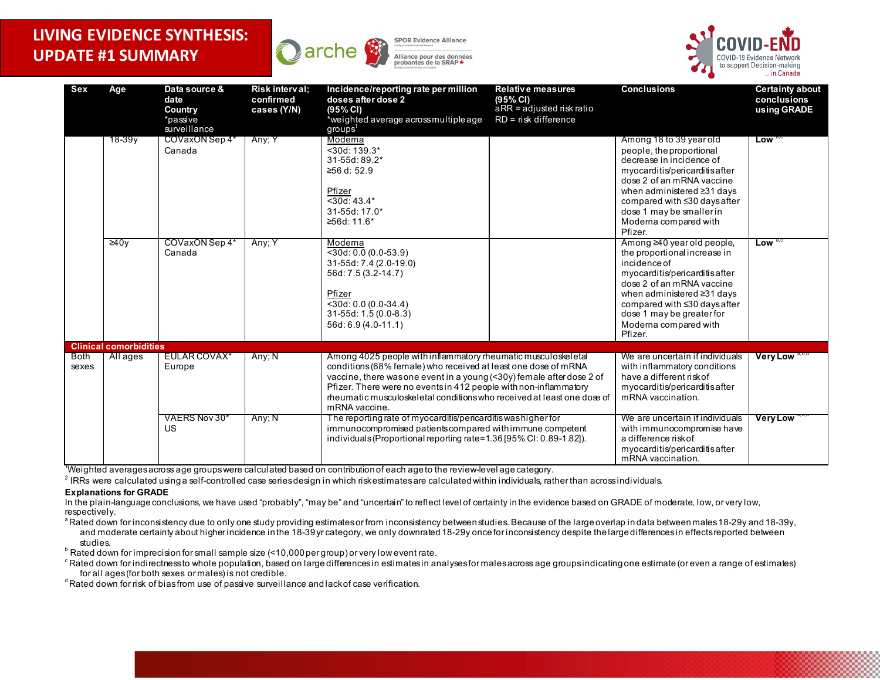





| Sex                  | Age                                          | Data source &<br>date<br>Country<br>*passive<br>surveillance | Risk interval:<br>confirmed<br>cases (Y/N) | Incidence/reporting rate per million<br>doses after dose 2<br>(95% CI)<br>*weighted average across multiple age<br>groups'                                                                                                                                                                                                                                              | <b>Relative measures</b><br>(95% CI)<br>$aRR = adjusted risk ratio$<br>$RD =$ risk difference | <b>Conclusions</b>                                                                                                                                                                                                                                                          | <b>Certainty about</b><br>conclusions<br>using GRADE |
|----------------------|----------------------------------------------|--------------------------------------------------------------|--------------------------------------------|-------------------------------------------------------------------------------------------------------------------------------------------------------------------------------------------------------------------------------------------------------------------------------------------------------------------------------------------------------------------------|-----------------------------------------------------------------------------------------------|-----------------------------------------------------------------------------------------------------------------------------------------------------------------------------------------------------------------------------------------------------------------------------|------------------------------------------------------|
|                      | 18-39y                                       | <b>COVaxON Sep 4*</b><br>Canada                              | Any; Y                                     | Moderna<br>$<$ 30d: 139.3*<br>31-55d: 89.2*<br>≥56 d: 52.9<br>Pfizer<br>$\overline{<}30d.43.4*$<br>31-55d: 17.0*<br>≥56d: 11.6*                                                                                                                                                                                                                                         |                                                                                               | Among 18 to 39 year old<br>people, the proportional<br>decrease in incidence of<br>myocarditis/pericarditisafter<br>dose 2 of an mRNA vaccine<br>when administered ≥31 days<br>compared with ≤30 days after<br>dose 1 may be smaller in<br>Moderna compared with<br>Pfizer. | Low <sup>a</sup>                                     |
|                      | 240v                                         | COVaxON Sep 4*<br>Canada                                     | Any; Y                                     | Modema<br>$\sqrt{30d: 0.0}$ (0.0-53.9)<br>31-55d: 7.4 (2.0-19.0)<br>56d: 7.5 (3.2-14.7)<br>Pfizer<br>$<$ 30d: 0.0 (0.0-34.4)<br>31-55d: 1.5 (0.0-8.3)<br>56d: 6.9 (4.0-11.1)                                                                                                                                                                                            |                                                                                               | Among ≥40 year old people,<br>the proportional increase in<br>incidence of<br>myocarditis/pericarditisafter<br>dose 2 of an mRNA vaccine<br>when administered ≥31 days<br>compared with ≤30 days after<br>dose 1 may be greater for<br>Moderna compared with<br>Pfizer.     | Low <sup>a</sup>                                     |
|                      | <b>Clinical comorbidities</b>                |                                                              |                                            |                                                                                                                                                                                                                                                                                                                                                                         |                                                                                               |                                                                                                                                                                                                                                                                             |                                                      |
| <b>Both</b><br>sexes | EULAR COVAX*<br>All ages<br>Any; N<br>Europe |                                                              |                                            | Among 4025 people with inflammatory rheumatic musculoskeletal<br>conditions (68% female) who received at least one dose of mRNA<br>vaccine, there wasone event in a young (< 30y) female after dose 2 of<br>Pfizer. There were no events in 412 people with non-inflammatory<br>rheumatic musculoskeletal conditions who received at least one dose of<br>mRNA vaccine. |                                                                                               | We are uncertain if individuals<br>with inflammatory conditions<br>have a different risk of<br>myocarditis/pericarditisafter<br>mRNA vaccination.                                                                                                                           | <b>Very Low</b>                                      |
|                      |                                              | VAERS Nov 30*<br><b>US</b>                                   | Any; N                                     | The reporting rate of myocarditis/pericarditis was higher for<br>immunocompromised patients compared with immune competent<br>individuals (Proportional reporting rate=1.36 [95% CI: 0.89-1.82]).                                                                                                                                                                       |                                                                                               | We are uncertain if individuals<br>with immunocompromise have<br>a difference risk of<br>myocarditis/pericarditisafter<br>mRNA vaccination.                                                                                                                                 | <b>Very Low</b>                                      |

1 Weighted averages across age groups were calculated based on contribution of each age to the review-level age category.

 $<sup>2</sup>$  IRRs were calculated using a self-controlled case series design in which risk estimates are calculated within individuals, rather than across individuals.</sup>

#### **Explanations for GRADE**

In the plain-language conclusions, we have used "probably", "may be" and "uncertain" to reflect level of certainty in the evidence based on GRADE of moderate, low, or very low, respectively.

<sup>a</sup> Rated down for inconsistency due to only one study providing estimates or from inconsistency between studies. Because of the large overlap in data between males 18-29y and 18-39y, and moderate certainty about higher incidence in the 18-39 yr category, we only downrated 18-29y once for inconsistency despite the large differences in effects reported between

studies.<br><sup>b</sup> Rated down for imprecision for small sample size (<10,000 per group) or very low event rate.<br><sup>c</sup> Rated down for indirectness to whole population, based on large differences in estimates in analyses for males a

 $d$  Rated down for risk of bias from use of passive surveillance and lack of case verification.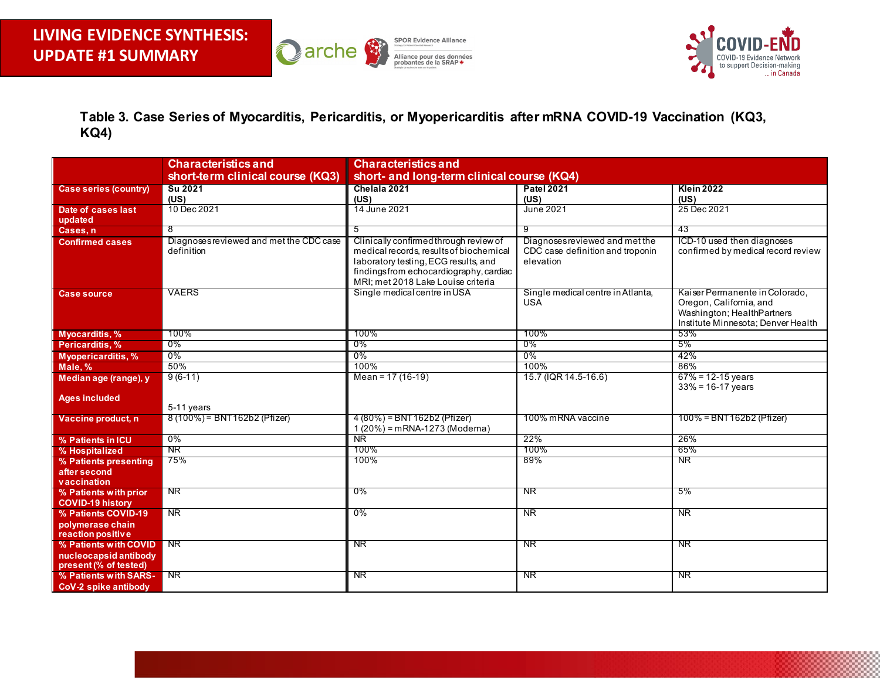



**Table 3. Case Series of Myocarditis, Pericarditis, or Myopericarditis after mRNA COVID-19 Vaccination (KQ3, KQ4)**

<span id="page-17-0"></span>

|                                                                         | <b>Characteristics and</b>                            | <b>Characteristics and</b>                                                                                                                                                                                |                                                                                 |                                                                                                                               |
|-------------------------------------------------------------------------|-------------------------------------------------------|-----------------------------------------------------------------------------------------------------------------------------------------------------------------------------------------------------------|---------------------------------------------------------------------------------|-------------------------------------------------------------------------------------------------------------------------------|
|                                                                         | short-term clinical course (KQ3)                      | short- and long-term clinical course (KQ4)                                                                                                                                                                |                                                                                 |                                                                                                                               |
| <b>Case series (country)</b>                                            | Su 2021                                               | Chelala 2021                                                                                                                                                                                              | <b>Patel 2021</b>                                                               | <b>Klein 2022</b>                                                                                                             |
|                                                                         | (US)                                                  | (US)                                                                                                                                                                                                      | (US)                                                                            | (US)                                                                                                                          |
| Date of cases last<br>updated                                           | 10 Dec 2021                                           | 14 June 2021                                                                                                                                                                                              | June 2021                                                                       | 25 Dec 2021                                                                                                                   |
| Cases, n                                                                | 8                                                     | 5                                                                                                                                                                                                         | -9                                                                              | -43                                                                                                                           |
| <b>Confirmed cases</b>                                                  | Diagnoses reviewed and met the CDC case<br>definition | Clinically confirmed through review of<br>medical records, results of biochemical<br>laboratory testing, ECG results, and<br>findingsfrom echocardiography, cardiac<br>MRI; met 2018 Lake Louise criteria | Diagnoses reviewed and met the<br>CDC case definition and troponin<br>elevation | ICD-10 used then diagnoses<br>confirmed by medical record review                                                              |
| <b>Case source</b>                                                      | <b>VAERS</b>                                          | Single medical centre in USA                                                                                                                                                                              | Single medical centre in Atlanta,<br><b>USA</b>                                 | Kaiser Permanente in Colorado,<br>Oregon, California, and<br>Washington; HealthPartners<br>Institute Minnesota; Denver Health |
| Myocarditis, %                                                          | 100%                                                  | 100%                                                                                                                                                                                                      | 100%                                                                            | 53%                                                                                                                           |
| Pericarditis, %                                                         | 0%                                                    | 0%                                                                                                                                                                                                        | 0%                                                                              | 5%                                                                                                                            |
| Myopericarditis, %                                                      | $0\%$                                                 | 0%                                                                                                                                                                                                        | $0\%$                                                                           | 42%                                                                                                                           |
| Male, %                                                                 | 50%                                                   | 100%                                                                                                                                                                                                      | 100%                                                                            | 86%                                                                                                                           |
| Median age (range), y<br><b>Ages included</b>                           | $9(6-11)$                                             | Mean = $17(16-19)$                                                                                                                                                                                        | $15.7$ (IQR 14.5-16.6)                                                          | $67\% = 12 - 15$ years<br>$33\% = 16 - 17$ years                                                                              |
|                                                                         | 5-11 years                                            |                                                                                                                                                                                                           |                                                                                 |                                                                                                                               |
| Vaccine product, n                                                      | 8 (100%) = BNT 162b2 (Pfizer)                         | $4(80\%) = BNT162b2 (Pfizer)$<br>1 (20%) = mRNA-1273 (Moderna)                                                                                                                                            | 100% mRNA vaccine                                                               | 100% = BNT 162b2 (Pfizer)                                                                                                     |
| % Patients in ICU                                                       | 0%                                                    | <b>NR</b>                                                                                                                                                                                                 | 22%                                                                             | 26%                                                                                                                           |
| % Hospitalized                                                          | NR                                                    | 100%                                                                                                                                                                                                      | 100%                                                                            | 65%                                                                                                                           |
| % Patients presenting<br>after second<br>vaccination                    | 75%                                                   | 100%                                                                                                                                                                                                      | 89%                                                                             | NR.                                                                                                                           |
| % Patients with prior<br><b>COVID-19 history</b>                        | NR.                                                   | 0%                                                                                                                                                                                                        | NR                                                                              | 5%                                                                                                                            |
| % Patients COVID-19<br>polymerase chain<br>reaction positive            | NR.                                                   | $0\%$                                                                                                                                                                                                     | NR                                                                              | NR                                                                                                                            |
| % Patients with COVID<br>nucleocapsid antibody<br>present (% of tested) | NR.                                                   | NR.                                                                                                                                                                                                       | NR.                                                                             | NR.                                                                                                                           |
| % Patients with SARS-<br>CoV-2 spike antibody                           | NR.                                                   | NR.                                                                                                                                                                                                       | NR.                                                                             | NR.                                                                                                                           |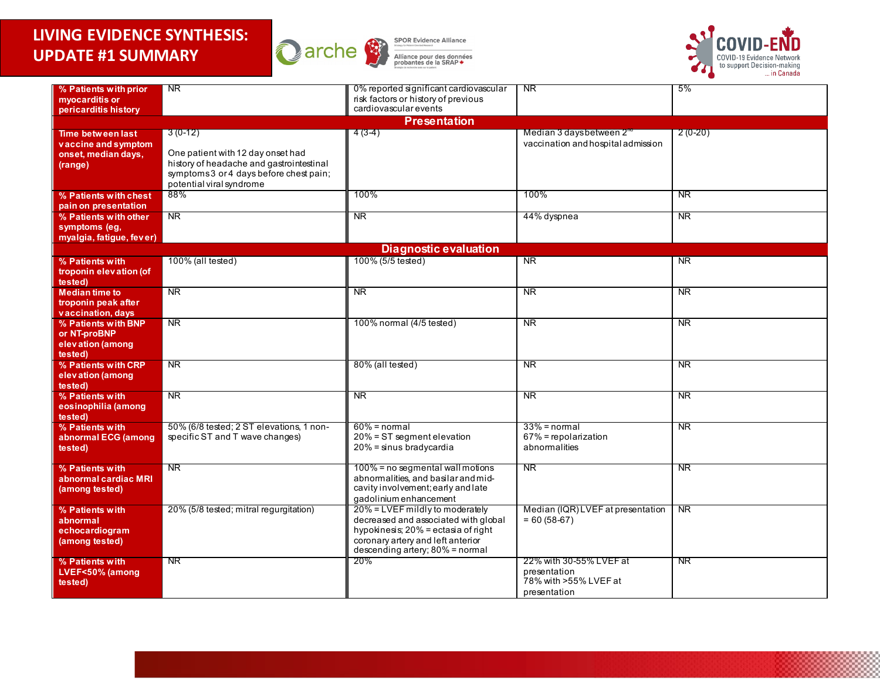





| % Patients with prior                    | NR                                                                  | 0% reported significant cardiovascular                                   | NR.                                   | $5\%$                  |
|------------------------------------------|---------------------------------------------------------------------|--------------------------------------------------------------------------|---------------------------------------|------------------------|
| myocarditis or<br>pericarditis history   |                                                                     | risk factors or history of previous<br>cardiovascular events             |                                       |                        |
|                                          |                                                                     | <b>Presentation</b>                                                      |                                       |                        |
| <b>Time between last</b>                 | $3(0-12)$                                                           | $4(3-4)$                                                                 | Median 3 days between 2 <sup>nd</sup> | $2(0-20)$              |
| vaccine and symptom                      |                                                                     |                                                                          | vaccination and hospital admission    |                        |
| onset, median days,                      | One patient with 12 day onset had                                   |                                                                          |                                       |                        |
| (range)                                  | history of headache and gastrointestinal                            |                                                                          |                                       |                        |
|                                          | symptoms 3 or 4 days before chest pain;<br>potential viral syndrome |                                                                          |                                       |                        |
| % Patients with chest                    | 88%                                                                 | 100%                                                                     | 100%                                  | $\overline{\text{NR}}$ |
| pain on presentation                     |                                                                     |                                                                          |                                       |                        |
| % Patients with other                    | <b>NR</b>                                                           | <b>NR</b>                                                                | 44% dyspnea                           | <b>NR</b>              |
| symptoms (eg,                            |                                                                     |                                                                          |                                       |                        |
| myalgia, fatigue, fever)                 |                                                                     | <b>Diagnostic evaluation</b>                                             |                                       |                        |
| % Patients with                          | 100% (all tested)                                                   | 100% (5/5 tested)                                                        | NR <sup>1</sup>                       | $\overline{\text{NR}}$ |
| troponin elevation (of                   |                                                                     |                                                                          |                                       |                        |
| tested)                                  |                                                                     |                                                                          |                                       |                        |
| <b>Median time to</b>                    | <b>NR</b>                                                           | NR.                                                                      | NR.                                   | NR <sup>1</sup>        |
| troponin peak after<br>vaccination, days |                                                                     |                                                                          |                                       |                        |
| % Patients with BNP                      | NR                                                                  | 100% normal (4/5 tested)                                                 | NR <sup>1</sup>                       | $\overline{\text{NR}}$ |
| or NT-proBNP                             |                                                                     |                                                                          |                                       |                        |
| elevation (among                         |                                                                     |                                                                          |                                       |                        |
| tested)                                  |                                                                     |                                                                          |                                       |                        |
| % Patients with CRP<br>elevation (among  | NR                                                                  | 80% (all tested)                                                         | <b>NR</b>                             | NR.                    |
| tested)                                  |                                                                     |                                                                          |                                       |                        |
| % Patients with                          | NR                                                                  | <b>NR</b>                                                                | NR                                    | NR                     |
| eosinophilia (among                      |                                                                     |                                                                          |                                       |                        |
| tested)<br>% Patients with               | 50% (6/8 tested; 2 ST elevations, 1 non-                            | $60\%$ = normal                                                          | $33% = normal$                        | $\overline{\text{NR}}$ |
| abnormal ECG (among                      | specific ST and T wave changes)                                     | 20% = ST segment elevation                                               | $67%$ = repolarization                |                        |
| tested)                                  |                                                                     | 20% = sinus bradycardia                                                  | abnormalities                         |                        |
|                                          |                                                                     |                                                                          |                                       |                        |
| % Patients with<br>abnormal cardiac MRI  | NR                                                                  | 100% = no segmental wall motions<br>abnormalities, and basilar and mid-  | NR.                                   | NR                     |
| (among tested)                           |                                                                     | cavity involvement; early and late                                       |                                       |                        |
|                                          |                                                                     | gadolinium enhancement                                                   |                                       |                        |
| % Patients with                          | 20% (5/8 tested; mitral regurgitation)                              | 20% = LVEF mildly to moderately                                          | Median (IQR) LVEF at presentation     | $\overline{\text{NR}}$ |
| abnormal                                 |                                                                     | decreased and associated with global                                     | $= 60(58-67)$                         |                        |
| echocardiogram<br>(among tested)         |                                                                     | hypokinesis; 20% = ectasia of right<br>coronary artery and left anterior |                                       |                        |
|                                          |                                                                     | descending artery; 80% = normal                                          |                                       |                        |
| % Patients with                          | NR                                                                  | 20%                                                                      | 22% with 30-55% LVEF at               | NR                     |
| LVEF<50% (among                          |                                                                     |                                                                          | presentation<br>78% with >55% LVEF at |                        |
| tested)                                  |                                                                     |                                                                          | presentation                          |                        |
|                                          |                                                                     |                                                                          |                                       |                        |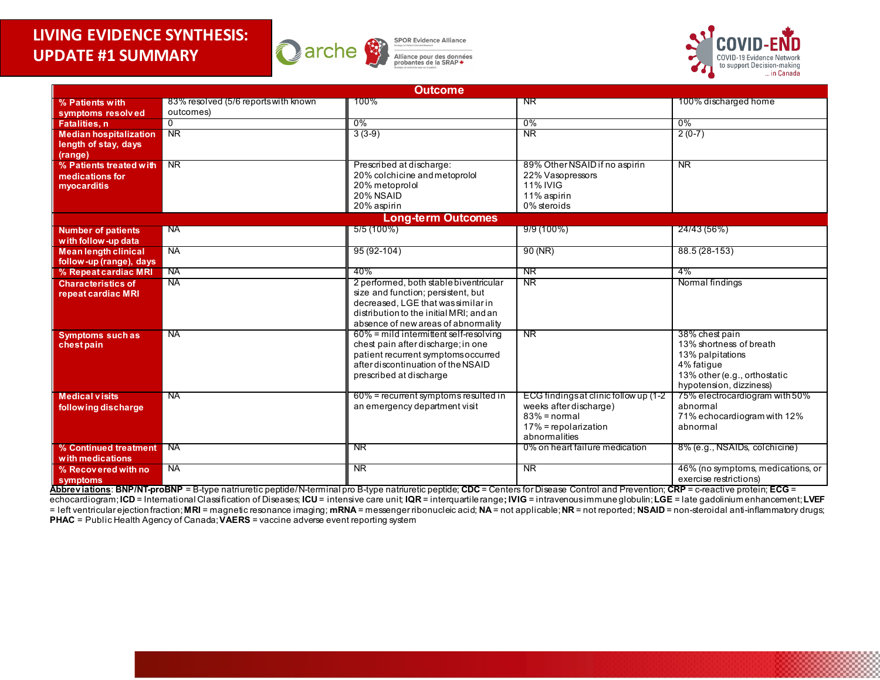

**SPOR Evidence Alliance** Alliance pour des données<br>probantes de la SRAP +



|                                      |                                      | <b>Outcome</b>                                                                |                                       |                                   |
|--------------------------------------|--------------------------------------|-------------------------------------------------------------------------------|---------------------------------------|-----------------------------------|
| % Patients with                      | 83% resolved (5/6 reports with known | 100%                                                                          | ΝR                                    | 100% discharged home              |
| symptoms resolved                    | outcomes)                            |                                                                               |                                       |                                   |
| <b>Fatalities, n</b>                 | $\overline{0}$                       | $0\%$                                                                         | 0%                                    | $0\%$                             |
| <b>Median hospitalization</b>        | NR                                   | $3(3-9)$                                                                      | <b>NR</b>                             | $2(0-7)$                          |
| length of stay, days                 |                                      |                                                                               |                                       |                                   |
| (range)                              |                                      |                                                                               |                                       |                                   |
| % Patients treated with              | NR                                   | Prescribed at discharge:                                                      | 89% Other NSAID if no aspirin         | NR.                               |
| medications for                      |                                      | 20% colchicine and metoprolol                                                 | 22% Vasopressors                      |                                   |
| myocarditis                          |                                      | 20% metoprolol                                                                | 11% IVIG                              |                                   |
|                                      |                                      | 20% NSAID                                                                     | 11% aspirin                           |                                   |
|                                      |                                      | 20% aspirin                                                                   | 0% steroids                           |                                   |
|                                      |                                      | <b>Long-term Outcomes</b>                                                     |                                       |                                   |
| <b>Number of patients</b>            | <b>NA</b>                            | $5/5(100\%)$                                                                  | $9/9(100\%)$                          | 24/43 (56%)                       |
| with follow-up data                  |                                      |                                                                               |                                       |                                   |
| <b>Mean length clinical</b>          | <b>NA</b>                            | $95(92-104)$                                                                  | $90$ (NR)                             | 88.5 (28-153)                     |
| follow-up (range), days              |                                      |                                                                               |                                       |                                   |
| % Repeat cardiac MRI                 | -NA                                  | 40%                                                                           | NR.                                   | 4%                                |
| <b>Characteristics of</b>            | <b>NA</b>                            | 2 performed, both stable biventricular                                        | <b>NR</b>                             | Normal findings                   |
| repeat cardiac MRI                   |                                      | size and function; persistent, but                                            |                                       |                                   |
|                                      |                                      | decreased, LGE that was similar in<br>distribution to the initial MRI; and an |                                       |                                   |
|                                      |                                      | absence of new areas of abnormality                                           |                                       |                                   |
|                                      | <b>NA</b>                            | $60\%$ = mild intermittent self-resolving                                     | <b>NR</b>                             | 38% chest pain                    |
| <b>Symptoms such as</b><br>chestpain |                                      | chest pain after discharge; in one                                            |                                       | 13% shortness of breath           |
|                                      |                                      | patient recurrent symptoms occurred                                           |                                       | 13% palpitations                  |
|                                      |                                      | after discontinuation of the NSAID                                            |                                       | 4% fatique                        |
|                                      |                                      | prescribed at discharge                                                       |                                       | 13% other (e.g., orthostatic      |
|                                      |                                      |                                                                               |                                       | hypotension, dizziness)           |
| <b>Medical visits</b>                | <b>NA</b>                            | $60\%$ = recurrent symptoms resulted in                                       | ECG findings at clinic follow up (1-2 | 75% electrocardiogram with 50%    |
| following discharge                  |                                      | an emergency department visit                                                 | weeks after discharge)                | abnormal                          |
|                                      |                                      |                                                                               | $83% = normal$                        | 71% echocardiogram with 12%       |
|                                      |                                      |                                                                               | $17%$ = repolarization                | abnormal                          |
|                                      |                                      |                                                                               | abnormalities                         |                                   |
| % Continued treatment                | - NA                                 | NR.                                                                           | 0% on heart failure medication        | 8% (e.g., NSAIDs, colchicine)     |
| with medications                     |                                      |                                                                               |                                       |                                   |
| % Recovered with no                  | <b>NA</b>                            | <b>NR</b>                                                                     | <b>NR</b>                             | 46% (no symptoms, medications, or |
| symptoms                             |                                      |                                                                               |                                       | exercise restrictions)            |

**Abbrev iations**: **BNP/NT-proBNP** = B-type natriuretic peptide/ N-terminal pro B-type natriuretic peptide; **CDC** = Centers for Disease Control and Prevention; **CRP** = c-reactive protein; **ECG** = echocardiogram; ICD = International Classification of Diseases; ICU = intensive care unit; IQR = interquartilerange; IVIG = intravenous immune globulin; LGE = late gadolinium enhancement; LVEF = left ventricular ejection fraction; MRI = magnetic resonance imaging; mRNA = messenger ribonucleic acid; NA = not applicable; NR = not reported; NSAID = non-steroidal anti-inflammatory drugs; **PHAC** = Public Health Agency of Canada; **VAERS** = vaccine adverse event reporting system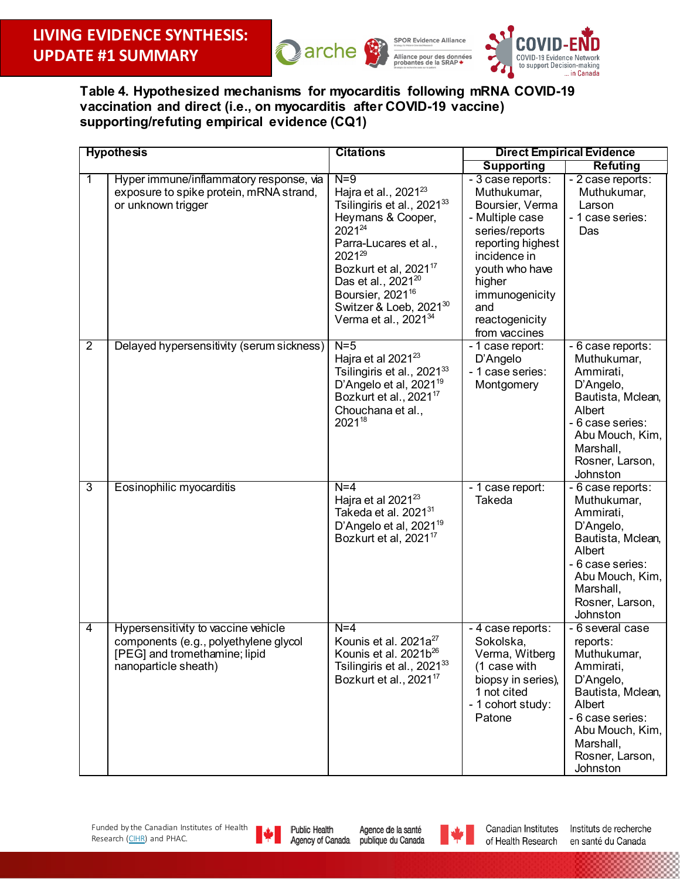



<span id="page-20-0"></span>**Table 4. Hypothesized mechanisms for myocarditis following mRNA COVID-19 vaccination and direct (i.e., on myocarditis after COVID-19 vaccine) supporting/refuting empirical evidence (CQ1)**

|                | <b>Hypothesis</b>                                                                                                                     | <b>Citations</b>                                                                                                                                                                                                                                                                                                                                 | <b>Direct Empirical Evidence</b>                                                                                                                                                                                      |                                                                                                                                                                                         |
|----------------|---------------------------------------------------------------------------------------------------------------------------------------|--------------------------------------------------------------------------------------------------------------------------------------------------------------------------------------------------------------------------------------------------------------------------------------------------------------------------------------------------|-----------------------------------------------------------------------------------------------------------------------------------------------------------------------------------------------------------------------|-----------------------------------------------------------------------------------------------------------------------------------------------------------------------------------------|
|                |                                                                                                                                       |                                                                                                                                                                                                                                                                                                                                                  | <b>Supporting</b>                                                                                                                                                                                                     | <b>Refuting</b>                                                                                                                                                                         |
| 1              | Hyper immune/inflammatory response, via<br>exposure to spike protein, mRNA strand,<br>or unknown trigger                              | $N=9$<br>Hajra et al., $2021^{23}$<br>Tsilingiris et al., 2021 <sup>33</sup><br>Heymans & Cooper,<br>2021 <sup>24</sup><br>Parra-Lucares et al.,<br>2021 <sup>29</sup><br>Bozkurt et al, 2021 <sup>17</sup><br>Das et al., 2021 <sup>20</sup><br>Boursier, 2021 <sup>16</sup><br>Switzer & Loeb, 2021 <sup>30</sup><br>Verma et al., $2021^{34}$ | - 3 case reports:<br>Muthukumar,<br>Boursier, Verma<br>- Multiple case<br>series/reports<br>reporting highest<br>incidence in<br>youth who have<br>higher<br>immunogenicity<br>and<br>reactogenicity<br>from vaccines | - 2 case reports:<br>Muthukumar,<br>Larson<br>- 1 case series:<br>Das                                                                                                                   |
| $\overline{2}$ | Delayed hypersensitivity (serum sickness)                                                                                             | $N=5$<br>Hajra et al 2021 <sup>23</sup><br>Tsilingiris et al., 2021 <sup>33</sup><br>D'Angelo et al, 2021 <sup>19</sup><br>Bozkurt et al., 2021 <sup>17</sup><br>Chouchana et al.,<br>2021 <sup>18</sup>                                                                                                                                         | - 1 case report:<br>D'Angelo<br>- 1 case series:<br>Montgomery                                                                                                                                                        | - 6 case reports:<br>Muthukumar,<br>Ammirati,<br>D'Angelo,<br>Bautista, Mclean,<br>Albert<br>- 6 case series:<br>Abu Mouch, Kim,<br>Marshall,<br>Rosner, Larson,<br>Johnston            |
| 3              | Eosinophilic myocarditis                                                                                                              | $N=4$<br>Hajra et al 2021 <sup>23</sup><br>Takeda et al. 2021 <sup>31</sup><br>D'Angelo et al, 2021 <sup>19</sup><br>Bozkurt et al, 2021 <sup>17</sup>                                                                                                                                                                                           | - 1 case report:<br>Takeda                                                                                                                                                                                            | - 6 case reports:<br>Muthukumar,<br>Ammirati,<br>D'Angelo,<br>Bautista, Mclean,<br>Albert<br>- 6 case series:<br>Abu Mouch, Kim,<br>Marshall,<br>Rosner, Larson,<br>Johnston            |
| 4              | Hypersensitivity to vaccine vehicle<br>components (e.g., polyethylene glycol<br>[PEG] and tromethamine; lipid<br>nanoparticle sheath) | $N=4$<br>Kounis et al. 2021a <sup>27</sup><br>Kounis et al. 2021b <sup>26</sup><br>Tsilingiris et al., 2021 <sup>33</sup><br>Bozkurt et al., 2021 <sup>17</sup>                                                                                                                                                                                  | - 4 case reports:<br>Sokolska,<br>Verma, Witberg<br>(1 case with<br>biopsy in series),<br>1 not cited<br>- 1 cohort study:<br>Patone                                                                                  | - 6 several case<br>reports:<br>Muthukumar,<br>Ammirati,<br>D'Angelo,<br>Bautista, Mclean,<br>Albert<br>- 6 case series:<br>Abu Mouch, Kim,<br>Marshall,<br>Rosner, Larson,<br>Johnston |



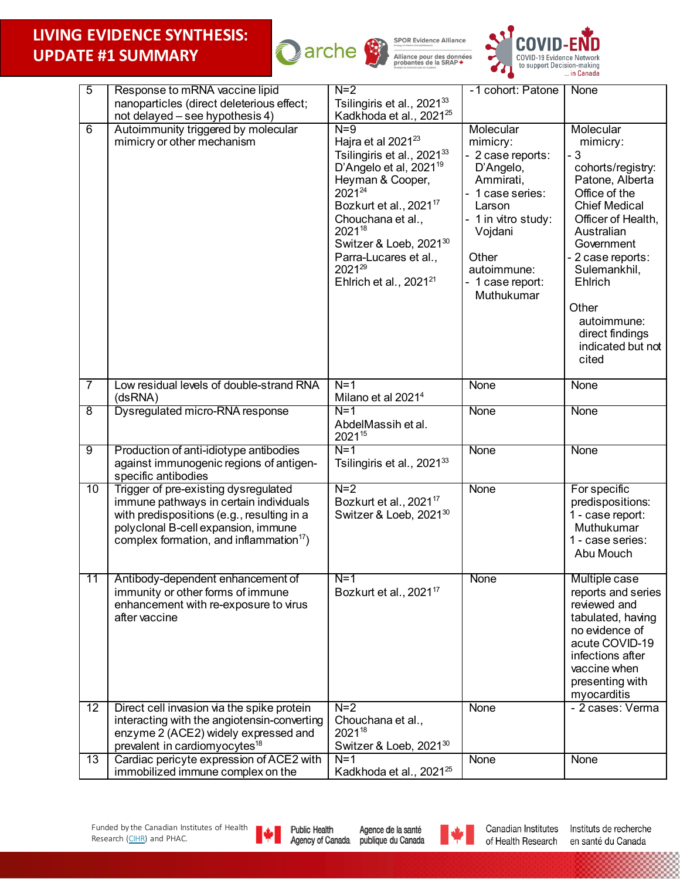



| $\overline{5}$  | Response to mRNA vaccine lipid                                                                                                                                                                                             | $N=2$                                                                                                                                                                                                                                                                                                                                                      | -1 cohort: Patone                                                                                                                                                                            | None                                                                                                                                                                                                                                                                                     |
|-----------------|----------------------------------------------------------------------------------------------------------------------------------------------------------------------------------------------------------------------------|------------------------------------------------------------------------------------------------------------------------------------------------------------------------------------------------------------------------------------------------------------------------------------------------------------------------------------------------------------|----------------------------------------------------------------------------------------------------------------------------------------------------------------------------------------------|------------------------------------------------------------------------------------------------------------------------------------------------------------------------------------------------------------------------------------------------------------------------------------------|
|                 | nanoparticles (direct deleterious effect;<br>not delayed - see hypothesis 4)                                                                                                                                               | Tsilingiris et al., 2021 <sup>33</sup><br>Kadkhoda et al., 2021 <sup>25</sup>                                                                                                                                                                                                                                                                              |                                                                                                                                                                                              |                                                                                                                                                                                                                                                                                          |
| 6               | Autoimmunity triggered by molecular<br>mimicry or other mechanism                                                                                                                                                          | $N=9$<br>Hajra et al 2021 <sup>23</sup><br>Tsilingiris et al., 2021 <sup>33</sup><br>D'Angelo et al, 2021 <sup>19</sup><br>Heyman & Cooper,<br>2021 <sup>24</sup><br>Bozkurt et al., 2021 <sup>17</sup><br>Chouchana et al.,<br>202118<br>Switzer & Loeb, 2021 <sup>30</sup><br>Parra-Lucares et al.,<br>2021 <sup>29</sup><br>Ehlrich et al., $2021^{21}$ | Molecular<br>mimicry:<br>- 2 case reports:<br>D'Angelo,<br>Ammirati,<br>1 case series:<br>Larson<br>- 1 in vitro study:<br>Vojdani<br>Other<br>autoimmune:<br>- 1 case report:<br>Muthukumar | Molecular<br>mimicry:<br>- 3<br>cohorts/registry:<br>Patone, Alberta<br>Office of the<br><b>Chief Medical</b><br>Officer of Health,<br>Australian<br>Government<br>- 2 case reports:<br>Sulemankhil,<br>Ehlrich<br>Other<br>autoimmune:<br>direct findings<br>indicated but not<br>cited |
| 7               | Low residual levels of double-strand RNA<br>(dsRNA)                                                                                                                                                                        | $N=1$<br>Milano et al 2021 <sup>4</sup>                                                                                                                                                                                                                                                                                                                    | None                                                                                                                                                                                         | None                                                                                                                                                                                                                                                                                     |
| $\overline{8}$  | Dysregulated micro-RNA response                                                                                                                                                                                            | N=1<br>AbdelMassih et al.<br>202115                                                                                                                                                                                                                                                                                                                        | None                                                                                                                                                                                         | None                                                                                                                                                                                                                                                                                     |
| 9               | Production of anti-idiotype antibodies<br>against immunogenic regions of antigen-<br>specific antibodies                                                                                                                   | $N=1$<br>Tsilingiris et al., 2021 <sup>33</sup>                                                                                                                                                                                                                                                                                                            | None                                                                                                                                                                                         | None                                                                                                                                                                                                                                                                                     |
| $\overline{10}$ | Trigger of pre-existing dysregulated<br>immune pathways in certain individuals<br>with predispositions (e.g., resulting in a<br>polyclonal B-cell expansion, immune<br>complex formation, and inflammation <sup>17</sup> ) | $N=2$<br>Bozkurt et al., 2021 <sup>17</sup><br>Switzer & Loeb, 2021 <sup>30</sup>                                                                                                                                                                                                                                                                          | None                                                                                                                                                                                         | For specific<br>predispositions:<br>1 - case report:<br>Muthukumar<br>1 - case series:<br>Abu Mouch                                                                                                                                                                                      |
|                 | 11   Antibody-dependent enhancement of<br>immunity or other forms of immune<br>enhancement with re-exposure to virus<br>after vaccine                                                                                      | $N=1$<br>Bozkurt et al., 2021 <sup>17</sup>                                                                                                                                                                                                                                                                                                                | <b>None</b>                                                                                                                                                                                  | Multiple case<br>reports and series<br>reviewed and<br>tabulated, having<br>no evidence of<br>acute COVID-19<br>infections after<br>vaccine when<br>presenting with<br>myocarditis                                                                                                       |
| 12              | Direct cell invasion via the spike protein<br>interacting with the angiotensin-converting<br>enzyme 2 (ACE2) widely expressed and<br>prevalent in cardiomyocytes <sup>18</sup>                                             | $N=2$<br>Chouchana et al.,<br>202118<br>Switzer & Loeb, 2021 <sup>30</sup>                                                                                                                                                                                                                                                                                 | None                                                                                                                                                                                         | - 2 cases: Verma                                                                                                                                                                                                                                                                         |
| 13              | Cardiac pericyte expression of ACE2 with<br>immobilized immune complex on the                                                                                                                                              | $N=1$<br>Kadkhoda et al., 2021 <sup>25</sup>                                                                                                                                                                                                                                                                                                               | None                                                                                                                                                                                         | None                                                                                                                                                                                                                                                                                     |



Agence de la santé **Public Health** Agency of Canada publique du Canada

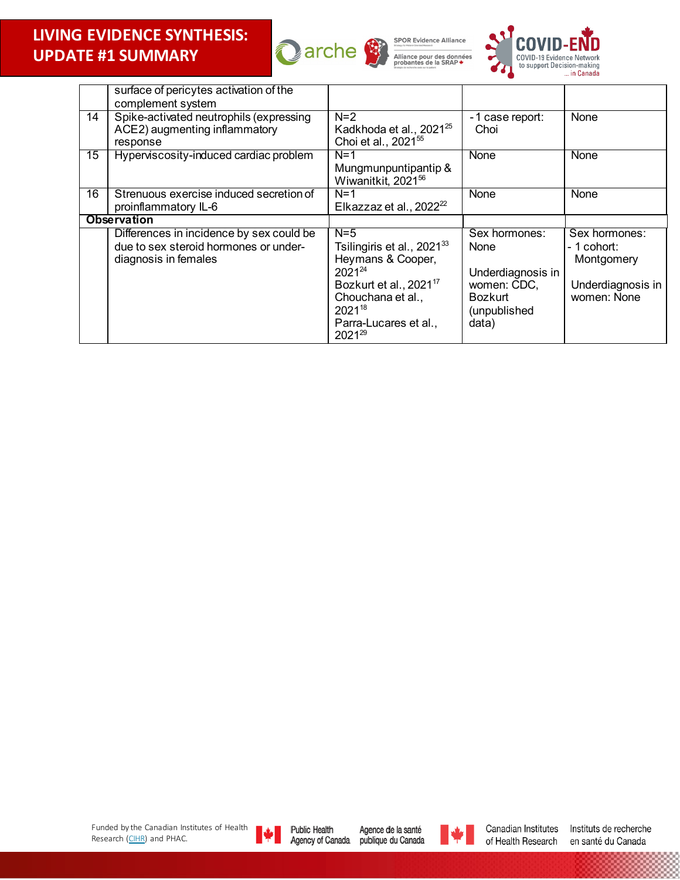

Alliance pour des données<br>probantes de la SRAP \*



|    | surface of pericytes activation of the<br>complement system                                               |                                                                                                                                                                                                        |                                                                                                      |                                                                                |
|----|-----------------------------------------------------------------------------------------------------------|--------------------------------------------------------------------------------------------------------------------------------------------------------------------------------------------------------|------------------------------------------------------------------------------------------------------|--------------------------------------------------------------------------------|
| 14 | Spike-activated neutrophils (expressing<br>ACE2) augmenting inflammatory<br>response                      | $N=2$<br>Kadkhoda et al., 2021 <sup>25</sup><br>Choi et al., 2021 <sup>55</sup>                                                                                                                        | -1 case report:<br>Choi                                                                              | None                                                                           |
| 15 | Hyperviscosity-induced cardiac problem                                                                    | $N=1$<br>Mungmunpuntipantip &<br>Wiwanitkit, 2021 <sup>56</sup>                                                                                                                                        | None                                                                                                 | None                                                                           |
| 16 | Strenuous exercise induced secretion of<br>proinflammatory IL-6                                           | $N=1$<br>Elkazzaz et al., $2022^{22}$                                                                                                                                                                  | None                                                                                                 | None                                                                           |
|    | <b>Observation</b>                                                                                        |                                                                                                                                                                                                        |                                                                                                      |                                                                                |
|    | Differences in incidence by sex could be<br>due to sex steroid hormones or under-<br>diagnosis in females | $N=5$<br>Tsilingiris et al., 2021 $^{33}$<br>Heymans & Cooper,<br>$2021^{24}$<br>Bozkurt et al., 2021 <sup>17</sup><br>Chouchana et al.,<br>2021 <sup>18</sup><br>Parra-Lucares et al.,<br>$2021^{29}$ | Sex hormones:<br>None<br>Underdiagnosis in<br>women: CDC,<br><b>Bozkurt</b><br>(unpublished<br>data) | Sex hormones:<br>- 1 cohort:<br>Montgomery<br>Underdiagnosis in<br>women: None |





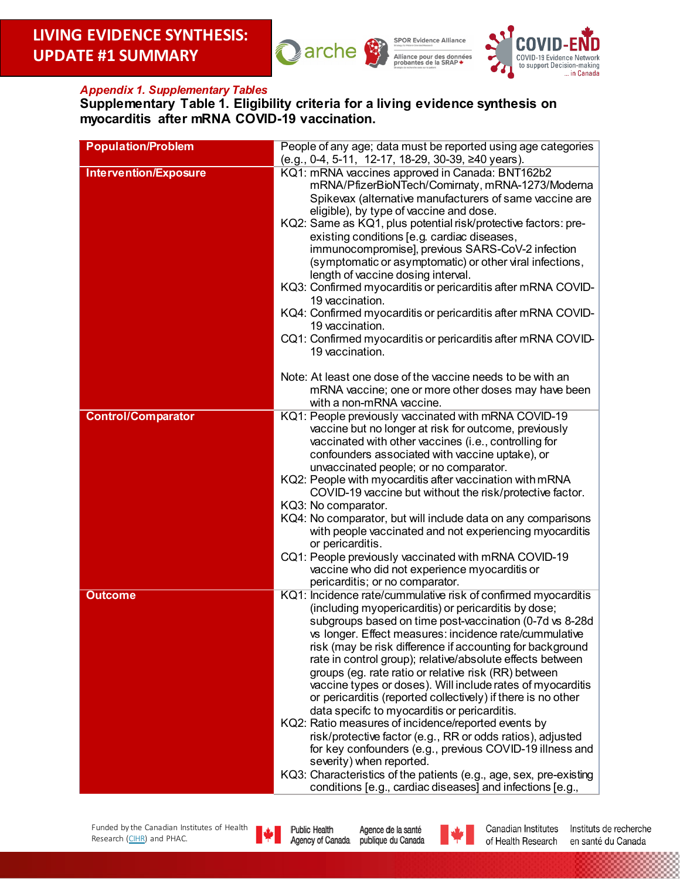



### *Appendix 1. Supplementary Tables*

<span id="page-23-0"></span>**Supplementary Table 1. Eligibility criteria for a living evidence synthesis on myocarditis after mRNA COVID-19 vaccination.**

| <b>Population/Problem</b>    | People of any age; data must be reported using age categories                                                        |
|------------------------------|----------------------------------------------------------------------------------------------------------------------|
|                              | (e.g., 0-4, 5-11, 12-17, 18-29, 30-39, ≥40 years).                                                                   |
| <b>Intervention/Exposure</b> | KQ1: mRNA vaccines approved in Canada: BNT162b2<br>mRNA/PfizerBioNTech/Comirnaty, mRNA-1273/Moderna                  |
|                              | Spikevax (alternative manufacturers of same vaccine are                                                              |
|                              | eligible), by type of vaccine and dose.                                                                              |
|                              | KQ2: Same as KQ1, plus potential risk/protective factors: pre-<br>existing conditions [e.g. cardiac diseases,        |
|                              | immunocompromise], previous SARS-CoV-2 infection                                                                     |
|                              | (symptomatic or asymptomatic) or other viral infections,                                                             |
|                              | length of vaccine dosing interval.                                                                                   |
|                              | KQ3: Confirmed myocarditis or pericarditis after mRNA COVID-                                                         |
|                              | 19 vaccination.                                                                                                      |
|                              | KQ4: Confirmed myocarditis or pericarditis after mRNA COVID-<br>19 vaccination.                                      |
|                              | CQ1: Confirmed myocarditis or pericarditis after mRNA COVID-<br>19 vaccination.                                      |
|                              | Note: At least one dose of the vaccine needs to be with an                                                           |
|                              | mRNA vaccine; one or more other doses may have been                                                                  |
|                              | with a non-mRNA vaccine.                                                                                             |
| <b>Control/Comparator</b>    | KQ1: People previously vaccinated with mRNA COVID-19                                                                 |
|                              | vaccine but no longer at risk for outcome, previously                                                                |
|                              | vaccinated with other vaccines (i.e., controlling for                                                                |
|                              | confounders associated with vaccine uptake), or                                                                      |
|                              | unvaccinated people; or no comparator.                                                                               |
|                              | KQ2: People with myocarditis after vaccination with mRNA<br>COVID-19 vaccine but without the risk/protective factor. |
|                              | KQ3: No comparator.                                                                                                  |
|                              | KQ4: No comparator, but will include data on any comparisons                                                         |
|                              | with people vaccinated and not experiencing myocarditis<br>or pericarditis.                                          |
|                              | CQ1: People previously vaccinated with mRNA COVID-19                                                                 |
|                              | vaccine who did not experience myocarditis or                                                                        |
|                              | pericarditis; or no comparator.                                                                                      |
| <b>Outcome</b>               | KQ1: Incidence rate/cummulative risk of confirmed myocarditis                                                        |
|                              | (including myopericarditis) or pericarditis by dose;                                                                 |
|                              | subgroups based on time post-vaccination (0-7d vs 8-28d<br>vs longer. Effect measures: incidence rate/cummulative    |
|                              | risk (may be risk difference if accounting for background                                                            |
|                              | rate in control group); relative/absolute effects between                                                            |
|                              | groups (eg. rate ratio or relative risk (RR) between                                                                 |
|                              | vaccine types or doses). Will include rates of myocarditis                                                           |
|                              | or pericarditis (reported collectively) if there is no other                                                         |
|                              | data specifc to myocarditis or pericarditis.<br>KQ2: Ratio measures of incidence/reported events by                  |
|                              | risk/protective factor (e.g., RR or odds ratios), adjusted                                                           |
|                              | for key confounders (e.g., previous COVID-19 illness and                                                             |
|                              | severity) when reported.                                                                                             |
|                              | KQ3: Characteristics of the patients (e.g., age, sex, pre-existing                                                   |
|                              | conditions [e.g., cardiac diseases] and infections [e.g.,                                                            |



**Public Health** Agence de la santé Agency of Canada publique du Canada

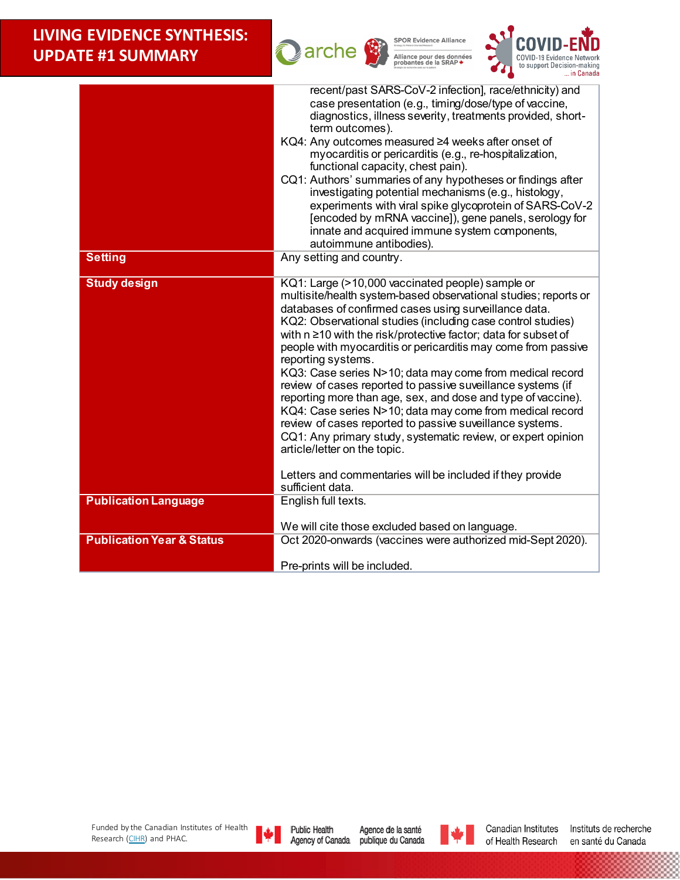**SPOR Evidence Alliance** 野 **Q**arche Alliance pour des données<br>probantes de la SRAP \*



|                                      | recent/past SARS-CoV-2 infection], race/ethnicity) and                                                       |
|--------------------------------------|--------------------------------------------------------------------------------------------------------------|
|                                      | case presentation (e.g., timing/dose/type of vaccine,                                                        |
|                                      | diagnostics, illness severity, treatments provided, short-                                                   |
|                                      | term outcomes).                                                                                              |
|                                      | KQ4: Any outcomes measured ≥4 weeks after onset of<br>myocarditis or pericarditis (e.g., re-hospitalization, |
|                                      | functional capacity, chest pain).                                                                            |
|                                      | CQ1: Authors' summaries of any hypotheses or findings after                                                  |
|                                      | investigating potential mechanisms (e.g., histology,                                                         |
|                                      | experiments with viral spike glycoprotein of SARS-CoV-2                                                      |
|                                      | [encoded by mRNA vaccine]), gene panels, serology for                                                        |
|                                      | innate and acquired immune system components,                                                                |
|                                      | autoimmune antibodies).<br>Any setting and country.                                                          |
| <b>Setting</b>                       |                                                                                                              |
| <b>Study design</b>                  | KQ1: Large (>10,000 vaccinated people) sample or                                                             |
|                                      | multisite/health system-based observational studies; reports or                                              |
|                                      | databases of confirmed cases using surveillance data.                                                        |
|                                      | KQ2: Observational studies (including case control studies)                                                  |
|                                      | with n ≥10 with the risk/protective factor; data for subset of                                               |
|                                      | people with myocarditis or pericarditis may come from passive<br>reporting systems.                          |
|                                      | KQ3: Case series N>10; data may come from medical record                                                     |
|                                      | review of cases reported to passive suveillance systems (if                                                  |
|                                      | reporting more than age, sex, and dose and type of vaccine).                                                 |
|                                      | KQ4: Case series N>10; data may come from medical record                                                     |
|                                      | review of cases reported to passive suveillance systems.                                                     |
|                                      | CQ1: Any primary study, systematic review, or expert opinion                                                 |
|                                      | article/letter on the topic.                                                                                 |
|                                      | Letters and commentaries will be included if they provide                                                    |
|                                      | sufficient data.                                                                                             |
| <b>Publication Language</b>          | English full texts.                                                                                          |
|                                      |                                                                                                              |
|                                      | We will cite those excluded based on language.                                                               |
| <b>Publication Year &amp; Status</b> | Oct 2020-onwards (vaccines were authorized mid-Sept 2020).                                                   |
|                                      | Pre-prints will be included.                                                                                 |

Funded by the Canadian Institutes of Health Research [\(CIHR\)](http://www.cihr-irsc.gc.ca/e/193.html) and PHAC.



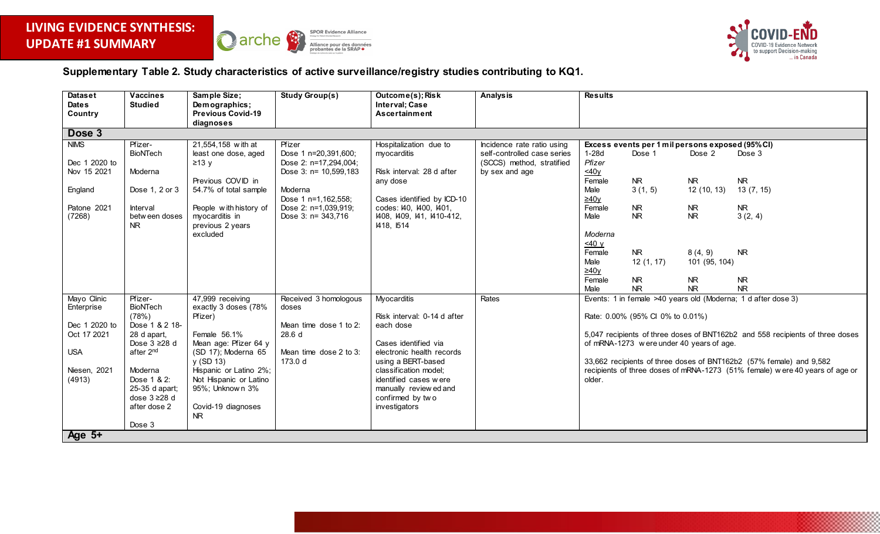



### **Supplementary Table 2. Study characteristics of active surveillance/registry studies contributing to KQ1.**

<span id="page-25-0"></span>

| <b>Dataset</b><br><b>Dates</b>              | <b>Vaccines</b><br><b>Studied</b>                                                    | Sample Size;<br>Demographics;                                                                                          | <b>Study Group(s)</b>                                                            | Outcome(s); Risk<br>Interval; Case                                                                                                  | <b>Analysis</b>                                                                                          | <b>Results</b>                                                                                                                                                |                                   |                                      |                                                                                                                                                    |
|---------------------------------------------|--------------------------------------------------------------------------------------|------------------------------------------------------------------------------------------------------------------------|----------------------------------------------------------------------------------|-------------------------------------------------------------------------------------------------------------------------------------|----------------------------------------------------------------------------------------------------------|---------------------------------------------------------------------------------------------------------------------------------------------------------------|-----------------------------------|--------------------------------------|----------------------------------------------------------------------------------------------------------------------------------------------------|
| Country                                     |                                                                                      | <b>Previous Covid-19</b><br>diagnoses                                                                                  |                                                                                  | Ascertainment                                                                                                                       |                                                                                                          |                                                                                                                                                               |                                   |                                      |                                                                                                                                                    |
| Dose 3                                      |                                                                                      |                                                                                                                        |                                                                                  |                                                                                                                                     |                                                                                                          |                                                                                                                                                               |                                   |                                      |                                                                                                                                                    |
| <b>NIMS</b><br>Dec 1 2020 to<br>Nov 15 2021 | Pfizer-<br>BioNTech<br>Moderna                                                       | 21,554,158 with at<br>least one dose, aged<br>$\geq$ 13 y                                                              | Pfizer<br>Dose 1 n=20,391,600;<br>Dose 2: n=17,294,004;<br>Dose 3: n= 10,599,183 | Hospitalization due to<br>myocarditis<br>Risk interval: 28 d after                                                                  | Incidence rate ratio using<br>self-controlled case series<br>(SCCS) method, stratified<br>by sex and age | Excess events per 1 mil persons exposed (95% CI)<br>$1-28d$<br>Pfizer<br>40y                                                                                  | Dose 1                            | Dose 2                               | Dose 3                                                                                                                                             |
| England<br>Patone 2021                      | Dose 1, 2 or 3<br>Interval                                                           | Previous COVID in<br>54.7% of total sample<br>People with history of                                                   | Moderna<br>Dose 1 n=1,162,558;<br>Dose 2: n=1,039,919;                           | any dose<br>Cases identified by ICD-10<br>codes: $40, 400, 401,$                                                                    |                                                                                                          | Female<br>Male<br>$\frac{\geq 40y}{\text{Female}}$                                                                                                            | <b>NR</b><br>3(1, 5)<br><b>NR</b> | <b>NR</b><br>12(10, 13)<br><b>NR</b> | <b>NR</b><br>13(7, 15)<br><b>NR</b>                                                                                                                |
| (7268)                                      | betw een doses<br><b>NR</b>                                                          | myocarditis in<br>previous 2 years<br>excluded                                                                         | Dose 3: n= 343,716                                                               | 1408, 1409, 141, 1410-412,<br>1418, 1514                                                                                            |                                                                                                          | Male<br>Moderna                                                                                                                                               | <b>NR</b>                         | <b>NR</b>                            | 3(2, 4)                                                                                                                                            |
|                                             |                                                                                      |                                                                                                                        |                                                                                  |                                                                                                                                     |                                                                                                          | $<$ 40 $y$<br>Female<br>Male<br>$\geq 40y$                                                                                                                    | <b>NR</b><br>12(1, 17)            | 8(4, 9)<br>101 (95, 104)             | <b>NR</b>                                                                                                                                          |
|                                             |                                                                                      |                                                                                                                        |                                                                                  |                                                                                                                                     |                                                                                                          | Female<br>Male                                                                                                                                                | <b>NR</b><br><b>NR</b>            | NR.<br><b>NR</b>                     | <b>NR</b><br>${\sf NR}$                                                                                                                            |
| Mayo Clinic<br>Enterprise                   | Pfizer-<br>BioNTech                                                                  | 47,999 receiving<br>exactly 3 doses (78%                                                                               | Received 3 homologous<br>doses                                                   | Myocarditis                                                                                                                         | Rates                                                                                                    |                                                                                                                                                               |                                   |                                      | Events: 1 in female >40 years old (Moderna; 1 d after dose 3)                                                                                      |
| Dec 1 2020 to<br>Oct 17 2021<br><b>USA</b>  | (78%)<br>Dose 1 & 2 18-<br>28 d apart,<br>Dose $3 \ge 28$ d<br>after 2 <sup>nd</sup> | Pfizer)<br>Female 56.1%<br>Mean age: Pfizer 64 y<br>(SD 17); Moderna 65                                                | Mean time dose 1 to 2:<br>28.6 d<br>Mean time dose 2 to 3:                       | Risk interval: 0-14 d after<br>each dose<br>Cases identified via<br>electronic health records                                       |                                                                                                          | Rate: 0.00% (95% CI 0% to 0.01%)<br>5,047 recipients of three doses of BNT162b2 and 558 recipients of three doses<br>of mRNA-1273 were under 40 years of age. |                                   |                                      |                                                                                                                                                    |
| Niesen, 2021<br>(4913)                      | Moderna<br>Dose 1 & 2:<br>25-35 d apart;<br>dose $3 \ge 28$ d<br>after dose 2        | $y$ (SD 13)<br>Hispanic or Latino 2%;<br>Not Hispanic or Latino<br>95%; Unknow n 3%<br>Covid-19 diagnoses<br><b>NR</b> | 173.0 d                                                                          | using a BERT-based<br>classification model;<br>identified cases were<br>manually review ed and<br>confirmed by two<br>investigators |                                                                                                          | older.                                                                                                                                                        |                                   |                                      | 33,662 recipients of three doses of BNT162b2 (57% female) and 9,582<br>recipients of three doses of mRNA-1273 (51% female) were 40 years of age or |
| Age $5+$                                    | Dose 3                                                                               |                                                                                                                        |                                                                                  |                                                                                                                                     |                                                                                                          |                                                                                                                                                               |                                   |                                      |                                                                                                                                                    |
|                                             |                                                                                      |                                                                                                                        |                                                                                  |                                                                                                                                     |                                                                                                          |                                                                                                                                                               |                                   |                                      |                                                                                                                                                    |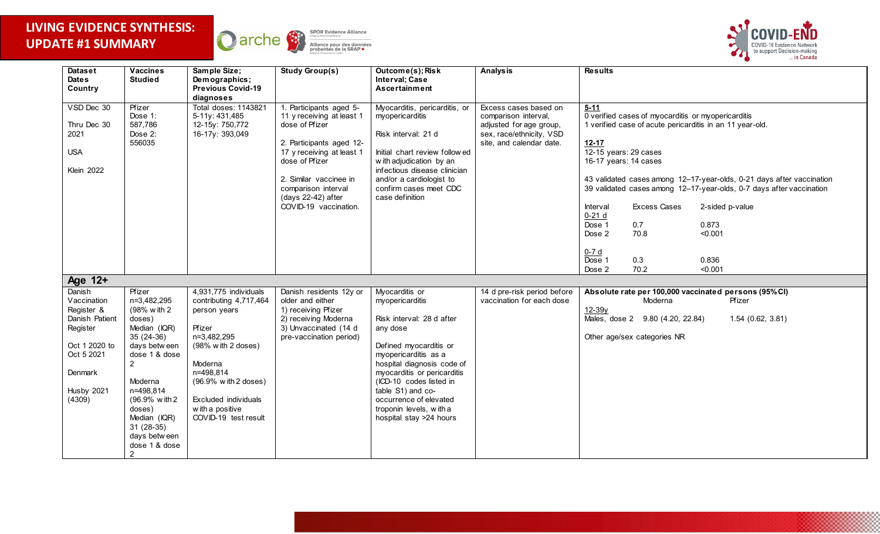



| <b>Dataset</b><br><b>Dates</b>                                                                                                      | <b>Vaccines</b><br><b>Studied</b>                                                                                                                                                                                                           | Sample Size;<br>Demographics;                                                                                                                                                                                                        | <b>Study Group(s)</b>                                                                                                                                                                                                                             | Outcome(s); Risk<br><b>Interval</b> ; Case                                                                                                                                                                                                                                                                                | <b>Analysis</b>                                                                                                                  | <b>Results</b>                                                                                                                                                                                                                                                                                                                                                                                 |
|-------------------------------------------------------------------------------------------------------------------------------------|---------------------------------------------------------------------------------------------------------------------------------------------------------------------------------------------------------------------------------------------|--------------------------------------------------------------------------------------------------------------------------------------------------------------------------------------------------------------------------------------|---------------------------------------------------------------------------------------------------------------------------------------------------------------------------------------------------------------------------------------------------|---------------------------------------------------------------------------------------------------------------------------------------------------------------------------------------------------------------------------------------------------------------------------------------------------------------------------|----------------------------------------------------------------------------------------------------------------------------------|------------------------------------------------------------------------------------------------------------------------------------------------------------------------------------------------------------------------------------------------------------------------------------------------------------------------------------------------------------------------------------------------|
| Country                                                                                                                             |                                                                                                                                                                                                                                             | <b>Previous Covid-19</b>                                                                                                                                                                                                             |                                                                                                                                                                                                                                                   | Ascertainment                                                                                                                                                                                                                                                                                                             |                                                                                                                                  |                                                                                                                                                                                                                                                                                                                                                                                                |
|                                                                                                                                     |                                                                                                                                                                                                                                             | diagnoses                                                                                                                                                                                                                            |                                                                                                                                                                                                                                                   |                                                                                                                                                                                                                                                                                                                           |                                                                                                                                  |                                                                                                                                                                                                                                                                                                                                                                                                |
| VSD Dec 30<br>Thru Dec 30<br>2021<br><b>USA</b><br><b>Klein 2022</b>                                                                | Pfizer<br>Dose 1:<br>587,786<br>Dose 2:<br>556035                                                                                                                                                                                           | <b>Total doses: 1143821</b><br>5-11y: 431,485<br>12-15y: 750,772<br>16-17y: 393,049                                                                                                                                                  | 1. Participants aged 5-<br>11 y receiving at least 1<br>dose of Pfizer<br>2. Participants aged 12-<br>17 y receiving at least 1<br>dose of Pfizer<br>2. Similar vaccinee in<br>comparison interval<br>(days 22-42) after<br>COVID-19 vaccination. | Myocarditis, pericarditis, or<br>myopericarditis<br>Risk interval: 21 d<br>Initial chart review followed<br>with adjudication by an<br>infectious disease clinician<br>and/or a cardiologist to<br>confirm cases meet CDC<br>case definition                                                                              | Excess cases based on<br>comparison interval,<br>adjusted for age group,<br>sex, race/ethnicity, VSD<br>site, and calendar date. | $5-11$<br>0 verified cases of myocarditis or myopericarditis<br>1 verified case of acute pericarditis in an 11 year-old.<br>$12 - 17$<br>12-15 years: 29 cases<br>16-17 years: 14 cases<br>43 validated cases among 12-17-year-olds, 0-21 days after vaccination<br>39 validated cases among 12-17-year-olds, 0-7 days after vaccination<br>Interval<br><b>Excess Cases</b><br>2-sided p-value |
|                                                                                                                                     |                                                                                                                                                                                                                                             |                                                                                                                                                                                                                                      |                                                                                                                                                                                                                                                   |                                                                                                                                                                                                                                                                                                                           |                                                                                                                                  | $0-21d$<br>Dose 1<br>0.7<br>0.873<br>70.8<br>Dose 2<br>< 0.001<br>$0-7d$<br>Dose 1<br>0.3<br>0.836<br>70.2<br>Dose 2<br>< 0.001                                                                                                                                                                                                                                                                |
| Age 12+                                                                                                                             |                                                                                                                                                                                                                                             |                                                                                                                                                                                                                                      |                                                                                                                                                                                                                                                   |                                                                                                                                                                                                                                                                                                                           |                                                                                                                                  |                                                                                                                                                                                                                                                                                                                                                                                                |
| Danish<br>Vaccination<br>Register &<br>Danish Patient<br>Register<br>Oct 1 2020 to<br>Oct 5 2021<br>Denmark<br>Husby 2021<br>(4309) | Pfizer<br>n=3,482,295<br>(98% with 2<br>doses)<br>Median (IQR)<br>$35(24-36)$<br>days between<br>dose 1 & dose<br>2<br>Moderna<br>n=498,814<br>(96.9% with 2<br>doses)<br>Median (IQR)<br>$31(28-35)$<br>days between<br>dose 1 & dose<br>2 | 4,931,775 individuals<br>contributing 4,717,464<br>person years<br>Pfizer<br>n=3,482,295<br>(98% with 2 doses)<br>Moderna<br>n=498,814<br>$(96.9%$ with 2 doses)<br>Excluded individuals<br>w ith a positive<br>COVID-19 test result | Danish residents 12y or<br>older and either<br>1) receiving Pfizer<br>2) receiving Moderna<br>3) Unvaccinated (14 d<br>pre-vaccination period)                                                                                                    | Myocarditis or<br>myopericarditis<br>Risk interval: 28 d after<br>any dose<br>Defined myocarditis or<br>myopericarditis as a<br>hospital diagnosis code of<br>myocarditis or pericarditis<br>(ICD-10 codes listed in<br>table S1) and co-<br>occurrence of elevated<br>troponin levels, with a<br>hospital stay >24 hours | 14 d pre-risk period before<br>vaccination for each dose                                                                         | Absolute rate per 100,000 vaccinated persons (95% CI)<br>Moderna<br>Pfizer<br>12-39v<br>Males, dose 2 9.80 (4.20, 22.84)<br>1.54(0.62, 3.81)<br>Other age/sex categories NR                                                                                                                                                                                                                    |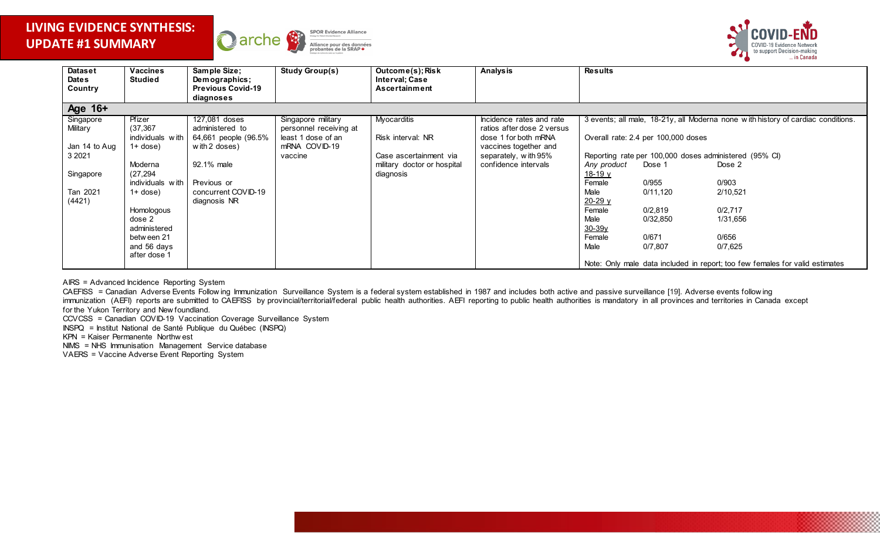



| <b>Dataset</b> | Vaccines         | Sample Size:             | <b>Study Group(s)</b>  | Outcome(s); Risk            | <b>Analysis</b>            | <b>Results</b> |                                     |                                                                                  |
|----------------|------------------|--------------------------|------------------------|-----------------------------|----------------------------|----------------|-------------------------------------|----------------------------------------------------------------------------------|
| <b>Dates</b>   | <b>Studied</b>   | Demographics;            |                        | <b>Interval</b> ; Case      |                            |                |                                     |                                                                                  |
| Country        |                  | <b>Previous Covid-19</b> |                        | Ascertainment               |                            |                |                                     |                                                                                  |
|                |                  | diagnoses                |                        |                             |                            |                |                                     |                                                                                  |
| Age 16+        |                  |                          |                        |                             |                            |                |                                     |                                                                                  |
| Singapore      | Pfizer           | 127,081 doses            | Singapore military     | Myocarditis                 | Incidence rates and rate   |                |                                     | 3 events; all male, 18-21y, all Moderna none with history of cardiac conditions. |
| Military       | (37, 367)        | administered to          | personnel receiving at |                             | ratios after dose 2 versus |                |                                     |                                                                                  |
|                | individuals with | 64,661 people (96.5%     | least 1 dose of an     | Risk interval: NR           | dose 1 for both mRNA       |                | Overall rate: 2.4 per 100,000 doses |                                                                                  |
| Jan 14 to Aug  | $1+$ dose)       | with 2 doses)            | mRNA COVID-19          |                             | vaccines together and      |                |                                     |                                                                                  |
| 3 2021         |                  |                          | vaccine                | Case ascertainment via      | separately, with 95%       |                |                                     | Reporting rate per 100,000 doses administered (95% CI)                           |
|                | Moderna          | 92.1% male               |                        | military doctor or hospital | confidence intervals       | Any product    | Dose 1                              | Dose 2                                                                           |
| Singapore      | (27, 294)        |                          |                        | diagnosis                   |                            | 18-19 y        |                                     |                                                                                  |
|                | individuals with | Previous or              |                        |                             |                            | Female         | 0/955                               | 0/903                                                                            |
| Tan 2021       | $1+$ dose)       | concurrent COVID-19      |                        |                             |                            | Male           | 0/11,120                            | 2/10,521                                                                         |
| (4421)         |                  | diagnosis NR             |                        |                             |                            | $20 - 29y$     |                                     |                                                                                  |
|                | Homologous       |                          |                        |                             |                            | Female         | 0/2,819                             | 0/2,717                                                                          |
|                | dose 2           |                          |                        |                             |                            | Male           | 0/32,850                            | 1/31,656                                                                         |
|                | administered     |                          |                        |                             |                            | $30 - 39y$     |                                     |                                                                                  |
|                | betw een 21      |                          |                        |                             |                            | Female         | 0/671                               | 0/656                                                                            |
|                | and 56 days      |                          |                        |                             |                            | Male           | 0/7,807                             | 0/7,625                                                                          |
|                | after dose 1     |                          |                        |                             |                            |                |                                     |                                                                                  |
|                |                  |                          |                        |                             |                            |                |                                     | Note: Only male data included in report; too few females for valid estimates     |

AIRS = Advanced Incidence Reporting System

CAEFISS = Canadian Adverse Events Follow ing Immunization Surveillance System is a federal system established in 1987 and includes both active and passive surveillance [19]. Adverse events follow ing immunization (AEFI) reports are submitted to CAEFISS by provincial/territorial/federal public health authorities. AEFI reporting to public health authorities is mandatory in all provinces and territories in Canada except for the Yukon Territory and New foundland.

CCVCSS = Canadian COVID-19 Vaccination Coverage Surveillance System

INSPQ = Institut National de Santé Publique du Québec (INSPQ)

KPN = Kaiser Permanente Northw est

NIMS = NHS Immunisation Management Service database

VAERS = Vaccine Adverse Event Reporting System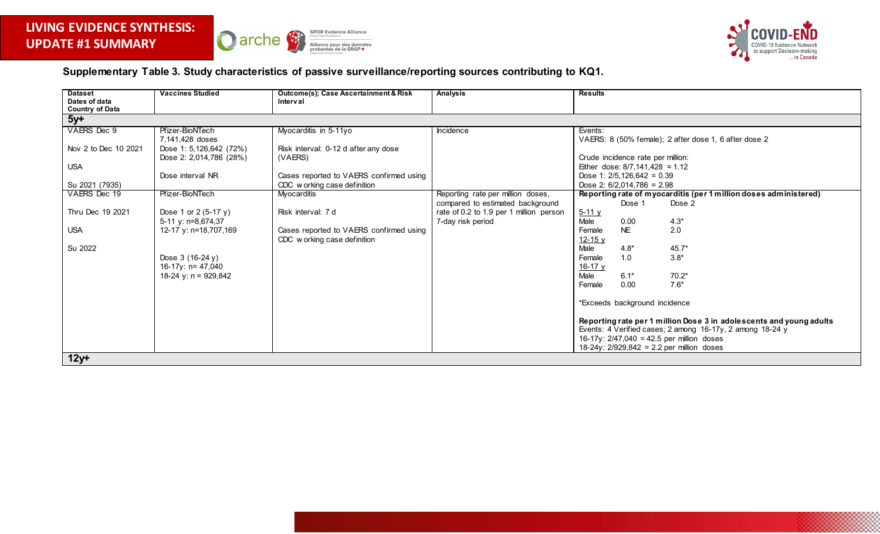



### **Supplementary Table 3. Study characteristics of passive surveillance/reporting sources contributing to KQ1.**

<span id="page-28-0"></span>

| <b>Dataset</b><br>Dates of data<br><b>Country of Data</b>                                                                        | <b>Vaccines Studied</b>                                                                                                                                                                                                                                                   | Outcome(s); Case Ascertainment & Risk<br>Interval                                                                                                                                                                                                                  | Analysis                                                                                                                                           | <b>Results</b>                                                                                                                                                                                                                                                                                                                                                                                                                                                                                                                                                                                                                                                                                                                  |
|----------------------------------------------------------------------------------------------------------------------------------|---------------------------------------------------------------------------------------------------------------------------------------------------------------------------------------------------------------------------------------------------------------------------|--------------------------------------------------------------------------------------------------------------------------------------------------------------------------------------------------------------------------------------------------------------------|----------------------------------------------------------------------------------------------------------------------------------------------------|---------------------------------------------------------------------------------------------------------------------------------------------------------------------------------------------------------------------------------------------------------------------------------------------------------------------------------------------------------------------------------------------------------------------------------------------------------------------------------------------------------------------------------------------------------------------------------------------------------------------------------------------------------------------------------------------------------------------------------|
| $5y+$                                                                                                                            |                                                                                                                                                                                                                                                                           |                                                                                                                                                                                                                                                                    |                                                                                                                                                    |                                                                                                                                                                                                                                                                                                                                                                                                                                                                                                                                                                                                                                                                                                                                 |
| VAERS Dec 9<br>Nov 2 to Dec 10 2021<br><b>USA</b><br>Su 2021 (7935)<br>VAERS Dec 19<br>Thru Dec 19 2021<br><b>USA</b><br>Su 2022 | Pfizer-BioNTech<br>7.141.428 doses<br>Dose 1: 5,126,642 (72%)<br>Dose 2: 2,014,786 (28%)<br>Dose interval NR<br>Pfizer-BioNTech<br>Dose 1 or 2 (5-17 y)<br>5-11 y: n=8,674,37<br>12-17 y: n=18,707,169<br>Dose 3 (16-24 y)<br>16-17y: n= 47,040<br>18-24 y: $n = 929,842$ | Myocarditis in 5-11yo<br>Risk interval: 0-12 d after any dose<br>(VAERS)<br>Cases reported to VAERS confirmed using<br>CDC working case definition<br>Myocarditis<br>Risk interval: 7 d<br>Cases reported to VAERS confirmed using<br>CDC w orking case definition | Incidence<br>Reporting rate per million doses,<br>compared to estimated background<br>rate of 0.2 to 1.9 per 1 million person<br>7-day risk period | Events:<br>VAERS: 8 (50% female); 2 after dose 1, 6 after dose 2<br>Crude incidence rate per million:<br>Either dose: $8/7,141,428 = 1.12$<br>Dose 1: $2/5,126,642 = 0.39$<br>Dose 2: $6/2.014.786 = 2.98$<br>Reporting rate of myocarditis (per 1 million doses administered)<br>Dose 1<br>Dose 2<br>$5 - 11y$<br>Male<br>$4.3*$<br>0.00<br>2.0<br>NE.<br>Female<br>$12 - 15y$<br>Male<br>$4.8*$<br>45.7*<br>1.0<br>$3.8*$<br>Female<br>16-17 $v$<br>Male<br>$6.1*$<br>$70.2*$<br>$7.6*$<br>0.00<br>Female<br>*Exceeds background incidence<br>Reporting rate per 1 million Dose 3 in adolescents and young adults<br>Events: 4 Verified cases; 2 among 16-17y, 2 among 18-24 y<br>16-17y: $2/47,040 = 42.5$ per million doses |
| $12y+$                                                                                                                           |                                                                                                                                                                                                                                                                           |                                                                                                                                                                                                                                                                    |                                                                                                                                                    | 18-24y: 2/929,842 = 2.2 per million doses                                                                                                                                                                                                                                                                                                                                                                                                                                                                                                                                                                                                                                                                                       |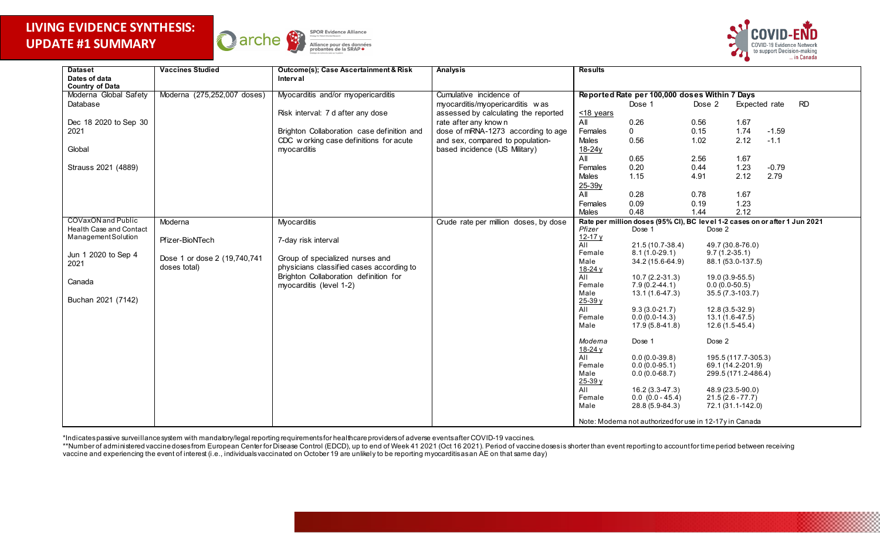



| <b>Dataset</b>          | <b>Vaccines Studied</b>      | Outcome(s); Case Ascertainment & Risk      | <b>Analysis</b>                       | <b>Results</b> |                                                                            |        |                     |               |           |
|-------------------------|------------------------------|--------------------------------------------|---------------------------------------|----------------|----------------------------------------------------------------------------|--------|---------------------|---------------|-----------|
| Dates of data           |                              | Interval                                   |                                       |                |                                                                            |        |                     |               |           |
| <b>Country of Data</b>  |                              |                                            |                                       |                |                                                                            |        |                     |               |           |
| Moderna Global Safety   | Moderna (275,252,007 doses)  | Myocarditis and/or myopericarditis         | Cumulative incidence of               |                | Reported Rate per 100,000 doses Within 7 Days                              |        |                     |               |           |
| Database                |                              |                                            | myocarditis/myopericarditis was       |                | Dose 1                                                                     | Dose 2 |                     | Expected rate | <b>RD</b> |
|                         |                              | Risk interval: 7 d after any dose          | assessed by calculating the reported  | $<$ 18 years   |                                                                            |        |                     |               |           |
| Dec 18 2020 to Sep 30   |                              |                                            | rate after any known                  | All            | 0.26                                                                       | 0.56   | 1.67                |               |           |
| 2021                    |                              | Brighton Collaboration case definition and | dose of mRNA-1273 according to age    | Females        | $\Omega$                                                                   | 0.15   | 1.74                | $-1.59$       |           |
|                         |                              | CDC working case definitions for acute     | and sex, compared to population-      | Males          | 0.56                                                                       | 1.02   | 2.12                | $-1.1$        |           |
| Global                  |                              | myocarditis                                | based incidence (US Military)         | 18-24y         |                                                                            |        |                     |               |           |
|                         |                              |                                            |                                       | All            | 0.65                                                                       | 2.56   | 1.67                |               |           |
| Strauss 2021 (4889)     |                              |                                            |                                       | Females        | 0.20                                                                       | 0.44   | 1.23                | $-0.79$       |           |
|                         |                              |                                            |                                       | Males          | 1.15                                                                       | 4.91   | 2.12                | 2.79          |           |
|                         |                              |                                            |                                       | $25 - 39y$     |                                                                            |        |                     |               |           |
|                         |                              |                                            |                                       | All            | 0.28                                                                       | 0.78   | 1.67                |               |           |
|                         |                              |                                            |                                       | Females        | 0.09                                                                       | 0.19   | 1.23                |               |           |
|                         |                              |                                            |                                       | Males          | 0.48                                                                       | 1.44   | 2.12                |               |           |
| COVaxON and Public      | Moderna                      | Myocarditis                                | Crude rate per million doses, by dose |                | Rate per million doses (95% CI), BC level 1-2 cases on or after 1 Jun 2021 |        |                     |               |           |
| Health Case and Contact |                              |                                            |                                       | Pfizer         | Dose 1                                                                     | Dose 2 |                     |               |           |
| ManagementSolution      | Pfizer-BioNTech              | 7-day risk interval                        |                                       | $12 - 17y$     |                                                                            |        |                     |               |           |
|                         |                              |                                            |                                       | All            | 21.5 (10.7-38.4)                                                           |        | 49.7 (30.8-76.0)    |               |           |
| Jun 1 2020 to Sep 4     |                              |                                            |                                       | Female         | $8.1(1.0-29.1)$                                                            |        | $9.7(1.2-35.1)$     |               |           |
| 2021                    | Dose 1 or dose 2 (19,740,741 | Group of specialized nurses and            |                                       | Male           | 34.2 (15.6-64.9)                                                           |        | 88.1 (53.0-137.5)   |               |           |
|                         | doses total)                 | physicians classified cases according to   |                                       | $18-24y$       |                                                                            |        |                     |               |           |
| Canada                  |                              | Brighton Collaboration definition for      |                                       | <b>All</b>     | $10.7(2.2 - 31.3)$                                                         |        | 19.0 (3.9-55.5)     |               |           |
|                         |                              | myocarditis (level 1-2)                    |                                       | Female         | $7.9(0.2 - 44.1)$                                                          |        | $0.0(0.0-50.5)$     |               |           |
| Buchan 2021 (7142)      |                              |                                            |                                       | Male           | 13.1 (1.6-47.3)                                                            |        | 35.5 (7.3-103.7)    |               |           |
|                         |                              |                                            |                                       | 25-39 y<br>All | $9.3(3.0-21.7)$                                                            |        | 12.8 (3.5-32.9)     |               |           |
|                         |                              |                                            |                                       | Female         | $0.0(0.0-14.3)$                                                            |        | $13.1(1.6-47.5)$    |               |           |
|                         |                              |                                            |                                       | Male           | 17.9 (5.8-41.8)                                                            |        | 12.6 (1.5-45.4)     |               |           |
|                         |                              |                                            |                                       |                |                                                                            |        |                     |               |           |
|                         |                              |                                            |                                       | Moderna        | Dose 1                                                                     | Dose 2 |                     |               |           |
|                         |                              |                                            |                                       | 18-24 y        |                                                                            |        |                     |               |           |
|                         |                              |                                            |                                       | All            | $0.0(0.0-39.8)$                                                            |        | 195.5 (117.7-305.3) |               |           |
|                         |                              |                                            |                                       | Female         | $0.0(0.0-95.1)$                                                            |        | 69.1 (14.2-201.9)   |               |           |
|                         |                              |                                            |                                       | Male           | $0.0(0.0-68.7)$                                                            |        | 299.5 (171.2-486.4) |               |           |
|                         |                              |                                            |                                       | 25-39 y        |                                                                            |        |                     |               |           |
|                         |                              |                                            |                                       | All            | 16.2 (3.3-47.3)                                                            |        | 48.9 (23.5-90.0)    |               |           |
|                         |                              |                                            |                                       | Female         | $0.0 (0.0 - 45.4)$                                                         |        | $21.5(2.6 - 77.7)$  |               |           |
|                         |                              |                                            |                                       | Male           | 28.8 (5.9-84.3)                                                            |        | 72.1 (31.1-142.0)   |               |           |
|                         |                              |                                            |                                       |                | Note: Moderna not authorized for use in 12-17y in Canada                   |        |                     |               |           |
|                         |                              |                                            |                                       |                |                                                                            |        |                     |               |           |

\*Indicates passive surveillance system with mandatory/legal reporting requirements for healthcare providers of adverse events after COVID-19 vaccines.

\*\*Number of administered vaccine doses from European Center for Disease Control (EDCD), up to end of Week 41 2021 (Oct 16 2021). Period of vaccine doses is shorter than event reporting to account for time period between re vaccine and experiencing the event of interest (i.e., individuals vaccinated on October 19 are unlikely to be reporting myocarditis as an AE on that same day)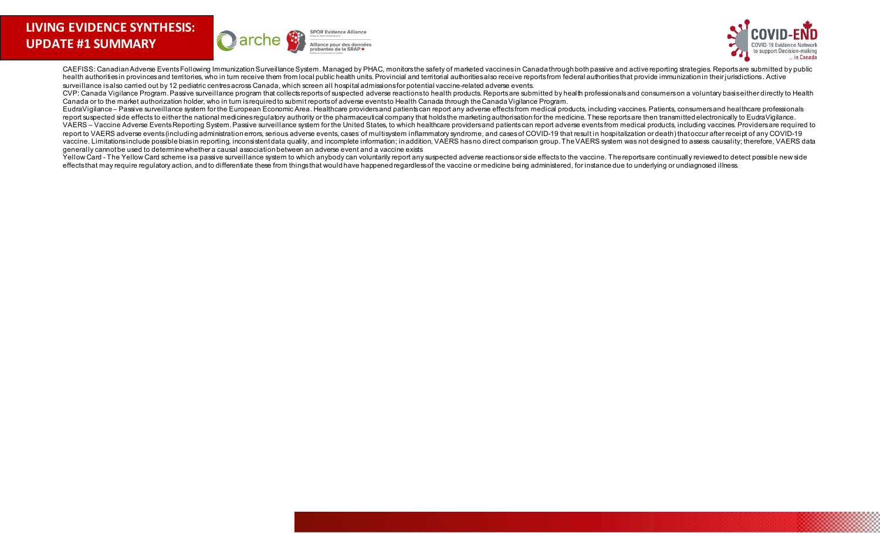



CAEFISS: Canadian Adverse Events Following Immunization Surveillance System, Managed by PHAC, monitors the safety of marketed vaccines in Canada through both passive and active reporting strategies. Reports are submitted b health authorities in provinces and territories, who in turn receive them from local public health units. Provincial and territorial authorities also receive reports from federal authorities that provide immunization in th surveillance is also carried out by 12 pediatric centres across Canada, which screen all hospital admissions for potential vaccine-related adverse events.

CVP: Canada Vigilance Program. Passive surveillance program that collects reports of suspected adverse reactions to health products. Reports are submitted by health professionals and consumers on a voluntary basis either d Canada or to the market authorization holder, who in turn is required to submit reports of adverse events to Health Canada through the Canada Vigilance Program.

EudraVigilance – Passive surveillance system for the European Economic Area. Healthcare providers and patients can report any adverse effects from medical products, including vaccines. Patients, consumers and healthcare pr report suspected side effects to either the national medicines regulatory authority or the pharmaceutical company that holds the marketing authorisation for the medicine. These reports are then transmitted electronically t VAERS - Vaccine Adverse Events Reporting System. Passive surveillance system for the United States, to which healthcare providers and patients can report adverse events from medical products, including vaccines. Providers report to VAERS adverse events (including administration errors, serious adverse events, cases of multisystem inflammatory syndrome, and cases of COVID-19 that result in hospitalization or death) that occur after receipt o vaccine. Limitations include possible bias in reporting, inconsistent data quality, and incomplete information; in addition, VAERS has no direct comparison group. The VAERS system was not designed to assess causality; ther generally cannot be used to determine whether a causal association between an adverse event and a vaccine exists

Yellow Card - The Yellow Card scheme is a passive surveillance system to which anybody can voluntarily report any suspected adverse reactions or side effects to the vaccine. The reports are continually reviewed to detect p effects that may require requiatory action, and to differentiate these from things that would have happened regardless of the vaccine or medicine being administered, for instance due to underlying or undiagnosed illness.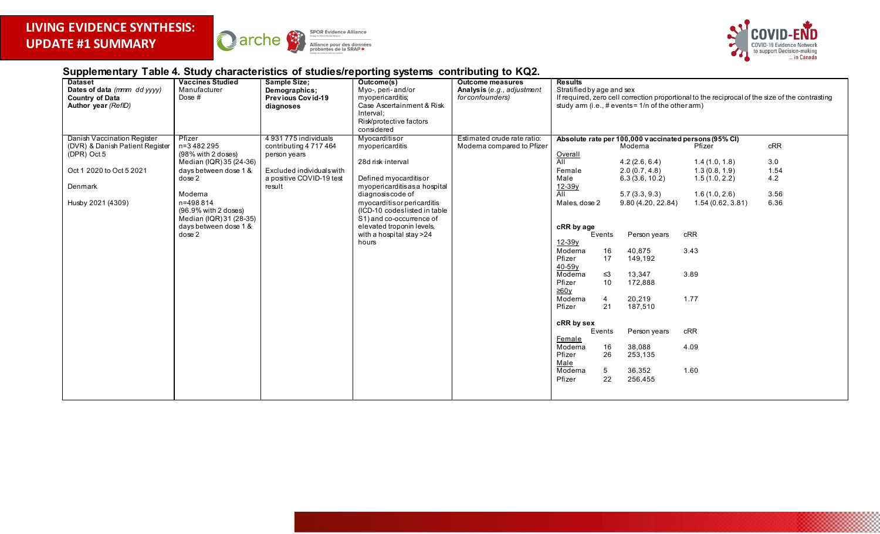



### **Supplementary Table 4. Study characteristics of studies/reporting systems contributing to KQ2.**

<span id="page-31-0"></span>

| <b>Dataset</b>                  | <b>Vaccines Studied</b> | <b>Sample Size;</b>       | Outcome(s)                   | <b>Outcome measures</b>     | <b>Results</b>            |                                                       |                  |                                                                                                 |  |  |
|---------------------------------|-------------------------|---------------------------|------------------------------|-----------------------------|---------------------------|-------------------------------------------------------|------------------|-------------------------------------------------------------------------------------------------|--|--|
| Dates of data (mmm dd yyyy)     | Manufacturer            | Demographics;             | Myo-, peri-and/or            | Analysis (e.g., adjustment  | Stratified by age and sex |                                                       |                  |                                                                                                 |  |  |
| <b>Country of Data</b>          | Dose #                  | Previous Covid-19         | myopericarditis;             | for confounders)            |                           |                                                       |                  | If required, zero cell correction proportional to the reciprocal of the size of the contrasting |  |  |
| Author year (RefID)             |                         | diagnoses                 | Case Ascertainment & Risk    |                             |                           | study arm $(i.e., # events = 1/n of the other arm)$   |                  |                                                                                                 |  |  |
|                                 |                         |                           | Interval:                    |                             |                           |                                                       |                  |                                                                                                 |  |  |
|                                 |                         |                           | Risk/protective factors      |                             |                           |                                                       |                  |                                                                                                 |  |  |
|                                 |                         |                           | considered                   |                             |                           |                                                       |                  |                                                                                                 |  |  |
| Danish Vaccination Register     | Pfizer                  | 4931775 individuals       | Myocarditisor                | Estimated crude rate ratio: |                           | Absolute rate per 100,000 vaccinated persons (95% CI) |                  |                                                                                                 |  |  |
| (DVR) & Danish Patient Register | n=3482295               | contributing 4 717 464    | myopericarditis              | Moderna compared to Pfizer  |                           | Moderna                                               | Pfizer           | cRR                                                                                             |  |  |
| (DPR) Oct 5                     | $(98%$ with 2 doses)    | person years              |                              |                             |                           |                                                       |                  |                                                                                                 |  |  |
|                                 | Median (IQR) 35 (24-36) |                           | 28d risk interval            |                             | Overall<br>All            | 4.2(2.6, 6.4)                                         | 1.4(1.0, 1.8)    | 3.0                                                                                             |  |  |
| Oct 1 2020 to Oct 5 2021        | days between dose 1 &   | Excluded individuals with |                              |                             | Female                    | 2.0(0.7, 4.8)                                         | 1.3(0.8, 1.9)    | 1.54                                                                                            |  |  |
|                                 | dose 2                  | a positive COVID-19 test  | Defined myocarditis or       |                             | Male                      | 6.3(3.6, 10.2)                                        | 1.5(1.0, 2.2)    | 4.2                                                                                             |  |  |
| Denmark                         |                         | result                    | myopericarditisasa hospital  |                             |                           |                                                       |                  |                                                                                                 |  |  |
|                                 | Moderna                 |                           | diagnosiscode of             |                             | $\frac{12-39y}{All}$      | 5.7(3.3, 9.3)                                         | 1.6(1.0, 2.6)    | 3.56                                                                                            |  |  |
| Husby 2021 (4309)               | n=498814                |                           | myocarditis or pericarditis  |                             | Males, dose 2             | 9.80(4.20, 22.84)                                     | 1.54(0.62, 3.81) | 6.36                                                                                            |  |  |
|                                 | $(96.9%$ with 2 doses)  |                           | (ICD-10 codeslisted in table |                             |                           |                                                       |                  |                                                                                                 |  |  |
|                                 | Median (IQR) 31 (28-35) |                           | S1) and co-occurrence of     |                             |                           |                                                       |                  |                                                                                                 |  |  |
|                                 | days between dose 1 &   |                           | elevated troponin levels,    |                             | cRR by age                |                                                       |                  |                                                                                                 |  |  |
|                                 | dose 2                  |                           | with a hospital stay >24     |                             | Events                    | Person years                                          | cRR              |                                                                                                 |  |  |
|                                 |                         |                           | hours                        |                             | <u>12-39y</u>             |                                                       |                  |                                                                                                 |  |  |
|                                 |                         |                           |                              |                             | Moderna<br>16             | 40,875                                                | 3.43             |                                                                                                 |  |  |
|                                 |                         |                           |                              |                             | 17<br>Pfizer              | 149,192                                               |                  |                                                                                                 |  |  |
|                                 |                         |                           |                              |                             | $40 - 59y$                |                                                       |                  |                                                                                                 |  |  |
|                                 |                         |                           |                              |                             | Moderna<br>$\leq$ 3       | 13,347                                                | 3.89             |                                                                                                 |  |  |
|                                 |                         |                           |                              |                             | 10<br>Pfizer              | 172,888                                               |                  |                                                                                                 |  |  |
|                                 |                         |                           |                              |                             | $\geq 60y$                |                                                       |                  |                                                                                                 |  |  |
|                                 |                         |                           |                              |                             | Modema<br>4               | 20,219                                                | 1.77             |                                                                                                 |  |  |
|                                 |                         |                           |                              |                             | 21<br>Pfizer              | 187,510                                               |                  |                                                                                                 |  |  |
|                                 |                         |                           |                              |                             |                           |                                                       |                  |                                                                                                 |  |  |
|                                 |                         |                           |                              |                             | cRR by sex                |                                                       |                  |                                                                                                 |  |  |
|                                 |                         |                           |                              |                             | Events                    | Person years                                          | cRR              |                                                                                                 |  |  |
|                                 |                         |                           |                              |                             | Female                    |                                                       |                  |                                                                                                 |  |  |
|                                 |                         |                           |                              |                             | Modema<br>16              | 38,088                                                | 4.09             |                                                                                                 |  |  |
|                                 |                         |                           |                              |                             | 26<br>Pfizer              | 253,135                                               |                  |                                                                                                 |  |  |
|                                 |                         |                           |                              |                             | <u>Male</u><br>Moderna    |                                                       |                  |                                                                                                 |  |  |
|                                 |                         |                           |                              |                             | 5                         | 36,352                                                | 1.60             |                                                                                                 |  |  |
|                                 |                         |                           |                              |                             | 22<br>Pfizer              | 256,455                                               |                  |                                                                                                 |  |  |
|                                 |                         |                           |                              |                             |                           |                                                       |                  |                                                                                                 |  |  |
|                                 |                         |                           |                              |                             |                           |                                                       |                  |                                                                                                 |  |  |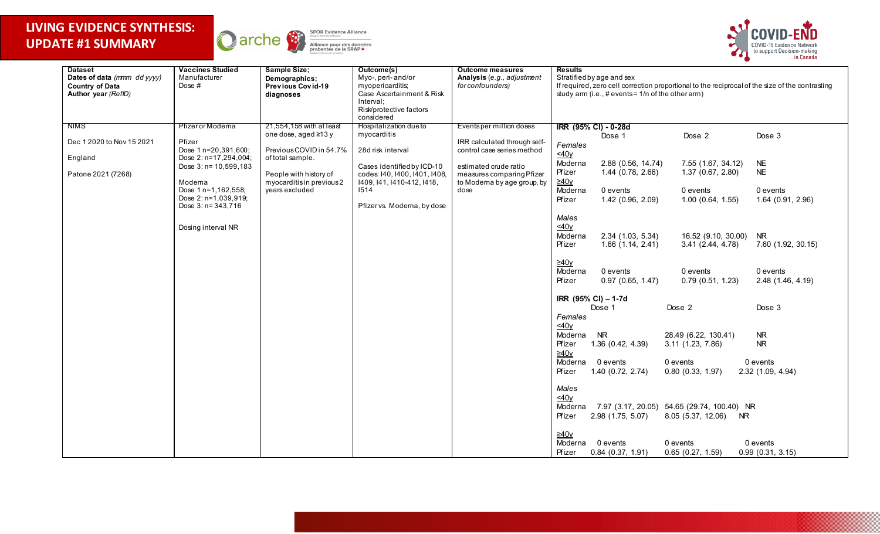



| <b>Dataset</b><br>Dates of data (mmm dd yyyy)<br><b>Country of Data</b><br>Author year (RefID) | <b>Vaccines Studied</b><br>Manufacturer<br>Dose # | Sample Size;<br>Demographics;<br>Previous Covid-19<br>diagnoses | Outcome(s)<br>Myo-, peri-and/or<br>myopericarditis;<br>Case Ascertainment & Risk | <b>Outcome measures</b><br>Analysis (e.g., adjustment<br>for confounders) | <b>Results</b><br>Stratified by age and sex<br>If required, zero cell correction proportional to the reciprocal of the size of the contrasting<br>study arm $(i.e., # events = 1/n of the other arm)$ |                                                                      |                               |  |  |  |
|------------------------------------------------------------------------------------------------|---------------------------------------------------|-----------------------------------------------------------------|----------------------------------------------------------------------------------|---------------------------------------------------------------------------|-------------------------------------------------------------------------------------------------------------------------------------------------------------------------------------------------------|----------------------------------------------------------------------|-------------------------------|--|--|--|
|                                                                                                |                                                   |                                                                 | Interval:<br>Risk/protective factors<br>considered                               |                                                                           |                                                                                                                                                                                                       |                                                                      |                               |  |  |  |
| NIMS                                                                                           | Pfizer or Moderna                                 | 21,554,158 with at least                                        | <b>Hospitalization due to</b>                                                    | Eventsper million doses                                                   | IRR (95% CI) - 0-28d                                                                                                                                                                                  |                                                                      |                               |  |  |  |
| Dec 1 2020 to Nov 15 2021                                                                      | Pfizer<br>Dose 1 n=20,391,600;                    | one dose, aged ≥13 y<br>Previous COVID in 54.7%                 | myocarditis<br>28d risk interval                                                 | IRR calculated through self-<br>control case series method                | Dose 1<br>Females<br>40y                                                                                                                                                                              | Dose 2                                                               | Dose 3                        |  |  |  |
| England                                                                                        | Dose 2: n=17,294,004;<br>Dose $3: n = 10,599,183$ | of total sample.                                                | Cases identified by ICD-10                                                       | estimated crude ratio                                                     | Moderna<br>2.88 (0.56, 14.74)                                                                                                                                                                         | 7.55 (1.67, 34.12)                                                   | <b>NE</b>                     |  |  |  |
| Patone 2021 (7268)                                                                             | Moderna                                           | People with history of<br>myocarditisin previous2               | codes: I40, I400, I401, I408,<br>1409, 141, 1410-412, 1418,                      | measures comparing Pfizer<br>to Moderna by age group, by                  | Pfizer<br>1.44(0.78, 2.66)<br><u>≥40y</u>                                                                                                                                                             | 1.37(0.67, 2.80)                                                     | <b>NE</b>                     |  |  |  |
|                                                                                                | Dose 1 n=1,162,558;                               | years excluded                                                  | 1514                                                                             | dose                                                                      | Moderna<br>0 events                                                                                                                                                                                   | 0 events                                                             | 0 events                      |  |  |  |
|                                                                                                | Dose 2: n=1,039,919;<br>Dose $3: n = 343, 716$    |                                                                 | Pfizer vs. Moderna, by dose                                                      |                                                                           | 1.42 (0.96, 2.09)<br>Pfizer                                                                                                                                                                           | 1.00(0.64, 1.55)                                                     | 1.64 (0.91, 2.96)             |  |  |  |
|                                                                                                | Dosing interval NR                                |                                                                 |                                                                                  |                                                                           | Males<br>40y<br>Moderna<br>2.34 (1.03, 5.34)                                                                                                                                                          | 16.52 (9.10, 30.00)                                                  | <b>NR</b>                     |  |  |  |
|                                                                                                |                                                   |                                                                 |                                                                                  |                                                                           | Pfizer<br>1.66(1.14, 2.41)                                                                                                                                                                            | 3.41(2.44, 4.78)                                                     | 7.60 (1.92, 30.15)            |  |  |  |
|                                                                                                |                                                   |                                                                 |                                                                                  |                                                                           | $\geq 40y$<br>$M$ <sub>o</sub> derna<br>0 events<br>Pfizer<br>$0.97$ (0.65, 1.47)                                                                                                                     | 0 events<br>0.79(0.51, 1.23)                                         | 0 events<br>2.48 (1.46, 4.19) |  |  |  |
|                                                                                                |                                                   |                                                                 |                                                                                  |                                                                           | IRR (95% CI) - 1-7d                                                                                                                                                                                   |                                                                      |                               |  |  |  |
|                                                                                                |                                                   |                                                                 |                                                                                  |                                                                           | Dose 1<br>Females                                                                                                                                                                                     | Dose 2                                                               | Dose 3                        |  |  |  |
|                                                                                                |                                                   |                                                                 |                                                                                  |                                                                           | 40y<br>Moderna NR<br>Pfizer<br>1.36 (0.42, 4.39)                                                                                                                                                      | 28.49 (6.22, 130.41)<br>3.11 (1.23, 7.86)                            | <b>NR</b><br><b>NR</b>        |  |  |  |
|                                                                                                |                                                   |                                                                 |                                                                                  |                                                                           | 240y<br>Moderna 0 events<br>Pfizer<br>1.40(0.72, 2.74)                                                                                                                                                | 0 events<br>0.80(0.33, 1.97)                                         | 0 events<br>2.32 (1.09, 4.94) |  |  |  |
|                                                                                                |                                                   |                                                                 |                                                                                  |                                                                           | Males<br>40y<br>Moderna<br>Pfizer<br>2.98 (1.75, 5.07)                                                                                                                                                | 7.97 (3.17, 20.05) 54.65 (29.74, 100.40) NR<br>8.05 (5.37, 12.06) NR |                               |  |  |  |
|                                                                                                |                                                   |                                                                 |                                                                                  |                                                                           | $\geq 40y$<br>Moderna<br>0 events<br>Pfizer<br>$0.84$ (0.37, 1.91)                                                                                                                                    | 0 events<br>0.65(0.27, 1.59)                                         | 0 events<br>0.99(0.31, 3.15)  |  |  |  |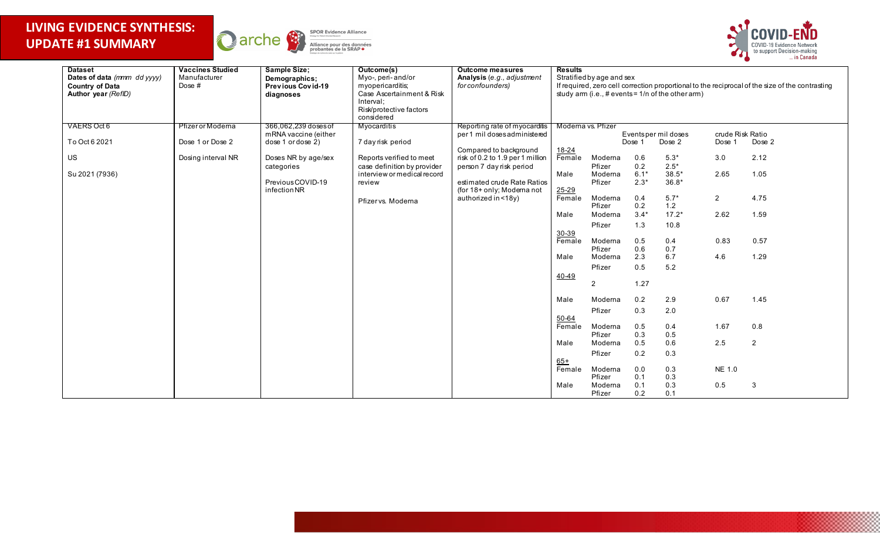



| <b>Dataset</b>              | <b>Vaccines Studied</b> | Sample Size;         | Outcome(s)                  | <b>Outcome measures</b>          | <b>Results</b>         |                                                                                                 |            |                     |                  |                |
|-----------------------------|-------------------------|----------------------|-----------------------------|----------------------------------|------------------------|-------------------------------------------------------------------------------------------------|------------|---------------------|------------------|----------------|
| Dates of data (mmm dd yyyy) | Manufacturer            | Demographics;        | Myo-, peri-and/or           | Analysis (e.g., adjustment       |                        | Stratified by age and sex                                                                       |            |                     |                  |                |
| <b>Country of Data</b>      | Dose #                  | Previous Covid-19    | myopericarditis;            | for confounders)                 |                        | If required, zero cell correction proportional to the reciprocal of the size of the contrasting |            |                     |                  |                |
| Author year (RefID)         |                         | diagnoses            | Case Ascertainment & Risk   |                                  |                        | study arm $(i.e., # events = 1/n of the other arm)$                                             |            |                     |                  |                |
|                             |                         |                      | Interval;                   |                                  |                        |                                                                                                 |            |                     |                  |                |
|                             |                         |                      | Risk/protective factors     |                                  |                        |                                                                                                 |            |                     |                  |                |
|                             |                         |                      | considered                  |                                  |                        |                                                                                                 |            |                     |                  |                |
| VAERS Oct 6                 | Pfizer or Moderna       | 366,062,239 doses of | Myocarditis                 | Reporting rate of myocarditis    | Moderna vs. Pfizer     |                                                                                                 |            |                     |                  |                |
|                             |                         | mRNA vaccine (either |                             | per 1 mil doses administered     |                        |                                                                                                 |            | Eventsper mil doses | crude Risk Ratio |                |
| To Oct 6 2021               | Dose 1 or Dose 2        | dose 1 ordose 2)     | 7 day risk period           |                                  |                        |                                                                                                 | Dose 1     | Dose 2              | Dose 1           | Dose 2         |
|                             |                         |                      |                             | Compared to background           | <u>18-24</u><br>Female |                                                                                                 |            |                     |                  |                |
| US                          | Dosing interval NR      | Doses NR by age/sex  | Reports verified to meet    | risk of 0.2 to 1.9 per 1 million |                        | Moderna                                                                                         | 0.6        | $5.3*$              | 3.0              | 2.12           |
|                             |                         | categories           | case definition by provider | person 7 day risk period         |                        | Pfizer                                                                                          | 0.2        | $2.5*$              |                  |                |
| Su 2021 (7936)              |                         |                      | interview or medical record |                                  | Male                   | Moderna                                                                                         | $6.1*$     | $38.5*$             | 2.65             | 1.05           |
|                             |                         | Previous COVID-19    | review                      | estimated crude Rate Ratios      |                        | Pfizer                                                                                          | $2.3*$     | $36.8*$             |                  |                |
|                             |                         | infection NR         |                             | (for 18+ only; Moderna not       | 25-29                  |                                                                                                 |            |                     |                  |                |
|                             |                         |                      | Pfizer vs. Modema           | authorized in <18y)              | Female                 | Moderna                                                                                         | 0.4        | $5.7*$              | $2^{\circ}$      | 4.75           |
|                             |                         |                      |                             |                                  |                        | Pfizer                                                                                          | 0.2        | 1.2                 |                  |                |
|                             |                         |                      |                             |                                  | Male                   | Moderna                                                                                         | $3.4*$     | $17.2*$             | 2.62             | 1.59           |
|                             |                         |                      |                             |                                  |                        | Pfizer                                                                                          | 1.3        | 10.8                |                  |                |
|                             |                         |                      |                             |                                  |                        |                                                                                                 |            |                     |                  |                |
|                             |                         |                      |                             |                                  | $\frac{30-39}{Female}$ | Moderna                                                                                         | 0.5        | 0.4                 | 0.83             | 0.57           |
|                             |                         |                      |                             |                                  |                        | Pfizer                                                                                          | 0.6        | 0.7                 |                  |                |
|                             |                         |                      |                             |                                  | Male                   | Moderna                                                                                         | 2.3        | 6.7                 | 4.6              | 1.29           |
|                             |                         |                      |                             |                                  |                        | Pfizer                                                                                          | 0.5        | 5.2                 |                  |                |
|                             |                         |                      |                             |                                  | 40-49                  |                                                                                                 |            |                     |                  |                |
|                             |                         |                      |                             |                                  |                        | $\overline{2}$                                                                                  | 1.27       |                     |                  |                |
|                             |                         |                      |                             |                                  |                        |                                                                                                 |            |                     |                  |                |
|                             |                         |                      |                             |                                  | Male                   | Moderna                                                                                         | 0.2        | 2.9                 | 0.67             | 1.45           |
|                             |                         |                      |                             |                                  |                        | Pfizer                                                                                          | 0.3        | $2.0\,$             |                  |                |
|                             |                         |                      |                             |                                  | $50 - 64$              |                                                                                                 |            |                     |                  |                |
|                             |                         |                      |                             |                                  | Female                 | Moderna                                                                                         | 0.5        | 0.4                 | 1.67             | 0.8            |
|                             |                         |                      |                             |                                  |                        | Pfizer                                                                                          | 0.3        | 0.5                 |                  |                |
|                             |                         |                      |                             |                                  | Male                   | Moderna                                                                                         | 0.5        | 0.6                 | 2.5              | $\overline{2}$ |
|                             |                         |                      |                             |                                  |                        |                                                                                                 |            |                     |                  |                |
|                             |                         |                      |                             |                                  |                        | Pfizer                                                                                          | 0.2        | 0.3                 |                  |                |
|                             |                         |                      |                             |                                  | $\frac{65+}{$ Female   | Moderna                                                                                         |            |                     | <b>NE 1.0</b>    |                |
|                             |                         |                      |                             |                                  |                        | Pfizer                                                                                          | 0.0        | 0.3<br>0.3          |                  |                |
|                             |                         |                      |                             |                                  | Male                   |                                                                                                 | 0.1        |                     |                  |                |
|                             |                         |                      |                             |                                  |                        | Moderna<br>Pfizer                                                                               | 0.1<br>0.2 | 0.3<br>0.1          | 0.5              | 3              |
|                             |                         |                      |                             |                                  |                        |                                                                                                 |            |                     |                  |                |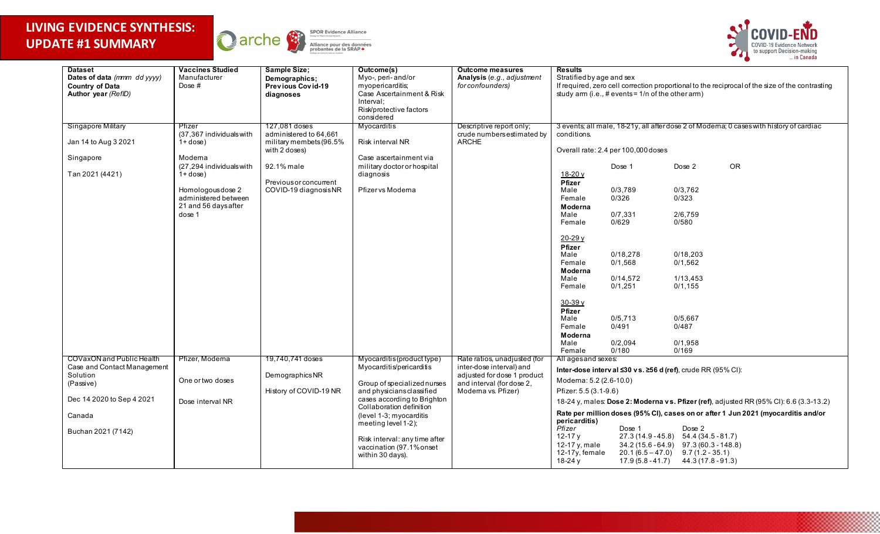



| <b>Dataset</b><br>Dates of data (mmm dd yyyy)<br><b>Country of Data</b><br>Author year (RefID)                                                 | <b>Vaccines Studied</b><br>Manufacturer<br>Dose $#$                         | Sample Size;<br>Demographics;<br><b>Previous Covid-19</b><br>diagnoses | Outcome(s)<br>Myo-, peri-and/or<br>myopericarditis;<br>Case Ascertainment & Risk<br>Interval:<br>Risk/protective factors                                                                                                                                                                                         | <b>Outcome measures</b><br>Analysis (e.g., adjustment<br>for confounders)                                                                   | <b>Results</b><br>Stratified by age and sex<br>If required, zero cell correction proportional to the reciprocal of the size of the contrasting<br>study arm $(i.e., # events = 1/n of the other arm)$                                                                                                                                                                                                                                                                                                                                                                                                             |  |  |
|------------------------------------------------------------------------------------------------------------------------------------------------|-----------------------------------------------------------------------------|------------------------------------------------------------------------|------------------------------------------------------------------------------------------------------------------------------------------------------------------------------------------------------------------------------------------------------------------------------------------------------------------|---------------------------------------------------------------------------------------------------------------------------------------------|-------------------------------------------------------------------------------------------------------------------------------------------------------------------------------------------------------------------------------------------------------------------------------------------------------------------------------------------------------------------------------------------------------------------------------------------------------------------------------------------------------------------------------------------------------------------------------------------------------------------|--|--|
| Singapore Military<br>Jan 14 to Aug 3 2021                                                                                                     | Pfizer<br>(37.367 individuals with<br>$1+$ dose)                            | 127,081 doses<br>administered to 64,661<br>military membets (96.5%     | considered<br>Myocarditis<br>Risk interval NR                                                                                                                                                                                                                                                                    | Descriptive report only;<br>crude numbers estimated by<br><b>ARCHE</b>                                                                      | 3 events; all male, 18-21y, all after dose 2 of Moderna; 0 cases with history of cardiac<br>conditions.                                                                                                                                                                                                                                                                                                                                                                                                                                                                                                           |  |  |
|                                                                                                                                                |                                                                             | with 2 doses)                                                          |                                                                                                                                                                                                                                                                                                                  |                                                                                                                                             | Overall rate: 2.4 per 100,000 doses                                                                                                                                                                                                                                                                                                                                                                                                                                                                                                                                                                               |  |  |
| Singapore<br>Tan 2021 (4421)                                                                                                                   | Modema<br>(27,294 individuals with<br>$1 +$ dose)                           | 92.1% male                                                             | Case ascertainment via<br>military doctor or hospital<br>diagnosis                                                                                                                                                                                                                                               |                                                                                                                                             | OR<br>Dose 2<br>Dose 1                                                                                                                                                                                                                                                                                                                                                                                                                                                                                                                                                                                            |  |  |
|                                                                                                                                                | Homologous dose 2<br>administered between<br>21 and 56 days after<br>dose 1 | <b>Previous or concurrent</b><br>COVID-19 diagnosis NR                 | Pfizer vs Moderna                                                                                                                                                                                                                                                                                                |                                                                                                                                             | 18-20 y<br>Pfizer<br>Male<br>0/3,789<br>0/3,762<br>0/323<br>Female<br>0/326<br>Moderna<br>2/6,759<br>Male<br>0/7,331<br>0/629<br>0/580<br>Female                                                                                                                                                                                                                                                                                                                                                                                                                                                                  |  |  |
|                                                                                                                                                |                                                                             |                                                                        |                                                                                                                                                                                                                                                                                                                  |                                                                                                                                             | 20-29 y<br>Pfizer<br>0/18,278<br>0/18,203<br>Male<br>0/1,562<br>Female<br>0/1,568<br>Moderna<br>0/14,572<br>1/13,453<br>Male<br>0/1,251<br>0/1, 155<br>Female<br>$30-39y$<br>Pfizer<br>0/5,667<br>0/5,713<br>Male<br>0/491<br>0/487<br>Female                                                                                                                                                                                                                                                                                                                                                                     |  |  |
|                                                                                                                                                |                                                                             |                                                                        |                                                                                                                                                                                                                                                                                                                  |                                                                                                                                             | Moderna<br>0/2,094<br>0/1,958<br>Male<br>0/180<br>0/169<br>Female                                                                                                                                                                                                                                                                                                                                                                                                                                                                                                                                                 |  |  |
| COVaxON and Public Health<br>Case and Contact Management<br>Solution<br>(Passive)<br>Dec 14 2020 to Sep 4 2021<br>Canada<br>Buchan 2021 (7142) | Pfizer, Moderna<br>One or two doses<br>Dose interval NR                     | 19,740,741 doses<br>Demographics NR<br>History of COVID-19 NR          | Myocarditis (product type)<br>Myocarditis/pericarditis<br>Group of specialized nurses<br>and physicians classified<br>cases according to Brighton<br>Collaboration definition<br>(level 1-3; myocarditis<br>meeting level 1-2);<br>Risk interval: any time after<br>vaccination (97.1% onset<br>within 30 days). | Rate ratios, unadjusted (for<br>inter-dose interval) and<br>adjusted for dose 1 product<br>and interval (for dose 2,<br>Moderna vs. Pfizer) | All ages and sexes:<br>Inter-dose interval $\leq 30$ vs. $\geq 56$ d (ref), crude RR (95% CI):<br>Moderna: 5.2 (2.6-10.0)<br>Pfizer: 5.5 (3.1-9.6)<br>18-24 y, males: Dose 2: Moderna vs. Pfizer (ref), adjusted RR (95% Cl): 6.6 (3.3-13.2)<br>Rate per million doses (95% CI), cases on or after 1 Jun 2021 (myocarditis and/or<br>pericarditis)<br>Pfizer<br>Dose 1<br>Dose 2<br>$12 - 17y$<br>27.3 (14.9 - 45.8) 54.4 (34.5 - 81.7)<br>12-17 y, male<br>$34.2(15.6 - 64.9)$ $97.3(60.3 - 148.8)$<br>12-17y, female<br>$20.1(6.5-47.0)$ $9.7(1.2-35.1)$<br>18-24 $y$<br>$17.9(5.8 - 41.7)$ $44.3(17.8 - 91.3)$ |  |  |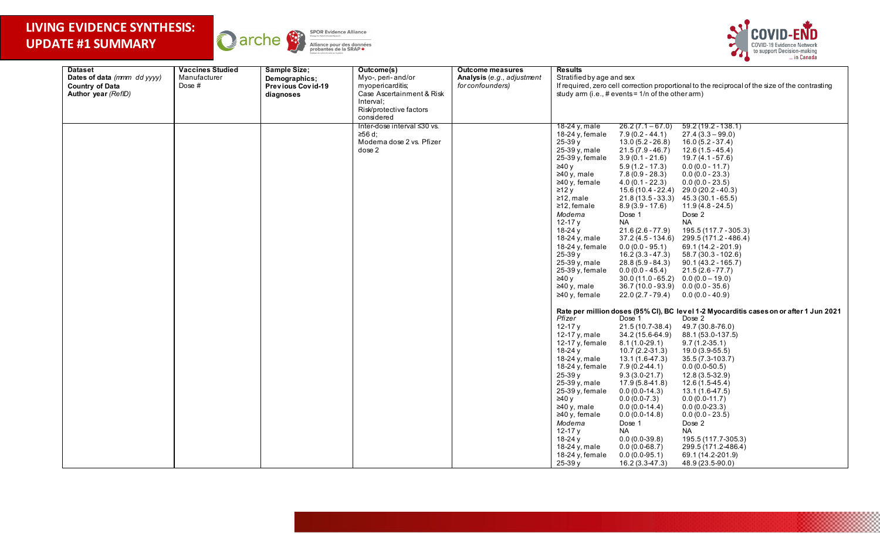



| <b>Dataset</b>              | <b>Vaccines Studied</b> | Sample Size;      | Outcome(s)                  | <b>Outcome measures</b>    | <b>Results</b>            |                                                     |                                                                                                 |
|-----------------------------|-------------------------|-------------------|-----------------------------|----------------------------|---------------------------|-----------------------------------------------------|-------------------------------------------------------------------------------------------------|
| Dates of data (mmm dd yyyy) | Manufacturer            | Demographics;     | Myo-, peri-and/or           | Analysis (e.g., adjustment | Stratified by age and sex |                                                     |                                                                                                 |
| <b>Country of Data</b>      | Dose $#$                | Previous Covid-19 | myopericarditis;            | for confounders)           |                           |                                                     | If required, zero cell correction proportional to the reciprocal of the size of the contrasting |
| Author year (RefID)         |                         | diagnoses         | Case Ascertainment & Risk   |                            |                           | study arm $(i.e., # events = 1/n of the other arm)$ |                                                                                                 |
|                             |                         |                   | Interval:                   |                            |                           |                                                     |                                                                                                 |
|                             |                         |                   | Risk/protective factors     |                            |                           |                                                     |                                                                                                 |
|                             |                         |                   | considered                  |                            |                           |                                                     |                                                                                                 |
|                             |                         |                   | Inter-dose interval ≤30 vs. |                            | 18-24 y, male             | $26.2(7.1 - 67.0)$                                  | $59.2(19.2 - 138.1)$                                                                            |
|                             |                         |                   | $\geq 56$ d;                |                            | 18-24 y, female           | $7.9(0.2 - 44.1)$                                   | $27.4(3.3 - 99.0)$                                                                              |
|                             |                         |                   | Moderna dose 2 vs. Pfizer   |                            | 25-39 y                   | $13.0(5.2 - 26.8)$                                  | $16.0(5.2 - 37.4)$                                                                              |
|                             |                         |                   | dose 2                      |                            | 25-39 y, male             | $21.5(7.9 - 46.7)$                                  | $12.6(1.5 - 45.4)$                                                                              |
|                             |                         |                   |                             |                            | 25-39 y, female           | $3.9(0.1 - 21.6)$                                   | $19.7(4.1 - 57.6)$                                                                              |
|                             |                         |                   |                             |                            | ≥40v                      | $5.9(1.2 - 17.3)$                                   | $0.0(0.0 - 11.7)$                                                                               |
|                             |                         |                   |                             |                            | $\geq 40$ y, male         | $7.8(0.9 - 28.3)$                                   | $0.0(0.0 - 23.3)$                                                                               |
|                             |                         |                   |                             |                            | $\geq 40$ y, female       | $4.0(0.1 - 22.3)$                                   | $0.0(0.0 - 23.5)$                                                                               |
|                             |                         |                   |                             |                            | ≥12y                      |                                                     | $15.6(10.4 - 22.4)$ 29.0 (20.2 - 40.3)                                                          |
|                             |                         |                   |                             |                            | $\geq$ 12, male           |                                                     | 21.8 (13.5 - 33.3) 45.3 (30.1 - 65.5)                                                           |
|                             |                         |                   |                             |                            | $\geq$ 12, female         | $8.9(3.9 - 17.6)$                                   | $11.9(4.8 - 24.5)$                                                                              |
|                             |                         |                   |                             |                            | Modema                    | Dose 1                                              | Dose 2                                                                                          |
|                             |                         |                   |                             |                            | 12-17 $y$                 | <b>NA</b>                                           | <b>NA</b>                                                                                       |
|                             |                         |                   |                             |                            | 18-24 y                   | $21.6(2.6 - 77.9)$                                  | 195.5 (117.7 - 305.3)                                                                           |
|                             |                         |                   |                             |                            | 18-24 $y$ , male          | $37.2(4.5 - 134.6)$                                 | 299.5 (171.2 - 486.4)                                                                           |
|                             |                         |                   |                             |                            | 18-24 y, female           | $0.0(0.0 - 95.1)$                                   | 69.1 (14.2 - 201.9)                                                                             |
|                             |                         |                   |                             |                            | $25-39y$                  | $16.2(3.3 - 47.3)$                                  | 58.7 (30.3 - 102.6)                                                                             |
|                             |                         |                   |                             |                            | 25-39 y, male             | $28.8(5.9 - 84.3)$                                  | $90.1(43.2 - 165.7)$                                                                            |
|                             |                         |                   |                             |                            | $25-39y$ , female         | $0.0(0.0 - 45.4)$                                   | $21.5(2.6 - 77.7)$                                                                              |
|                             |                         |                   |                             |                            | ≥40v                      | $30.0(11.0 - 65.2)$ $0.0(0.0 - 19.0)$               |                                                                                                 |
|                             |                         |                   |                             |                            | $\geq 40$ y, male         | $36.7(10.0 - 93.9)$ $0.0(0.0 - 35.6)$               |                                                                                                 |
|                             |                         |                   |                             |                            | $\geq 40$ y, female       | $22.0(2.7 - 79.4)$                                  | $0.0(0.0 - 40.9)$                                                                               |
|                             |                         |                   |                             |                            |                           |                                                     | Rate per million doses (95% Cl), BC level 1-2 Myocarditis cases on or after 1 Jun 2021          |
|                             |                         |                   |                             |                            | Pfizer                    | Dose 1                                              | Dose 2                                                                                          |
|                             |                         |                   |                             |                            | $12 - 17y$                | 21.5 (10.7-38.4)                                    | 49.7 (30.8-76.0)                                                                                |
|                             |                         |                   |                             |                            | 12-17 y, male             | 34.2 (15.6-64.9)                                    | 88.1 (53.0-137.5)                                                                               |
|                             |                         |                   |                             |                            | 12-17 y, female           | $8.1(1.0-29.1)$                                     | $9.7(1.2-35.1)$                                                                                 |
|                             |                         |                   |                             |                            | 18-24 $v$                 | $10.\overline{7}$ (2.2-31.3)                        | 19.0 (3.9-55.5)                                                                                 |
|                             |                         |                   |                             |                            | 18-24 y, male             | 13.1 (1.6-47.3)                                     | 35.5 (7.3-103.7)                                                                                |
|                             |                         |                   |                             |                            | 18-24 y, female           | $7.9(0.2-44.1)$                                     | $0.0(0.0-50.5)$                                                                                 |
|                             |                         |                   |                             |                            | 25-39 y                   | $9.3(3.0-21.7)$                                     | 12.8 (3.5-32.9)                                                                                 |
|                             |                         |                   |                             |                            | 25-39 y, male             | 17.9 (5.8-41.8)                                     | 12.6 (1.5-45.4)                                                                                 |
|                             |                         |                   |                             |                            | 25-39 y, female           | $0.0(0.0-14.3)$                                     | 13.1 (1.6-47.5)                                                                                 |
|                             |                         |                   |                             |                            | ≥40 у                     | $0.0(0.0-7.3)$                                      | $0.0(0.0-11.7)$                                                                                 |
|                             |                         |                   |                             |                            | $≥40y$ , male             | $0.0(0.0-14.4)$                                     | $0.0(0.0-23.3)$                                                                                 |
|                             |                         |                   |                             |                            | $\geq 40$ y, female       | $0.0(0.0-14.8)$                                     | $0.0(0.0 - 23.5)$                                                                               |
|                             |                         |                   |                             |                            | Modema                    | Dose 1                                              | Dose 2<br><b>NA</b>                                                                             |
|                             |                         |                   |                             |                            | 12-17 $y$                 | NA                                                  |                                                                                                 |
|                             |                         |                   |                             |                            | 18-24 $v$                 | $0.0(0.0-39.8)$                                     | 195.5 (117.7-305.3)                                                                             |
|                             |                         |                   |                             |                            | 18-24 y, male             | $0.0(0.0-68.7)$                                     | 299.5 (171.2-486.4)                                                                             |
|                             |                         |                   |                             |                            | 18-24 y, female           | $0.0(0.0-95.1)$                                     | 69.1 (14.2-201.9)                                                                               |
|                             |                         |                   |                             |                            | $25-39y$                  | 16.2 (3.3-47.3)                                     | 48.9 (23.5-90.0)                                                                                |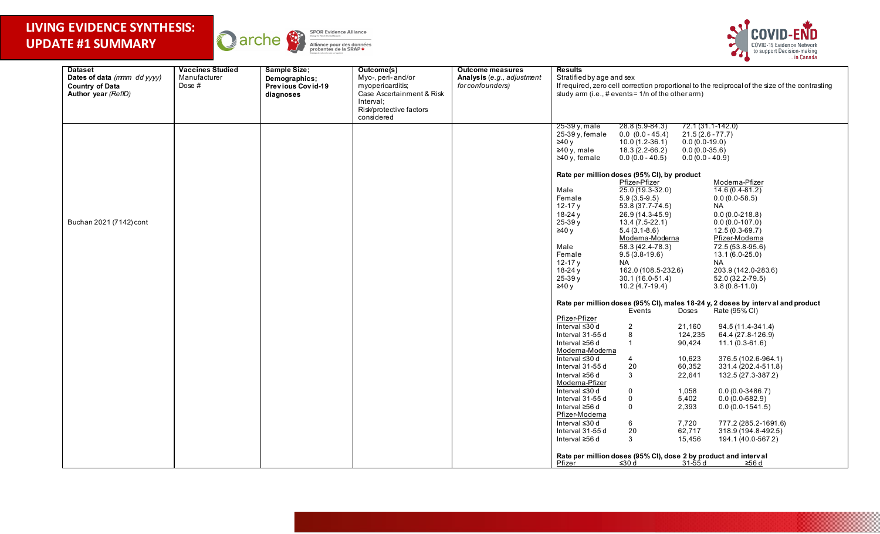



| <b>Dataset</b>              | <b>Vaccines Studied</b> | Sample Size;      | Outcome(s)                | <b>Outcome measures</b>    | <b>Results</b>                                      |                     |                    |                                                                                                 |
|-----------------------------|-------------------------|-------------------|---------------------------|----------------------------|-----------------------------------------------------|---------------------|--------------------|-------------------------------------------------------------------------------------------------|
| Dates of data (mmm dd yyyy) | Manufacturer            | Demographics;     | Myo-, peri-and/or         | Analysis (e.g., adjustment | Stratified by age and sex                           |                     |                    |                                                                                                 |
| Country of Data             | Dose #                  | Previous Covid-19 | myopericarditis;          | for confounders)           |                                                     |                     |                    | If required, zero cell correction proportional to the reciprocal of the size of the contrasting |
| Author year (RefID)         |                         | diagnoses         | Case Ascertainment & Risk |                            | study arm $(i.e., # events = 1/n of the other arm)$ |                     |                    |                                                                                                 |
|                             |                         |                   | Interval;                 |                            |                                                     |                     |                    |                                                                                                 |
|                             |                         |                   | Risk/protective factors   |                            |                                                     |                     |                    |                                                                                                 |
|                             |                         |                   | considered                |                            |                                                     |                     |                    |                                                                                                 |
|                             |                         |                   |                           |                            | 25-39 y, male                                       | 28.8 (5.9-84.3)     |                    | 72.1 (31.1-142.0)                                                                               |
|                             |                         |                   |                           |                            | 25-39 y, female                                     | $0.0 (0.0 - 45.4)$  | $21.5(2.6 - 77.7)$ |                                                                                                 |
|                             |                         |                   |                           |                            | ≥40v                                                | 10.0 (1.2-36.1)     | $0.0(0.0-19.0)$    |                                                                                                 |
|                             |                         |                   |                           |                            | $\geq 40$ y, male                                   | 18.3 (2.2-66.2)     | $0.0(0.0-35.6)$    |                                                                                                 |
|                             |                         |                   |                           |                            | $\geq 40$ y, female                                 | $0.0(0.0 - 40.5)$   | $0.0(0.0 - 40.9)$  |                                                                                                 |
|                             |                         |                   |                           |                            |                                                     |                     |                    |                                                                                                 |
|                             |                         |                   |                           |                            | Rate per million doses (95% CI), by product         |                     |                    |                                                                                                 |
|                             |                         |                   |                           |                            |                                                     | Pfizer-Pfizer       |                    | Modema-Pfizer                                                                                   |
|                             |                         |                   |                           |                            | Male                                                | $25.0(19.3-32.0)$   |                    | $14.6(0.4-81.2)$                                                                                |
|                             |                         |                   |                           |                            | Female                                              | $5.9(3.5-9.5)$      |                    | $0.0(0.0-58.5)$                                                                                 |
|                             |                         |                   |                           |                            | $12 - 17y$                                          | 53.8 (37.7-74.5)    |                    | NA.                                                                                             |
|                             |                         |                   |                           |                            | 18-24 y                                             | 26.9 (14.3-45.9)    |                    | $0.0(0.0-218.8)$                                                                                |
| Buchan 2021 (7142) cont     |                         |                   |                           |                            | $25-39y$                                            | 13.4 (7.5-22.1)     |                    | $0.0(0.0-107.0)$                                                                                |
|                             |                         |                   |                           |                            | ≥40 y                                               | $5.4(3.1-8.6)$      |                    | 12.5 (0.3-69.7)                                                                                 |
|                             |                         |                   |                           |                            |                                                     | Moderna-Moderna     |                    | Pfizer-Modema                                                                                   |
|                             |                         |                   |                           |                            | Male                                                | 58.3 (42.4-78.3)    |                    | 72.5 (53.8-95.6)                                                                                |
|                             |                         |                   |                           |                            | Female                                              | $9.5(3.8-19.6)$     |                    | 13.1 (6.0-25.0)                                                                                 |
|                             |                         |                   |                           |                            | $12 - 17y$                                          | <b>NA</b>           |                    | <b>NA</b>                                                                                       |
|                             |                         |                   |                           |                            | $18 - 24y$                                          | 162.0 (108.5-232.6) |                    | 203.9 (142.0-283.6)                                                                             |
|                             |                         |                   |                           |                            | 25-39 y                                             | $30.1(16.0-51.4)$   |                    | 52.0 (32.2-79.5)                                                                                |
|                             |                         |                   |                           |                            | ≥40 y                                               | 10.2 (4.7-19.4)     |                    | $3.8(0.8-11.0)$                                                                                 |
|                             |                         |                   |                           |                            |                                                     |                     |                    |                                                                                                 |
|                             |                         |                   |                           |                            |                                                     |                     |                    | Rate per million doses (95% CI), males 18-24 y, 2 doses by interval and product                 |
|                             |                         |                   |                           |                            |                                                     | Events              | Doses              | Rate (95% CI)                                                                                   |
|                             |                         |                   |                           |                            | Pfizer-Pfizer                                       |                     |                    |                                                                                                 |
|                             |                         |                   |                           |                            | Interval ≤30 d                                      | $\overline{2}$      | 21,160             | 94.5 (11.4-341.4)                                                                               |
|                             |                         |                   |                           |                            | Interval 31-55 d                                    | 8                   | 124,235            | 64.4 (27.8-126.9)                                                                               |
|                             |                         |                   |                           |                            | Interval ≥56 d                                      | $\overline{1}$      | 90,424             | $11.1(0.3-61.6)$                                                                                |
|                             |                         |                   |                           |                            | Moderna-Moderna                                     |                     |                    |                                                                                                 |
|                             |                         |                   |                           |                            | Interval ≤30 d                                      | 4                   | 10,623             | 376.5 (102.6-964.1)                                                                             |
|                             |                         |                   |                           |                            | Interval 31-55 d                                    | 20                  | 60,352             | 331.4 (202.4-511.8)                                                                             |
|                             |                         |                   |                           |                            | Interval ≥56 d                                      | 3                   | 22,641             | 132.5 (27.3-387.2)                                                                              |
|                             |                         |                   |                           |                            | Modema-Pfizer                                       |                     |                    |                                                                                                 |
|                             |                         |                   |                           |                            | Interval $\leq 30$ d                                | 0                   | 1,058              | $0.0(0.0-3486.7)$                                                                               |
|                             |                         |                   |                           |                            | Interval 31-55 d                                    | 0                   | 5,402              | $0.0(0.0-682.9)$                                                                                |
|                             |                         |                   |                           |                            | Interval ≥56 d                                      | 0                   | 2,393              | $0.0(0.0-1541.5)$                                                                               |
|                             |                         |                   |                           |                            | Pfizer-Modema                                       |                     |                    |                                                                                                 |
|                             |                         |                   |                           |                            | Interval ≤30 d                                      | 6                   | 7,720              | 777.2 (285.2-1691.6)                                                                            |
|                             |                         |                   |                           |                            | Interval 31-55 d                                    | 20                  | 62,717             | 318.9 (194.8-492.5)                                                                             |
|                             |                         |                   |                           |                            | Interval ≥56 d                                      | 3                   | 15,456             | 194.1 (40.0-567.2)                                                                              |
|                             |                         |                   |                           |                            |                                                     |                     |                    |                                                                                                 |
|                             |                         |                   |                           |                            |                                                     |                     |                    | Rate per million doses (95% CI), dose 2 by product and interval                                 |
|                             |                         |                   |                           |                            | Pfizer                                              | ≤30 d               | 31-55 d            | ≥56 d                                                                                           |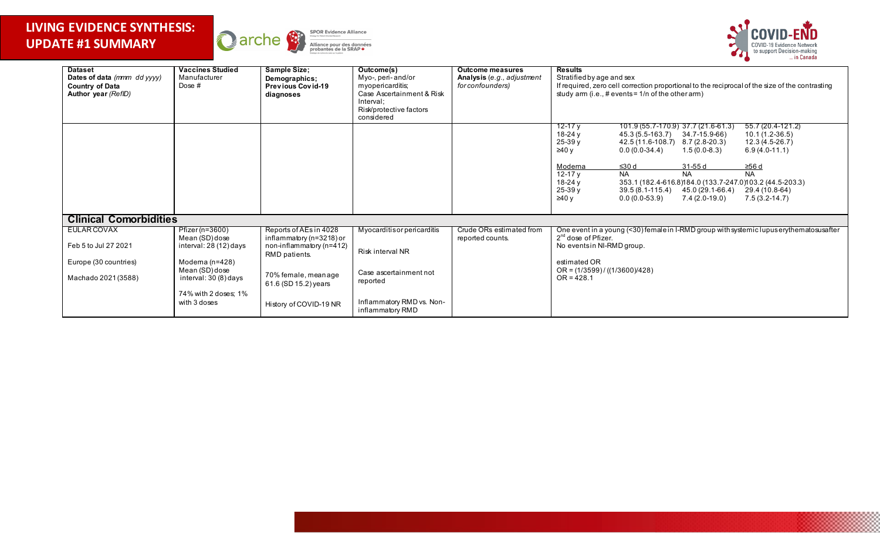



| <b>Dataset</b><br>Dates of data (mmm dd yyyy)<br>Country of Data<br>Author year (RefID) | <b>Vaccines Studied</b><br>Manufacturer<br>Dose $#$                                | Sample Size;<br>Demographics;<br><b>Previous Covid-19</b><br>diagnoses                          | Outcome(s)<br>Myo-, peri-and/or<br>myopericarditis;<br>Case Ascertainment & Risk<br>Interval:<br>Risk/protective factors<br>considered | <b>Outcome measures</b><br>Analysis (e.g., adjustment<br>for confounders) | <b>Results</b><br>Stratified by age and sex<br>If required, zero cell correction proportional to the reciprocal of the size of the contrasting<br>study arm (i.e., # events = $1/n$ of the other arm)                                                                                                                                                                                                                                                                                                                                                                                                    |  |  |
|-----------------------------------------------------------------------------------------|------------------------------------------------------------------------------------|-------------------------------------------------------------------------------------------------|----------------------------------------------------------------------------------------------------------------------------------------|---------------------------------------------------------------------------|----------------------------------------------------------------------------------------------------------------------------------------------------------------------------------------------------------------------------------------------------------------------------------------------------------------------------------------------------------------------------------------------------------------------------------------------------------------------------------------------------------------------------------------------------------------------------------------------------------|--|--|
|                                                                                         |                                                                                    |                                                                                                 |                                                                                                                                        |                                                                           | 12-17 $v$<br>55.7 (20.4-121.2)<br>101 9 (55.7-170.9) 37.7 (21.6-61.3)<br>18-24 $y$<br>45.3 (5.5-163.7)<br>34.7-15.9-66)<br>$10.1(1.2-36.5)$<br>25-39 y<br>42.5 (11.6-108.7)<br>8.7 (2.8-20.3)<br>12.3 (4.5-26.7)<br>≥40 y<br>$6.9(4.0-11.1)$<br>$0.0(0.0-34.4)$<br>$1.5(0.0-8.3)$<br>31-55 d<br>Moderna<br>≤30 d<br>$\geq$ 56 d<br><b>NA</b><br><b>NA</b><br><b>NA</b><br>12-17 $v$<br>18-24 $v$<br>353.1 (182.4-616.8) 184.0 (133.7-247.0) 103.2 (44.5-203.3)<br>$25-39y$<br>$39.5(8.1 - 115.4)$<br>45.0 (29.1-66.4)<br>29.4 (10.8-64)<br>≥40 y<br>$0.0(0.0-53.9)$<br>7.4 (2.0-19.0)<br>$7.5(3.2-14.7)$ |  |  |
| <b>Clinical Comorbidities</b>                                                           |                                                                                    |                                                                                                 |                                                                                                                                        |                                                                           |                                                                                                                                                                                                                                                                                                                                                                                                                                                                                                                                                                                                          |  |  |
| EULAR COVAX<br>Feb 5 to Jul 27 2021<br>Europe (30 countries)                            | Pfizer ( $n=3600$ )<br>Mean (SD) dose<br>interval: 28 (12) days<br>Moderna (n=428) | Reports of AEs in 4028<br>inflammatory (n=3218) or<br>non-inflammatory (n=412)<br>RMD patients. | Myocarditis or pericarditis<br>Risk interval NR                                                                                        | Crude ORs estimated from<br>reported counts.                              | One event in a young (<30) female in I-RMD group with systemic lupus erythematosus after<br>$2nd$ dose of Pfizer.<br>No eventsin NI-RMD group.<br>estimated OR                                                                                                                                                                                                                                                                                                                                                                                                                                           |  |  |
| Machado 2021 (3588)                                                                     | Mean (SD) dose<br>interval: 30 (8) days<br>74% with 2 doses; 1%<br>with 3 doses    | 70% female, meanage<br>61.6 (SD 15.2) years<br>History of COVID-19 NR                           | Case ascertainment not<br>reported<br>Inflammatory RMD vs. Non-<br>inflammatory RMD                                                    |                                                                           | $OR = (1/3599) / ((1/3600)/428)$<br>$OR = 428.1$                                                                                                                                                                                                                                                                                                                                                                                                                                                                                                                                                         |  |  |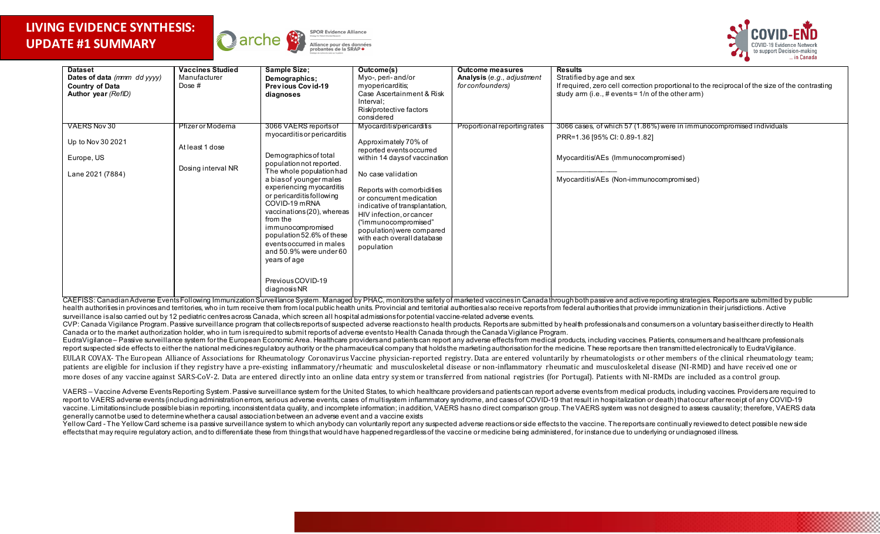



| <b>Dataset</b><br>Dates of data (mmm dd yyyy)<br><b>Country of Data</b><br>Author year (RefID) | <b>Vaccines Studied</b><br>Manufacturer<br>Dose $#$        | <b>Sample Size:</b><br>Demographics;<br><b>Previous Covid-19</b><br>diagnoses                                                                                                                                                                                                                                                                                                                                                                  | Outcome(s)<br>Myo-, peri-and/or<br>myopericarditis;<br>Case Ascertainment & Risk<br>Interval:<br>Risk/protective factors<br>considered                                                                                                                                                                                                                       | <b>Outcome measures</b><br>Analysis (e.g., adjustment<br>for confounders) | <b>Results</b><br>Stratified by age and sex<br>If required, zero cell correction proportional to the reciprocal of the size of the contrasting<br>study arm (i.e., # events = $1/n$ of the other arm) |
|------------------------------------------------------------------------------------------------|------------------------------------------------------------|------------------------------------------------------------------------------------------------------------------------------------------------------------------------------------------------------------------------------------------------------------------------------------------------------------------------------------------------------------------------------------------------------------------------------------------------|--------------------------------------------------------------------------------------------------------------------------------------------------------------------------------------------------------------------------------------------------------------------------------------------------------------------------------------------------------------|---------------------------------------------------------------------------|-------------------------------------------------------------------------------------------------------------------------------------------------------------------------------------------------------|
| VAERS Nov 30<br>Up to Nov 30 2021<br>Europe, US<br>Lane 2021 (7884)                            | Pfizer or Moderna<br>At least 1 dose<br>Dosing interval NR | 3066 VAERS reports of<br>myocarditisor pericarditis<br>Demographics of total<br>population not reported.<br>The whole population had<br>a biasof younger males<br>experiencing myocarditis<br>or pericarditisfollowing<br>COVID-19 mRNA<br>vaccinations (20), whereas<br>from the<br>immunocompromised<br>population 52.6% of these<br>events occurred in males<br>and 50.9% were under 60<br>years of age<br>Previous COVID-19<br>diagnosisNR | Myocarditis/pericarditis<br>Approximately 70% of<br>reported events occurred<br>within 14 days of vaccination<br>No case validation<br>Reports with comorbidities<br>or concurrent medication<br>indicative of transplantation,<br>HIV infection, or cancer<br>("immunocompromised"<br>population) were compared<br>with each overall database<br>population | Proportional reporting rates                                              | 3066 cases, of which 57 (1.86%) were in immunocompromised individuals<br>PRR=1.36 [95% CI: 0.89-1.82]<br>Myocarditis/AEs (Immunocompromised)<br>Myocarditis/AEs (Non-immunocompromised)               |

CAEFISS: Canadian Adverse Events Following Immunization Surveillance System, Managed by PHAC, monitors the safety of marketed vaccines in Canada through both passive and active reporting strategies. Reports are submitted b health authorities in provinces and territories, who in turn receive them from local public health units. Provincial and territorial authorities also receive reports from federal authorities that provide immunization in th surveillance is also carried out by 12 pediatric centres across Canada, which screen all hospital admissions for potential vaccine-related adverse events.

CVP: Canada Vigilance Program. Passive surveillance program that collects reports of suspected adverse reactions to health products. Reports are submitted by health professionals and consumers on a voluntary basis either d Canada or to the market authorization holder, who in turn is required to submit reports of adverse events to Health Canada through the Canada Vigilance Program.

EudraVigilance – Passive surveillance system for the European Economic Area. Healthcare providers and patients can report any adverse effects from medical products, including vaccines. Patients, consumers and healthcare pr report suspected side effects to either the national medicines regulatory authority or the pharmaceutical company that holds the marketing authorisation for the medicine. These reports are then transmitted electronically t EULAR COVAX- The European Alliance of Associations for Rheumatology Coronavirus Vaccine physician-reported registry. Data are entered voluntarily by rheumatologists or other members of the clinical rheumatology team; patients are eligible for inclusion if they registry have a pre-existing inflammatory/rheumatic and musculoskeletal disease or non-inflammatory rheumatic and musculoskeletal disease (NI-RMD) and have received one or more doses of any vaccine against SARS-CoV-2. Data are entered directly into an online data entry system or transferred from national registries (for Portugal). Patients with NI-RMDs are included as a control group.

VAERS - Vaccine Adverse Events Reporting System. Passive surveillance system for the United States, to which healthcare providers and patients can report adverse events from medical products, including vaccines. Providers report to VAERS adverse events (including administration errors, serious adverse events, cases of multisystem inflammatory syndrome, and cases of COVID-19 that result in hospitalization or death) that occur after receipt o vaccine. Limitations include possible bias in reporting, inconsistent data quality, and incomplete information; in addition, VAERS has no direct comparison group. The VAERS system was not designed to assess causality; ther generally cannot be used to determine whether a causal association between an adverse event and a vaccine exists

Yellow Card - The Yellow Card scheme is a passive surveillance system to which anybody can voluntarily report any suspected adverse reactions or side effects to the vaccine. The reports are continually reviewed to detect p effects that may require regulatory action, and to differentiate these from things that would have happened regardless of the vaccine or medicine being administered, for instance due to underlying or undiagnosed illness.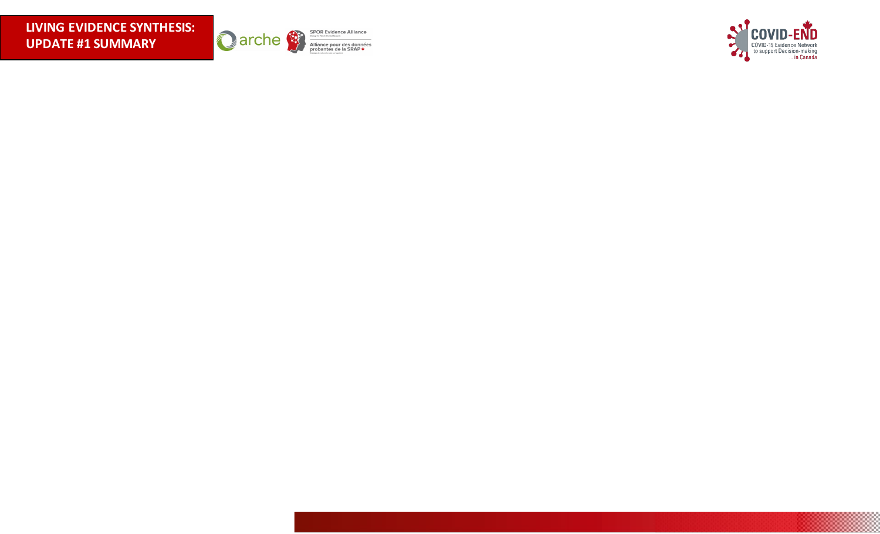

**SPOR Evidence Alliance** Alliance pour des données<br>probantes de la SRAP +

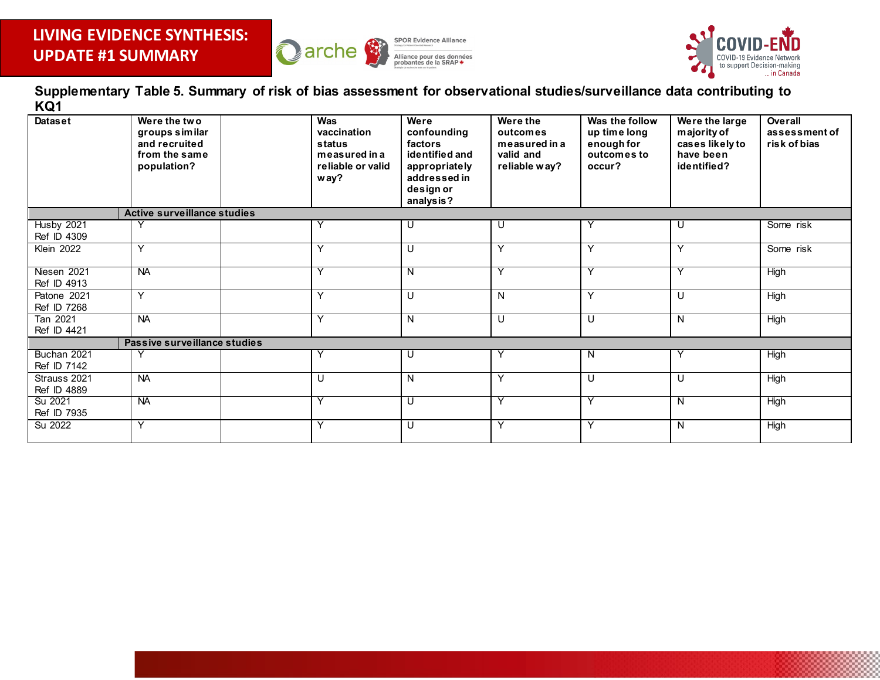



**Supplementary Table 5. Summary of risk of bias assessment for observational studies/surveillance data contributing to KQ1**

<span id="page-40-0"></span>

| <b>Dataset</b>              | Were the two<br>groups similar<br>and recruited<br>from the same<br>population? | Was<br>vaccination<br>status<br>measured in a<br>reliable or valid<br>way? | Were<br>confounding<br>factors<br>identified and<br>appropriately<br>addressed in<br>design or<br>analysis? | Were the<br>outcomes<br>measured in a<br>valid and<br>reliable way? | Was the follow<br>up time long<br>enough for<br>outcomes to<br>occur? | Were the large<br>majority of<br>cases likely to<br>have been<br>identified? | Overall<br>assessment of<br>risk of bias |
|-----------------------------|---------------------------------------------------------------------------------|----------------------------------------------------------------------------|-------------------------------------------------------------------------------------------------------------|---------------------------------------------------------------------|-----------------------------------------------------------------------|------------------------------------------------------------------------------|------------------------------------------|
|                             | <b>Active surveillance studies</b>                                              |                                                                            |                                                                                                             |                                                                     |                                                                       |                                                                              |                                          |
| Husby 2021<br>Ref ID 4309   |                                                                                 |                                                                            | U                                                                                                           | υ                                                                   |                                                                       | U                                                                            | Some risk                                |
| Klein 2022                  | Y                                                                               | Y                                                                          | U                                                                                                           | Y                                                                   | $\checkmark$                                                          | Y                                                                            | Some risk                                |
| Niesen 2021<br>Ref ID 4913  | <b>NA</b>                                                                       | ν                                                                          | N                                                                                                           |                                                                     |                                                                       | Υ                                                                            | High                                     |
| Patone 2021<br>Ref ID 7268  | Y                                                                               | Y                                                                          | U                                                                                                           | N                                                                   | Y                                                                     | U                                                                            | High                                     |
| Tan 2021<br>Ref ID 4421     | <b>NA</b>                                                                       | ⋎                                                                          | <sup>N</sup>                                                                                                | U                                                                   | U                                                                     | N.                                                                           | High                                     |
|                             | Passive surveillance studies                                                    |                                                                            |                                                                                                             |                                                                     |                                                                       |                                                                              |                                          |
| Buchan 2021<br>Ref ID 7142  |                                                                                 |                                                                            | U                                                                                                           |                                                                     | N                                                                     |                                                                              | High                                     |
| Strauss 2021<br>Ref ID 4889 | <b>NA</b>                                                                       | U                                                                          | N                                                                                                           | Υ                                                                   | U                                                                     | U                                                                            | High                                     |
| Su 2021<br>Ref ID 7935      | <b>NA</b>                                                                       | Y                                                                          | U                                                                                                           | Υ                                                                   | Ϋ                                                                     | N                                                                            | High                                     |
| Su 2022                     | Y                                                                               | $\overline{\mathsf{Y}}$                                                    | U                                                                                                           | $\check{ }$                                                         | $\checkmark$                                                          | N                                                                            | High                                     |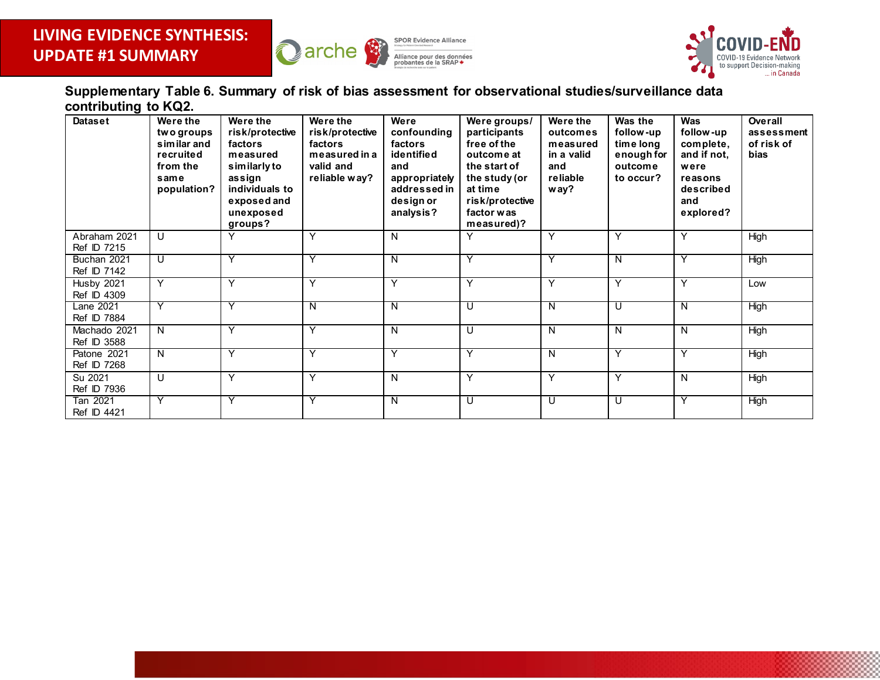



**Supplementary Table 6. Summary of risk of bias assessment for observational studies/surveillance data contributing to KQ2.** 

<span id="page-41-0"></span>

| <b>Dataset</b>                     | Were the<br>two groups<br>similar and<br>recruited<br>from the<br>same<br>population? | Were the<br>risk/protective<br>factors<br>measured<br>similarly to<br>assign<br>individuals to<br>exposed and<br>unexposed<br>groups? | Were the<br>risk/protective<br>factors<br>measured in a<br>valid and<br>reliable way? | Were<br>confounding<br>factors<br>identified<br>and<br>appropriately<br>addressed in<br>design or<br>analysis? | Were groups/<br>participants<br>free of the<br>outcome at<br>the start of<br>the study (or<br>at time<br>risk/protective<br>factor was<br>measured)? | Were the<br>outcomes<br>measured<br>in a valid<br>and<br>reliable<br>way? | Was the<br>follow-up<br>time long<br>enough for<br>outcome<br>to occur? | Was<br>follow-up<br>complete,<br>and if not.<br>were<br>reasons<br>described<br>and<br>explored? | Overall<br>assessment<br>of risk of<br>bias |
|------------------------------------|---------------------------------------------------------------------------------------|---------------------------------------------------------------------------------------------------------------------------------------|---------------------------------------------------------------------------------------|----------------------------------------------------------------------------------------------------------------|------------------------------------------------------------------------------------------------------------------------------------------------------|---------------------------------------------------------------------------|-------------------------------------------------------------------------|--------------------------------------------------------------------------------------------------|---------------------------------------------|
| Abraham 2021<br>Ref ID 7215        | U                                                                                     |                                                                                                                                       | Υ                                                                                     | N                                                                                                              | Υ                                                                                                                                                    | Y                                                                         | Y                                                                       | Y                                                                                                | High                                        |
| Buchan 2021<br>Ref ID 7142         | $\overline{U}$                                                                        |                                                                                                                                       | Y                                                                                     | N                                                                                                              |                                                                                                                                                      |                                                                           | N                                                                       | Y                                                                                                | High                                        |
| Husby 2021<br>Ref ID 4309          | Y                                                                                     | Υ                                                                                                                                     | Y                                                                                     | Y                                                                                                              | Υ                                                                                                                                                    | Y                                                                         | Y                                                                       | Y                                                                                                | Low                                         |
| Lane 2021<br>Ref ID 7884           | Ÿ                                                                                     |                                                                                                                                       | N                                                                                     | N                                                                                                              | U                                                                                                                                                    | N                                                                         | U                                                                       | N                                                                                                | <b>High</b>                                 |
| Machado 2021<br><b>Ref ID 3588</b> | N                                                                                     | Y                                                                                                                                     | Y                                                                                     | N                                                                                                              | U                                                                                                                                                    | N                                                                         | N                                                                       | N                                                                                                | <b>High</b>                                 |
| Patone 2021<br>Ref ID 7268         | N                                                                                     | Υ                                                                                                                                     | Y                                                                                     | Y                                                                                                              | V                                                                                                                                                    | N                                                                         | Y                                                                       | Y                                                                                                | High                                        |
| Su 2021<br>Ref ID 7936             | $\cup$                                                                                | Y                                                                                                                                     | Y                                                                                     | N                                                                                                              | Υ                                                                                                                                                    | Y                                                                         | Y                                                                       | $\mathsf{N}$                                                                                     | High                                        |
| Tan 2021<br>Ref ID 4421            | Y                                                                                     | Y                                                                                                                                     | Υ                                                                                     | N                                                                                                              | U                                                                                                                                                    | U                                                                         | U                                                                       | Y                                                                                                | <b>High</b>                                 |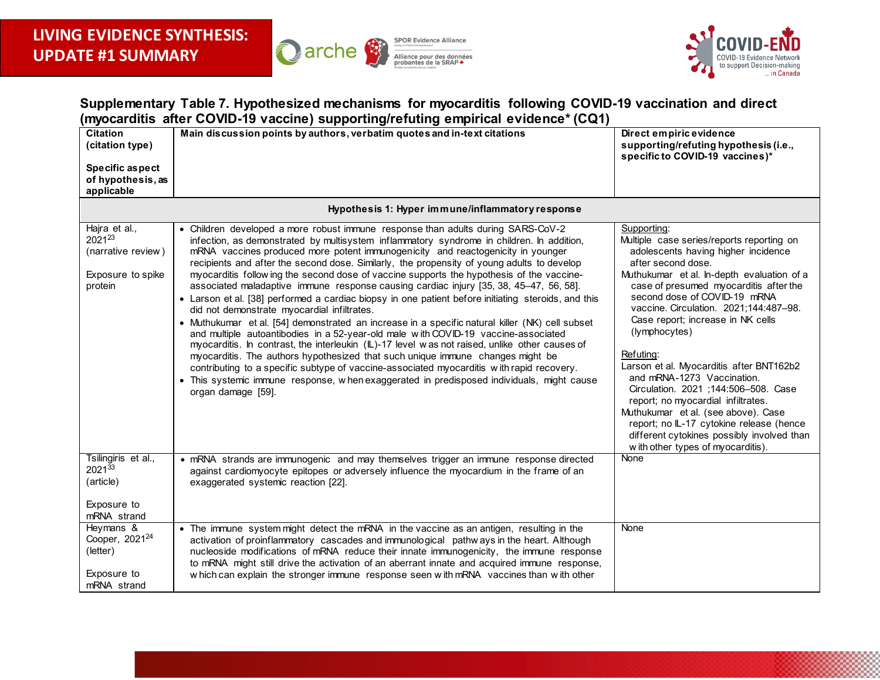



### **Supplementary Table 7. Hypothesized mechanisms for myocarditis following COVID-19 vaccination and direct (myocarditis after COVID-19 vaccine) supporting/refuting empirical evidence\* (CQ1)**

<span id="page-42-0"></span>

| <b>Citation</b><br>(citation type)<br>Specific as pect<br>of hypothesis, as<br>applicable | Main discussion points by authors, verbatim quotes and in-text citations                                                                                                                                                                                                                                                                                                                                                                                                                                                                                                                                                                                                                                                                                                                                                                                                                                                                                                                                                                                                                                                                                                                                                                                                                                  | Direct empiric evidence<br>supporting/refuting hypothesis (i.e.,<br>specific to COVID-19 vaccines)*                                                                                                                                                                                                                                                                                                                                                                                                                                                                                                                                                                                      |
|-------------------------------------------------------------------------------------------|-----------------------------------------------------------------------------------------------------------------------------------------------------------------------------------------------------------------------------------------------------------------------------------------------------------------------------------------------------------------------------------------------------------------------------------------------------------------------------------------------------------------------------------------------------------------------------------------------------------------------------------------------------------------------------------------------------------------------------------------------------------------------------------------------------------------------------------------------------------------------------------------------------------------------------------------------------------------------------------------------------------------------------------------------------------------------------------------------------------------------------------------------------------------------------------------------------------------------------------------------------------------------------------------------------------|------------------------------------------------------------------------------------------------------------------------------------------------------------------------------------------------------------------------------------------------------------------------------------------------------------------------------------------------------------------------------------------------------------------------------------------------------------------------------------------------------------------------------------------------------------------------------------------------------------------------------------------------------------------------------------------|
|                                                                                           | Hypothesis 1: Hyper immune/inflammatory response                                                                                                                                                                                                                                                                                                                                                                                                                                                                                                                                                                                                                                                                                                                                                                                                                                                                                                                                                                                                                                                                                                                                                                                                                                                          |                                                                                                                                                                                                                                                                                                                                                                                                                                                                                                                                                                                                                                                                                          |
| Hajra et al.,<br>$2021^{23}$<br>(narrative review)<br>Exposure to spike<br>protein        | • Children developed a more robust immune response than adults during SARS-CoV-2<br>infection, as demonstrated by multisystem inflammatory syndrome in children. In addition,<br>mRNA vaccines produced more potent immunogenicity and reactogenicity in younger<br>recipients and after the second dose. Similarly, the propensity of young adults to develop<br>myocarditis follow ing the second dose of vaccine supports the hypothesis of the vaccine-<br>associated maladaptive immune response causing cardiac injury [35, 38, 45-47, 56, 58].<br>• Larson et al. [38] performed a cardiac biopsy in one patient before initiating steroids, and this<br>did not demonstrate myocardial infiltrates.<br>• Muthukumar et al. [54] demonstrated an increase in a specific natural killer (NK) cell subset<br>and multiple autoantibodies in a 52-year-old male with COVID-19 vaccine-associated<br>myocarditis. In contrast, the interleukin (IL)-17 level was not raised, unlike other causes of<br>myocarditis. The authors hypothesized that such unique immune changes might be<br>contributing to a specific subtype of vaccine-associated myocarditis with rapid recovery.<br>• This systemic immune response, w hen exaggerated in predisposed individuals, might cause<br>organ damage [59]. | Supporting:<br>Multiple case series/reports reporting on<br>adolescents having higher incidence<br>after second dose.<br>Muthukumar et al. In-depth evaluation of a<br>case of presumed myocarditis after the<br>second dose of COVID-19 mRNA<br>vaccine. Circulation. 2021;144:487-98.<br>Case report; increase in NK cells<br>(lymphocytes)<br>Refuting:<br>Larson et al. Myocarditis after BNT162b2<br>and mRNA-1273 Vaccination.<br>Circulation. 2021 ;144:506-508. Case<br>report; no myocardial infiltrates.<br>Muthukumar et al. (see above). Case<br>report; no IL-17 cytokine release (hence<br>different cytokines possibly involved than<br>with other types of myocarditis). |
| Tsilingiris et al.,<br>$2021^{33}$<br>(article)<br>Exposure to<br>mRNA strand             | • mRNA strands are immunogenic and may themselves trigger an immune response directed<br>against cardiomy ocyte epitopes or adversely influence the my ocardium in the frame of an<br>exaggerated systemic reaction [22].                                                                                                                                                                                                                                                                                                                                                                                                                                                                                                                                                                                                                                                                                                                                                                                                                                                                                                                                                                                                                                                                                 | None                                                                                                                                                                                                                                                                                                                                                                                                                                                                                                                                                                                                                                                                                     |
| Hevmans &<br>Cooper, 2021 <sup>24</sup><br>(letter)<br>Exposure to<br>mRNA strand         | • The immune system might detect the mRNA in the vaccine as an antigen, resulting in the<br>activation of proinflammatory cascades and immunological pathways in the heart. Although<br>nucleoside modifications of mRNA reduce their innate immunogenicity, the immune response<br>to mRNA might still drive the activation of an aberrant innate and acquired immune response,<br>w hich can explain the stronger immune response seen w ith mRNA vaccines than w ith other                                                                                                                                                                                                                                                                                                                                                                                                                                                                                                                                                                                                                                                                                                                                                                                                                             | None                                                                                                                                                                                                                                                                                                                                                                                                                                                                                                                                                                                                                                                                                     |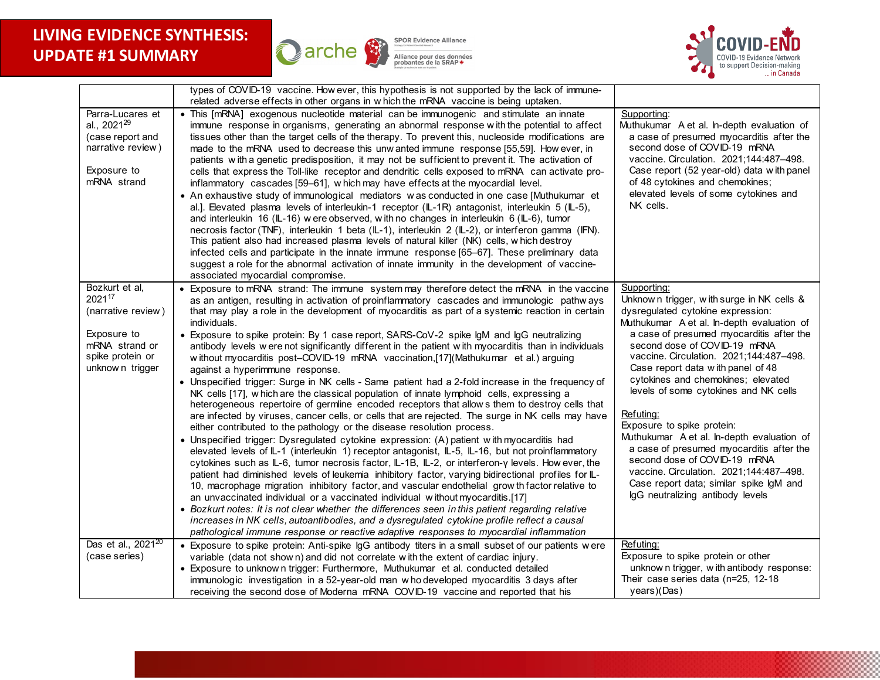





|                                                                                                                    | types of COVID-19 vaccine. How ever, this hypothesis is not supported by the lack of immune-<br>related adverse effects in other organs in w hich the mRNA vaccine is being uptaken.                                                                                                                                                                                                                                                                                                                                                                                                                                                                                                                                                                                                                                                                                                                                                                                                                                                                                                                                                                                                                                                                                                                                                                                                                               |                                                                                                                                                                                                                                                                                                                        |
|--------------------------------------------------------------------------------------------------------------------|--------------------------------------------------------------------------------------------------------------------------------------------------------------------------------------------------------------------------------------------------------------------------------------------------------------------------------------------------------------------------------------------------------------------------------------------------------------------------------------------------------------------------------------------------------------------------------------------------------------------------------------------------------------------------------------------------------------------------------------------------------------------------------------------------------------------------------------------------------------------------------------------------------------------------------------------------------------------------------------------------------------------------------------------------------------------------------------------------------------------------------------------------------------------------------------------------------------------------------------------------------------------------------------------------------------------------------------------------------------------------------------------------------------------|------------------------------------------------------------------------------------------------------------------------------------------------------------------------------------------------------------------------------------------------------------------------------------------------------------------------|
| Parra-Lucares et<br>al., 2021 <sup>29</sup><br>(case report and<br>narrative review)<br>Exposure to<br>mRNA strand | • This [mRNA] exogenous nucleotide material can be immunogenic and stimulate an innate<br>immune response in organisms, generating an abnormal response with the potential to affect<br>tissues other than the target cells of the therapy. To prevent this, nucleoside modifications are<br>made to the mRNA used to decrease this unw anted immune response [55,59]. How ever, in<br>patients with a genetic predisposition, it may not be sufficient to prevent it. The activation of<br>cells that express the Toll-like receptor and dendritic cells exposed to mRNA can activate pro-<br>inflammatory cascades [59–61], which may have effects at the myocardial level.<br>• An exhaustive study of immunological mediators was conducted in one case [Muthukumar et<br>al.]. Elevated plasma levels of interleukin-1 receptor (IL-1R) antagonist, interleukin 5 (IL-5),<br>and interleukin 16 (IL-16) were observed, with no changes in interleukin 6 (IL-6), tumor<br>necrosis factor (TNF), interleukin 1 beta (IL-1), interleukin 2 (IL-2), or interferon gamma (IFN).<br>This patient also had increased plasma levels of natural killer (NK) cells, which destroy<br>infected cells and participate in the innate immune response [65-67]. These preliminary data<br>suggest a role for the abnormal activation of innate immunity in the development of vaccine-<br>associated myocardial compromise. | Supporting:<br>Muthukumar A et al. In-depth evaluation of<br>a case of presumed myocarditis after the<br>second dose of COVID-19 mRNA<br>vaccine. Circulation. 2021;144:487-498.<br>Case report (52 year-old) data with panel<br>of 48 cytokines and chemokines;<br>elevated levels of some cytokines and<br>NK cells. |
| Bozkurt et al.<br>202117<br>(narrative review)<br>Exposure to                                                      | • Exposure to mRNA strand: The immune system may therefore detect the mRNA in the vaccine<br>as an antigen, resulting in activation of proinflammatory cascades and immunologic pathways<br>that may play a role in the development of myocarditis as part of a systemic reaction in certain<br>individuals.<br>• Exposure to spike protein: By 1 case report, SARS-CoV-2 spike IgM and IgG neutralizing                                                                                                                                                                                                                                                                                                                                                                                                                                                                                                                                                                                                                                                                                                                                                                                                                                                                                                                                                                                                           | Supporting:<br>Unknown trigger, with surge in NK cells &<br>dysregulated cytokine expression:<br>Muthukumar A et al. In-depth evaluation of<br>a case of presumed myocarditis after the                                                                                                                                |
| mRNA strand or<br>spike protein or<br>unknown trigger                                                              | antibody levels w ere not significantly different in the patient with myocarditis than in individuals<br>without myocarditis post-COVID-19 mRNA vaccination,[17](Mathukumar et al.) arguing<br>against a hyperimmune response.<br>• Unspecified trigger: Surge in NK cells - Same patient had a 2-fold increase in the frequency of<br>NK cells [17], w hich are the classical population of innate lymphoid cells, expressing a<br>heterogeneous repertoire of germine encoded receptors that allows them to destroy cells that                                                                                                                                                                                                                                                                                                                                                                                                                                                                                                                                                                                                                                                                                                                                                                                                                                                                                   | second dose of COVID-19 mRNA<br>vaccine. Circulation. 2021;144:487-498.<br>Case report data with panel of 48<br>cytokines and chemokines; elevated<br>levels of some cytokines and NK cells                                                                                                                            |
|                                                                                                                    | are infected by viruses, cancer cells, or cells that are rejected. The surge in NK cells may have<br>either contributed to the pathology or the disease resolution process.<br>• Unspecified trigger: Dysregulated cytokine expression: (A) patient with myocarditis had<br>elevated levels of IL-1 (interleukin 1) receptor antagonist, IL-5, IL-16, but not proinflammatory<br>cytokines such as IL-6, tumor necrosis factor, IL-1B, IL-2, or interferon-y levels. How ever, the<br>patient had diminished levels of leukemia inhibitory factor, varying bidirectional profiles for IL-<br>10, macrophage migration inhibitory factor, and vascular endothelial grow th factor relative to<br>an unvaccinated individual or a vaccinated individual without myocarditis.[17]                                                                                                                                                                                                                                                                                                                                                                                                                                                                                                                                                                                                                                     | Refuting:<br>Exposure to spike protein:<br>Muthukumar A et al. In-depth evaluation of<br>a case of presumed myocarditis after the<br>second dose of COVID-19 mRNA<br>vaccine. Circulation. 2021;144:487-498.<br>Case report data; similar spike IgM and<br>IgG neutralizing antibody levels                            |
|                                                                                                                    | • Bozkurt notes: It is not clear whether the differences seen in this patient regarding relative<br>increases in NK cells, autoantibodies, and a dysregulated cytokine profile reflect a causal<br>pathological immune response or reactive adaptive responses to myocardial inflammation                                                                                                                                                                                                                                                                                                                                                                                                                                                                                                                                                                                                                                                                                                                                                                                                                                                                                                                                                                                                                                                                                                                          |                                                                                                                                                                                                                                                                                                                        |
| Das et al., 2021 <sup>20</sup><br>(case series)                                                                    | • Exposure to spike protein: Anti-spike IgG antibody titers in a small subset of our patients were<br>variable (data not shown) and did not correlate with the extent of cardiac injury.<br>• Exposure to unknow n trigger: Furthermore, Muthukumar et al. conducted detailed<br>immunologic investigation in a 52-year-old man w ho developed myocarditis 3 days after<br>receiving the second dose of Moderna mRNA COVID-19 vaccine and reported that his                                                                                                                                                                                                                                                                                                                                                                                                                                                                                                                                                                                                                                                                                                                                                                                                                                                                                                                                                        | Refuting:<br>Exposure to spike protein or other<br>unknown trigger, with antibody response:<br>Their case series data (n=25, 12-18)<br>years)(Das)                                                                                                                                                                     |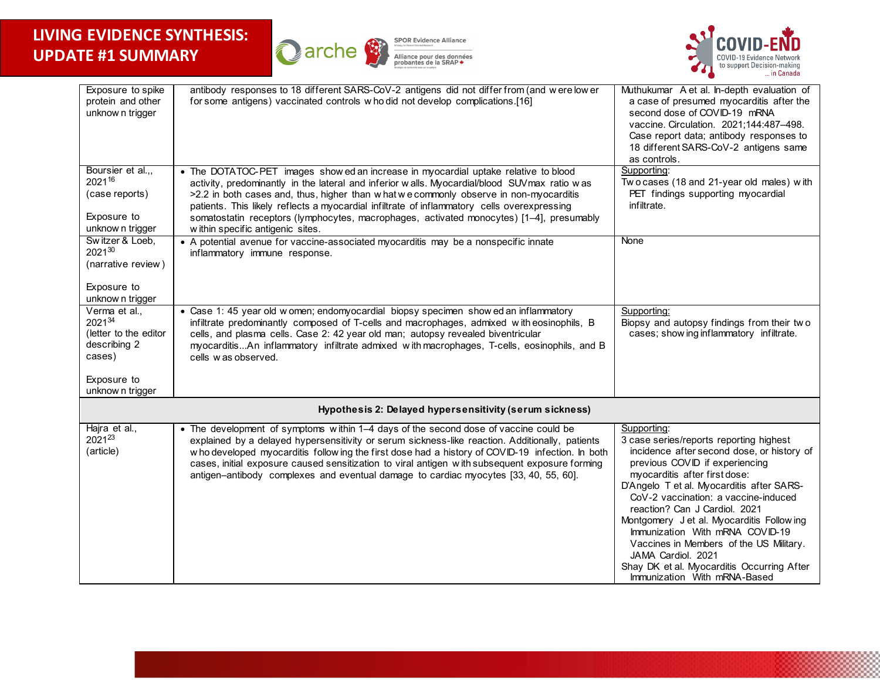





| Exposure to spike<br>protein and other<br>unknow n trigger<br>Boursier et al.,,<br>202116                     | antibody responses to 18 different SARS-CoV-2 antigens did not differ from (and w ere low er<br>for some antigens) vaccinated controls who did not develop complications.[16]<br>• The DOTATOC-PET images show ed an increase in myocardial uptake relative to blood<br>activity, predominantly in the lateral and inferior walls. Myocardial/blood SUV max ratio was                                                                                                                 | Muthukumar A et al. In-depth evaluation of<br>a case of presumed myocarditis after the<br>second dose of COVID-19 mRNA<br>vaccine. Circulation. 2021;144:487-498.<br>Case report data; antibody responses to<br>18 different SARS-CoV-2 antigens same<br>as controls.<br>Supporting:<br>Two cases (18 and 21-year old males) with                                                                                                                                                                                            |
|---------------------------------------------------------------------------------------------------------------|---------------------------------------------------------------------------------------------------------------------------------------------------------------------------------------------------------------------------------------------------------------------------------------------------------------------------------------------------------------------------------------------------------------------------------------------------------------------------------------|------------------------------------------------------------------------------------------------------------------------------------------------------------------------------------------------------------------------------------------------------------------------------------------------------------------------------------------------------------------------------------------------------------------------------------------------------------------------------------------------------------------------------|
| (case reports)<br>Exposure to<br>unknow n trigger                                                             | >2.2 in both cases and, thus, higher than what we commonly observe in non-myocarditis<br>patients. This likely reflects a myocardial infiltrate of inflammatory cells overexpressing<br>somatostatin receptors (lymphocytes, macrophages, activated monocytes) [1-4], presumably<br>within specific antigenic sites.                                                                                                                                                                  | PET findings supporting myocardial<br>infiltrate.                                                                                                                                                                                                                                                                                                                                                                                                                                                                            |
| Switzer & Loeb,<br>202130<br>(narrative review)<br>Exposure to<br>unknow n trigger                            | • A potential avenue for vaccine-associated myocarditis may be a nonspecific innate<br>inflammatory immune response.                                                                                                                                                                                                                                                                                                                                                                  | None                                                                                                                                                                                                                                                                                                                                                                                                                                                                                                                         |
| Verma et al.,<br>202134<br>(letter to the editor<br>describing 2<br>cases)<br>Exposure to<br>unknow n trigger | • Case 1: 45 year old w omen; endomyocardial biopsy specimen show ed an inflammatory<br>infiltrate predominantly composed of T-cells and macrophages, admixed with eosinophils, B<br>cells, and plasma cells. Case 2: 42 year old man; autopsy revealed biventricular<br>myocarditisAn inflammatory infiltrate admixed with macrophages, T-cells, eosinophils, and B<br>cells was observed.                                                                                           | Supporting:<br>Biopsy and autopsy findings from their two<br>cases; show ing inflammatory infiltrate.                                                                                                                                                                                                                                                                                                                                                                                                                        |
|                                                                                                               | Hypothesis 2: Delayed hypersensitivity (serum sickness)                                                                                                                                                                                                                                                                                                                                                                                                                               |                                                                                                                                                                                                                                                                                                                                                                                                                                                                                                                              |
| Hajra et al.,<br>$2021^{23}$<br>(article)                                                                     | • The development of symptoms within 1-4 days of the second dose of vaccine could be<br>explained by a delayed hypersensitivity or serum sickness-like reaction. Additionally, patients<br>w ho developed myocarditis following the first dose had a history of COVID-19 infection. In both<br>cases, initial exposure caused sensitization to viral antigen with subsequent exposure forming<br>antigen-antibody complexes and eventual damage to cardiac myocytes [33, 40, 55, 60]. | Supporting:<br>3 case series/reports reporting highest<br>incidence after second dose, or history of<br>previous COVID if experiencing<br>myocarditis after first dose:<br>D'Angelo T et al. Myocarditis after SARS-<br>CoV-2 vaccination: a vaccine-induced<br>reaction? Can J Cardiol. 2021<br>Montgomery J et al. Myocarditis Following<br>Immunization With mRNA COVID-19<br>Vaccines in Members of the US Military.<br>JAMA Cardiol. 2021<br>Shay DK et al. Myocarditis Occurring After<br>Immunization With mRNA-Based |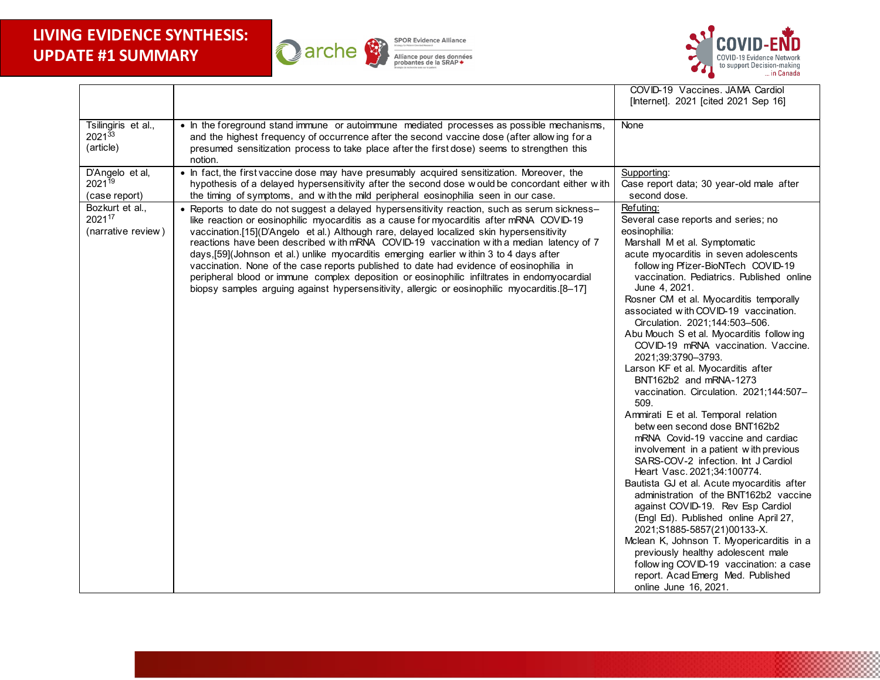





|                                                        |                                                                                                                                                                                                                                                                                                                                                                                                                                                                                                                                                                                                                                                                                                                                                                        | COVID-19 Vaccines, JAMA Cardiol<br>[Internet]. 2021 [cited 2021 Sep 16]                                                                                                                                                                                                                                                                                                                                                                                                                                                                                                                                                                                                                                                                                                                                                                                                                                                                                                                                                                                                                                                                                                                                                        |
|--------------------------------------------------------|------------------------------------------------------------------------------------------------------------------------------------------------------------------------------------------------------------------------------------------------------------------------------------------------------------------------------------------------------------------------------------------------------------------------------------------------------------------------------------------------------------------------------------------------------------------------------------------------------------------------------------------------------------------------------------------------------------------------------------------------------------------------|--------------------------------------------------------------------------------------------------------------------------------------------------------------------------------------------------------------------------------------------------------------------------------------------------------------------------------------------------------------------------------------------------------------------------------------------------------------------------------------------------------------------------------------------------------------------------------------------------------------------------------------------------------------------------------------------------------------------------------------------------------------------------------------------------------------------------------------------------------------------------------------------------------------------------------------------------------------------------------------------------------------------------------------------------------------------------------------------------------------------------------------------------------------------------------------------------------------------------------|
| Tsilingiris et al.,<br>$2021^{33}$<br>(article)        | • In the foreground stand immune or autoimmune mediated processes as possible mechanisms,<br>and the highest frequency of occurrence after the second vaccine dose (after allow ing for a<br>presumed sensitization process to take place after the first dose) seems to strengthen this<br>notion.                                                                                                                                                                                                                                                                                                                                                                                                                                                                    | None                                                                                                                                                                                                                                                                                                                                                                                                                                                                                                                                                                                                                                                                                                                                                                                                                                                                                                                                                                                                                                                                                                                                                                                                                           |
| D'Angelo et al,<br>2021 <sup>19</sup><br>(case report) | • In fact, the first vaccine dose may have presumably acquired sensitization. Moreover, the<br>hypothesis of a delayed hypersensitivity after the second dose would be concordant either with<br>the timing of symptoms, and with the mild peripheral eosinophilia seen in our case.                                                                                                                                                                                                                                                                                                                                                                                                                                                                                   | Supporting:<br>Case report data; 30 year-old male after<br>second dose.                                                                                                                                                                                                                                                                                                                                                                                                                                                                                                                                                                                                                                                                                                                                                                                                                                                                                                                                                                                                                                                                                                                                                        |
| Bozkurt et al<br>202117<br>(narrative review)          | • Reports to date do not suggest a delayed hypersensitivity reaction, such as serum sickness-<br>like reaction or eosinophilic myocarditis as a cause for myocarditis after mRNA COVID-19<br>vaccination.[15](D'Angelo et al.) Although rare, delayed localized skin hypersensitivity<br>reactions have been described with mRNA COVID-19 vaccination with a median latency of 7<br>days, [59] (Johnson et al.) unlike myocarditis emerging earlier within 3 to 4 days after<br>vaccination. None of the case reports published to date had evidence of eosinophilia in<br>peripheral blood or immune complex deposition or eosinophilic infiltrates in endomyocardial<br>biopsy samples arguing against hypersensitivity, allergic or eosinophilic myocarditis.[8-17] | Refutina:<br>Several case reports and series; no<br>eosinophilia:<br>Marshall M et al. Symptomatic<br>acute myocarditis in seven adolescents<br>following Pfizer-BioNTech COVID-19<br>vaccination. Pediatrics. Published online<br>June 4, 2021.<br>Rosner CM et al. Myocarditis temporally<br>associated with COVID-19 vaccination.<br>Circulation. 2021;144:503-506.<br>Abu Mouch S et al. Myocarditis following<br>COVID-19 mRNA vaccination. Vaccine.<br>2021;39:3790-3793.<br>Larson KF et al. Myocarditis after<br>BNT162b2 and mRNA-1273<br>vaccination. Circulation. 2021;144:507-<br>509.<br>Ammirati E et al. Temporal relation<br>between second dose BNT162b2<br>mRNA Covid-19 vaccine and cardiac<br>involvement in a patient with previous<br>SARS-COV-2 infection. Int J Cardiol<br>Heart Vasc. 2021;34:100774.<br>Bautista GJ et al. Acute myocarditis after<br>administration of the BNT162b2 vaccine<br>against COVID-19. Rev Esp Cardiol<br>(Engl Ed). Published online April 27,<br>2021;S1885-5857(21)00133-X.<br>Mclean K, Johnson T. Myopericarditis in a<br>previously healthy adolescent male<br>following COVID-19 vaccination: a case<br>report. Acad Emerg Med. Published<br>online June 16, 2021. |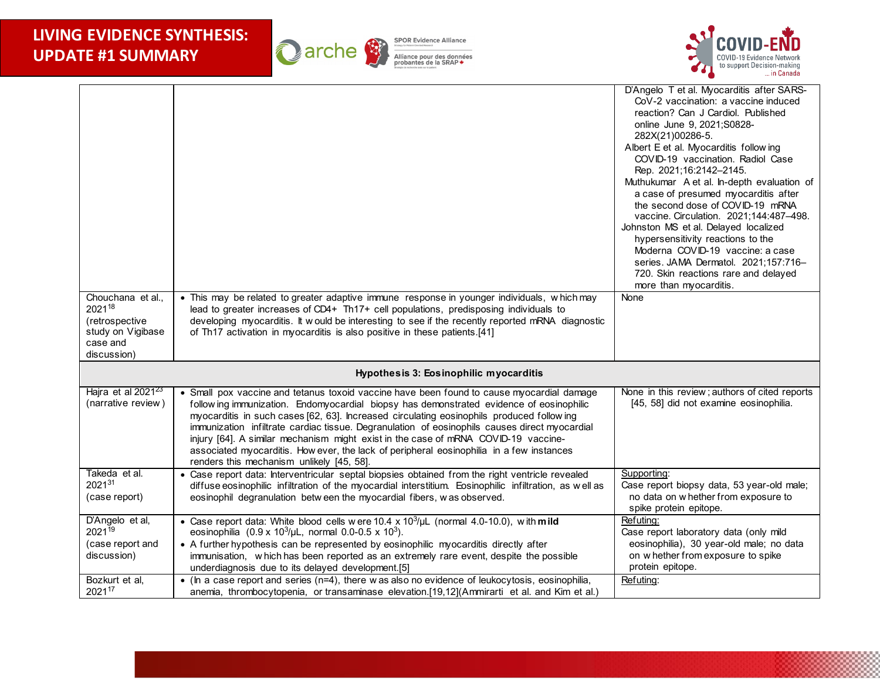

**SPOR Evidence Alliance** Alliance pour des données<br>probantes de la SRAP +



| Chouchana et al.,                                                        | • This may be related to greater adaptive immune response in younger individuals, which may                                                                                                                                                                                                                                                                                                                                                                                                                                                                                                                      | D'Angelo T et al. Myocarditis after SARS-<br>CoV-2 vaccination: a vaccine induced<br>reaction? Can J Cardiol. Published<br>online June 9, 2021;S0828-<br>282X(21)00286-5.<br>Albert E et al. Myocarditis following<br>COVID-19 vaccination. Radiol Case<br>Rep. 2021;16:2142-2145.<br>Muthukumar A et al. In-depth evaluation of<br>a case of presumed myocarditis after<br>the second dose of COVID-19 mRNA<br>vaccine. Circulation. 2021;144:487-498.<br>Johnston MS et al. Delayed localized<br>hypersensitivity reactions to the<br>Moderna COVID-19 vaccine: a case<br>series. JAMA Dermatol. 2021;157:716-<br>720. Skin reactions rare and delayed<br>more than myocarditis.<br>None |
|--------------------------------------------------------------------------|------------------------------------------------------------------------------------------------------------------------------------------------------------------------------------------------------------------------------------------------------------------------------------------------------------------------------------------------------------------------------------------------------------------------------------------------------------------------------------------------------------------------------------------------------------------------------------------------------------------|--------------------------------------------------------------------------------------------------------------------------------------------------------------------------------------------------------------------------------------------------------------------------------------------------------------------------------------------------------------------------------------------------------------------------------------------------------------------------------------------------------------------------------------------------------------------------------------------------------------------------------------------------------------------------------------------|
| 202118<br>(retrospective<br>study on Vigibase<br>case and<br>discussion) | lead to greater increases of CD4+ Th17+ cell populations, predisposing individuals to<br>developing myocarditis. It would be interesting to see if the recently reported mRNA diagnostic<br>of Th17 activation in myocarditis is also positive in these patients.[41]                                                                                                                                                                                                                                                                                                                                            |                                                                                                                                                                                                                                                                                                                                                                                                                                                                                                                                                                                                                                                                                            |
|                                                                          | <b>Hypothesis 3: Eosinophilic myocarditis</b>                                                                                                                                                                                                                                                                                                                                                                                                                                                                                                                                                                    |                                                                                                                                                                                                                                                                                                                                                                                                                                                                                                                                                                                                                                                                                            |
| Hajra et al 2021 <sup>23</sup><br>(narrative review)                     | • Small pox vaccine and tetanus toxoid vaccine have been found to cause myocardial damage<br>following immunization. Endomyocardial biopsy has demonstrated evidence of eosinophilic<br>myocarditis in such cases [62, 63]. Increased circulating eosinophils produced following<br>immunization infiltrate cardiac tissue. Degranulation of eosinophils causes direct myocardial<br>injury [64]. A similar mechanism might exist in the case of mRNA COVID-19 vaccine-<br>associated myocarditis. How ever, the lack of peripheral eosinophilia in a few instances<br>renders this mechanism unlikely [45, 58]. | None in this review; authors of cited reports<br>[45, 58] did not examine eosinophilia.                                                                                                                                                                                                                                                                                                                                                                                                                                                                                                                                                                                                    |
| Takeda et al.<br>202131<br>(case report)                                 | • Case report data: Interventricular septal biopsies obtained from the right ventricle revealed<br>diffuse eosinophilic infiltration of the myocardial interstitium. Eosinophilic infiltration, as well as<br>eosinophil degranulation betw een the myocardial fibers, w as observed.                                                                                                                                                                                                                                                                                                                            | Supporting:<br>Case report biopsy data, 53 year-old male;<br>no data on w hether from exposure to<br>spike protein epitope.                                                                                                                                                                                                                                                                                                                                                                                                                                                                                                                                                                |
| D'Angelo et al,<br>$2021^{19}$<br>(case report and<br>discussion)        | • Case report data: White blood cells w ere 10.4 x $10^3$ /µL (normal 4.0-10.0), with mild<br>eosinophilia $(0.9 \times 10^3/\mu L)$ , normal 0.0-0.5 x 10 <sup>3</sup> ).<br>• A further hypothesis can be represented by eosinophilic myocarditis directly after<br>immunisation, which has been reported as an extremely rare event, despite the possible<br>underdiagnosis due to its delayed development.[5]                                                                                                                                                                                                | Refuting:<br>Case report laboratory data (only mild<br>eosinophilia), 30 year-old male; no data<br>on whether from exposure to spike<br>protein epitope.                                                                                                                                                                                                                                                                                                                                                                                                                                                                                                                                   |
| Bozkurt et al,<br>202117                                                 | • (In a case report and series (n=4), there w as also no evidence of leukocytosis, eosinophilia,<br>anemia, thrombocytopenia, or transaminase elevation.[19,12](Ammirarti et al. and Kim et al.)                                                                                                                                                                                                                                                                                                                                                                                                                 | Refuting:                                                                                                                                                                                                                                                                                                                                                                                                                                                                                                                                                                                                                                                                                  |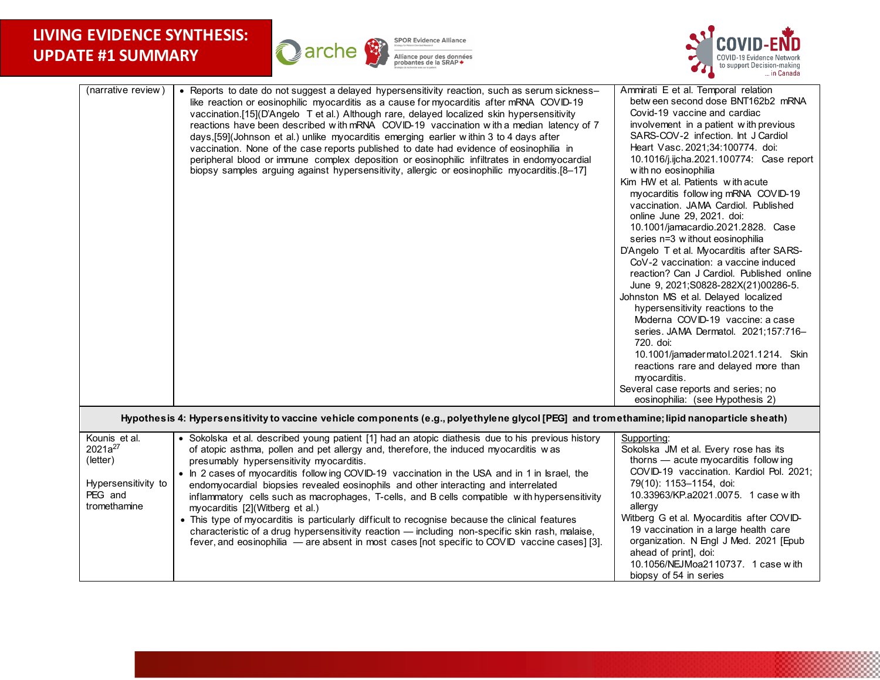

**SPOR Evidence Alliance** Alliance pour des données<br>probantes de la SRAP +



| (narrative review)                                                                          | • Reports to date do not suggest a delayed hypersensitivity reaction, such as serum sickness-<br>like reaction or eosinophilic myocarditis as a cause for myocarditis after mRNA COVID-19<br>vaccination.[15](D'Angelo T et al.) Although rare, delayed localized skin hypersensitivity<br>reactions have been described with mRNA COVID-19 vaccination with a median latency of 7<br>days, [59] (Johnson et al.) unlike myocarditis emerging earlier within 3 to 4 days after<br>vaccination. None of the case reports published to date had evidence of eosinophilia in<br>peripheral blood or immune complex deposition or eosinophilic infiltrates in endomyocardial<br>biopsy samples arguing against hypersensitivity, allergic or eosinophilic myocarditis.[8-17]                                                                                                  | Ammirati E et al. Temporal relation<br>between second dose BNT162b2 mRNA<br>Covid-19 vaccine and cardiac<br>involvement in a patient with previous<br>SARS-COV-2 infection. Int J Cardiol<br>Heart Vasc. 2021;34:100774. doi:<br>10.1016/j.ijcha.2021.100774: Case report<br>w ith no eosinophilia<br>Kim HW et al. Patients with acute<br>myocarditis following mRNA COVID-19<br>vaccination. JAMA Cardiol. Published<br>online June 29, 2021. doi:<br>10.1001/jamacardio.2021.2828. Case<br>series n=3 w ithout eosinophilia<br>D'Angelo T et al. Myocarditis after SARS-<br>CoV-2 vaccination: a vaccine induced<br>reaction? Can J Cardiol. Published online<br>June 9, 2021; S0828-282X(21) 00286-5.<br>Johnston MS et al. Delayed localized<br>hypersensitivity reactions to the<br>Moderna COVID-19 vaccine: a case<br>series. JAMA Dermatol. 2021;157:716-<br>720. doi:<br>10.1001/jamadermatol.2021.1214. Skin<br>reactions rare and delayed more than<br>myocarditis.<br>Several case reports and series; no<br>eosinophilia: (see Hypothesis 2) |
|---------------------------------------------------------------------------------------------|---------------------------------------------------------------------------------------------------------------------------------------------------------------------------------------------------------------------------------------------------------------------------------------------------------------------------------------------------------------------------------------------------------------------------------------------------------------------------------------------------------------------------------------------------------------------------------------------------------------------------------------------------------------------------------------------------------------------------------------------------------------------------------------------------------------------------------------------------------------------------|------------------------------------------------------------------------------------------------------------------------------------------------------------------------------------------------------------------------------------------------------------------------------------------------------------------------------------------------------------------------------------------------------------------------------------------------------------------------------------------------------------------------------------------------------------------------------------------------------------------------------------------------------------------------------------------------------------------------------------------------------------------------------------------------------------------------------------------------------------------------------------------------------------------------------------------------------------------------------------------------------------------------------------------------------------|
|                                                                                             | Hypothesis 4: Hypersensitivity to vaccine vehicle components (e.g., polyethylene glycol [PEG] and tromethamine; lipid nanoparticle sheath)                                                                                                                                                                                                                                                                                                                                                                                                                                                                                                                                                                                                                                                                                                                                |                                                                                                                                                                                                                                                                                                                                                                                                                                                                                                                                                                                                                                                                                                                                                                                                                                                                                                                                                                                                                                                            |
| Kounis et al.<br>$2021a^{27}$<br>(letter)<br>Hypersensitivity to<br>PEG and<br>tromethamine | • Sokolska et al. described young patient [1] had an atopic diathesis due to his previous history<br>of atopic asthma, pollen and pet allergy and, therefore, the induced myocarditis was<br>presumably hypersensitivity myocarditis.<br>• In 2 cases of myocarditis follow ing COVID-19 vaccination in the USA and in 1 in Israel, the<br>endomyocardial biopsies revealed eosinophils and other interacting and interrelated<br>inflammatory cells such as macrophages, T-cells, and B cells compatible with hypersensitivity<br>myocarditis [2](Witberg et al.)<br>• This type of myocarditis is particularly difficult to recognise because the clinical features<br>characteristic of a drug hypersensitivity reaction - including non-specific skin rash, malaise,<br>fever, and eosinophilia - are absent in most cases [not specific to COVID vaccine cases] [3]. | Supporting:<br>Sokolska JM et al. Every rose has its<br>thorns - acute myocarditis following<br>COVID-19 vaccination. Kardiol Pol. 2021;<br>79(10): 1153-1154, doi:<br>10.33963/KP.a2021.0075. 1 case with<br>allergy<br>Witberg G et al. Myocarditis after COVID-<br>19 vaccination in a large health care<br>organization. N Engl J Med. 2021 [Epub<br>ahead of print], doi:<br>10.1056/NEJMoa2110737. 1 case with<br>biopsy of 54 in series                                                                                                                                                                                                                                                                                                                                                                                                                                                                                                                                                                                                             |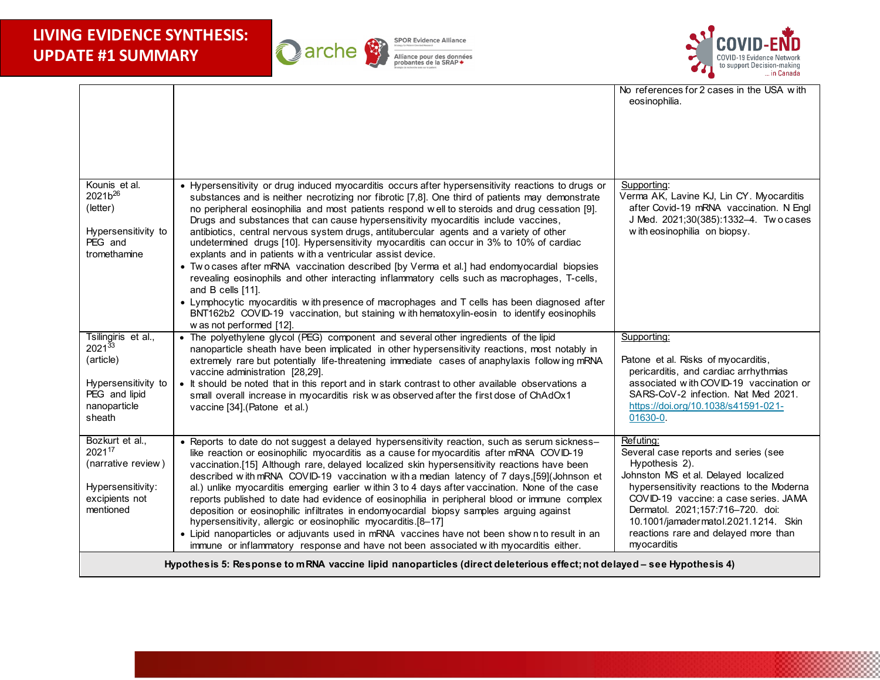





|                                                                                   |                                                                                                                                                                                                                                                                                                                                                                                                                                                                                                                                                                                                                                                                                                                                                                                                                                                                                                                                                                                                                                                                                              | No references for 2 cases in the USA with<br>eosinophilia.                                                                                                                                                                                                     |
|-----------------------------------------------------------------------------------|----------------------------------------------------------------------------------------------------------------------------------------------------------------------------------------------------------------------------------------------------------------------------------------------------------------------------------------------------------------------------------------------------------------------------------------------------------------------------------------------------------------------------------------------------------------------------------------------------------------------------------------------------------------------------------------------------------------------------------------------------------------------------------------------------------------------------------------------------------------------------------------------------------------------------------------------------------------------------------------------------------------------------------------------------------------------------------------------|----------------------------------------------------------------------------------------------------------------------------------------------------------------------------------------------------------------------------------------------------------------|
| Kounis et al.                                                                     |                                                                                                                                                                                                                                                                                                                                                                                                                                                                                                                                                                                                                                                                                                                                                                                                                                                                                                                                                                                                                                                                                              |                                                                                                                                                                                                                                                                |
| 2021b <sup>26</sup><br>(letter)<br>Hypersensitivity to<br>PEG and<br>tromethamine | • Hypersensitivity or drug induced myocarditis occurs after hypersensitivity reactions to drugs or<br>substances and is neither necrotizing nor fibrotic [7,8]. One third of patients may demonstrate<br>no peripheral eosinophilia and most patients respond well to steroids and drug cessation [9].<br>Drugs and substances that can cause hypersensitivity myocarditis include vaccines,<br>antibiotics, central nervous system drugs, antitubercular agents and a variety of other<br>undetermined drugs [10]. Hypersensitivity myocarditis can occur in 3% to 10% of cardiac<br>explants and in patients with a ventricular assist device.<br>• Two cases after mRNA vaccination described [by Verma et al.] had endomyocardial biopsies<br>revealing eosinophils and other interacting inflammatory cells such as macrophages, T-cells,<br>and B cells [11].<br>• Lymphocytic myocarditis with presence of macrophages and T cells has been diagnosed after<br>BNT162b2 COVID-19 vaccination, but staining with hematoxylin-eosin to identify eosinophils<br>w as not performed [12]. | Supporting:<br>Verma AK, Lavine KJ, Lin CY. Myocarditis<br>after Covid-19 mRNA vaccination. N Engl<br>J Med. 2021;30(385):1332-4. Two cases<br>w ith eosinophilia on biopsy.                                                                                   |
| Tsilingiris et al.,<br>$2021^{33}$                                                | • The polyethylene glycol (PEG) component and several other ingredients of the lipid<br>nanoparticle sheath have been implicated in other hypersensitivity reactions, most notably in                                                                                                                                                                                                                                                                                                                                                                                                                                                                                                                                                                                                                                                                                                                                                                                                                                                                                                        | Supporting:                                                                                                                                                                                                                                                    |
| (article)<br>Hypersensitivity to<br>PEG and lipid<br>nanoparticle<br>sheath       | extremely rare but potentially life-threatening immediate cases of anaphylaxis following mRNA<br>vaccine administration [28,29].<br>• It should be noted that in this report and in stark contrast to other available observations a<br>small overall increase in myocarditis risk w as observed after the first dose of ChAdOx1<br>vaccine [34]. (Patone et al.)                                                                                                                                                                                                                                                                                                                                                                                                                                                                                                                                                                                                                                                                                                                            | Patone et al. Risks of myocarditis,<br>pericarditis, and cardiac arrhythmias<br>associated with COVID-19 vaccination or<br>SARS-CoV-2 infection. Nat Med 2021.<br>https://doi.org/10.1038/s41591-021-<br>01630-0.                                              |
| Bozkurt et al.,<br>202117<br>(narrative review)                                   | • Reports to date do not suggest a delayed hypersensitivity reaction, such as serum sickness-<br>like reaction or eosinophilic myocarditis as a cause for myocarditis after mRNA COVID-19<br>vaccination.[15] Although rare, delayed localized skin hypersensitivity reactions have been                                                                                                                                                                                                                                                                                                                                                                                                                                                                                                                                                                                                                                                                                                                                                                                                     | Refuting:<br>Several case reports and series (see<br>Hypothesis 2).                                                                                                                                                                                            |
| Hypersensitivity:<br>excipients not<br>mentioned                                  | described with mRNA COVID-19 vaccination with a median latency of 7 days, [59] (Johnson et<br>al.) unlike myocarditis emerging earlier within 3 to 4 days after vaccination. None of the case<br>reports published to date had evidence of eosinophilia in peripheral blood or immune complex<br>deposition or eosinophilic infiltrates in endomyocardial biopsy samples arguing against<br>hypersensitivity, allergic or eosinophilic myocarditis.[8-17]<br>• Lipid nanoparticles or adjuvants used in mRNA vaccines have not been show n to result in an<br>immune or inflammatory response and have not been associated with myocarditis either.                                                                                                                                                                                                                                                                                                                                                                                                                                          | Johnston MS et al. Delayed localized<br>hypersensitivity reactions to the Moderna<br>COVID-19 vaccine: a case series, JAMA<br>Dermatol. 2021;157:716-720. doi:<br>10.1001/jamader matol.2021.1214. Skin<br>reactions rare and delayed more than<br>myocarditis |
|                                                                                   |                                                                                                                                                                                                                                                                                                                                                                                                                                                                                                                                                                                                                                                                                                                                                                                                                                                                                                                                                                                                                                                                                              |                                                                                                                                                                                                                                                                |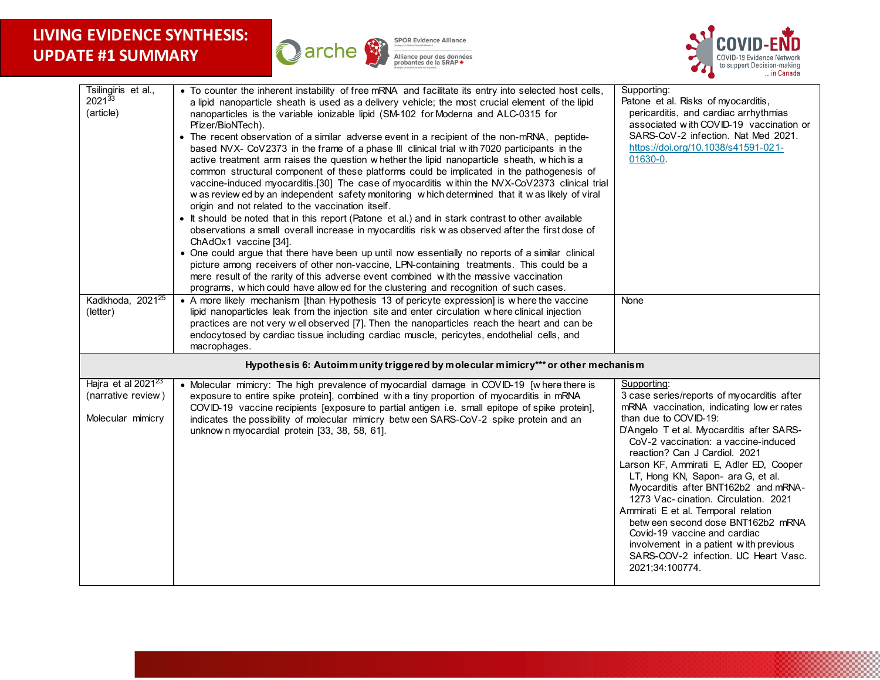





| Tsilingiris et al.,            | • To counter the inherent instability of free mRNA and facilitate its entry into selected host cells, | Supporting:                                              |
|--------------------------------|-------------------------------------------------------------------------------------------------------|----------------------------------------------------------|
| $2021^{33}$                    | a lipid nanoparticle sheath is used as a delivery vehicle; the most crucial element of the lipid      | Patone et al. Risks of myocarditis,                      |
| (article)                      | nanoparticles is the variable ionizable lipid (SM-102 for Moderna and ALC-0315 for                    | pericarditis, and cardiac arrhythmias                    |
|                                | Pfizer/BioNTech).                                                                                     | associated with COVID-19 vaccination or                  |
|                                | • The recent observation of a similar adverse event in a recipient of the non-mRNA, peptide-          | SARS-CoV-2 infection. Nat Med 2021.                      |
|                                | based NVX- CoV2373 in the frame of a phase III clinical trial with 7020 participants in the           | https://doi.org/10.1038/s41591-021-                      |
|                                | active treatment arm raises the question w hether the lipid nanoparticle sheath, w hich is a          | 01630-0                                                  |
|                                | common structural component of these platforms could be implicated in the pathogenesis of             |                                                          |
|                                | vaccine-induced myocarditis.[30] The case of myocarditis within the NVX-CoV2373 clinical trial        |                                                          |
|                                | w as review ed by an independent safety monitoring which determined that it was likely of viral       |                                                          |
|                                | origin and not related to the vaccination itself.                                                     |                                                          |
|                                | • It should be noted that in this report (Patone et al.) and in stark contrast to other available     |                                                          |
|                                | observations a small overall increase in myocarditis risk w as observed after the first dose of       |                                                          |
|                                | ChAdOx1 vaccine [34].                                                                                 |                                                          |
|                                | • One could argue that there have been up until now essentially no reports of a similar clinical      |                                                          |
|                                | picture among receivers of other non-vaccine, LPN-containing treatments. This could be a              |                                                          |
|                                | mere result of the rarity of this adverse event combined with the massive vaccination                 |                                                          |
|                                | programs, which could have allowed for the clustering and recognition of such cases.                  |                                                          |
| Kadkhoda, 2021 <sup>25</sup>   | • A more likely mechanism [than Hypothesis 13 of pericyte expression] is where the vaccine            | None                                                     |
| (letter)                       | lipid nanoparticles leak from the injection site and enter circulation where clinical injection       |                                                          |
|                                | practices are not very well observed [7]. Then the nanoparticles reach the heart and can be           |                                                          |
|                                | endocytosed by cardiac tissue including cardiac muscle, pericytes, endothelial cells, and             |                                                          |
|                                | macrophages.                                                                                          |                                                          |
|                                |                                                                                                       |                                                          |
|                                | Hypothesis 6: Autoimmunity triggered by molecular mimicry*** or other mechanism                       |                                                          |
| Hajra et al 2021 <sup>23</sup> | • Molecular mimicry: The high prevalence of myocardial damage in COVID-19 [w here there is            | Supporting:                                              |
| (narrative review)             | exposure to entire spike protein], combined with a tiny proportion of myocarditis in mRNA             | 3 case series/reports of myocarditis after               |
|                                | COVID-19 vaccine recipients [exposure to partial antigen i.e. small epitope of spike protein],        | mRNA vaccination, indicating low er rates                |
| Molecular mimicry              | indicates the possibility of molecular mimicry between SARS-CoV-2 spike protein and an                | than due to COVID-19:                                    |
|                                | unknown myocardial protein [33, 38, 58, 61].                                                          | D'Angelo T et al. Myocarditis after SARS-                |
|                                |                                                                                                       | CoV-2 vaccination: a vaccine-induced                     |
|                                |                                                                                                       | reaction? Can J Cardiol. 2021                            |
|                                |                                                                                                       | Larson KF, Ammirati E, Adler ED, Cooper                  |
|                                |                                                                                                       | LT, Hong KN, Sapon- ara G, et al.                        |
|                                |                                                                                                       | Myocarditis after BNT162b2 and mRNA-                     |
|                                |                                                                                                       | 1273 Vac-cination. Circulation. 2021                     |
|                                |                                                                                                       | Ammirati E et al. Temporal relation                      |
|                                |                                                                                                       | between second dose BNT162b2 mRNA                        |
|                                |                                                                                                       | Covid-19 vaccine and cardiac                             |
|                                |                                                                                                       | involvement in a patient with previous                   |
|                                |                                                                                                       | SARS-COV-2 infection. IJC Heart Vasc.<br>2021;34:100774. |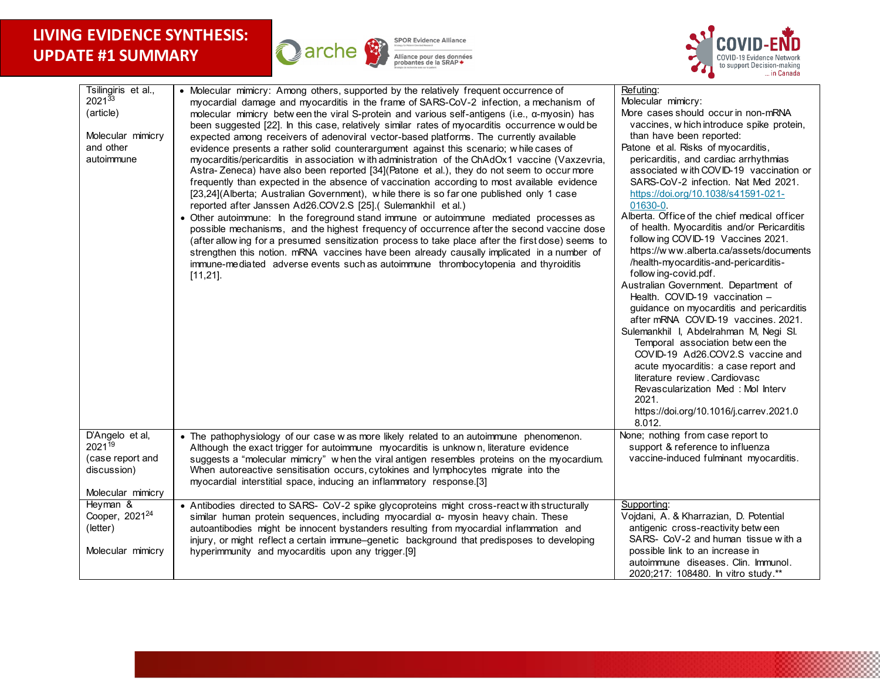





| Tsilingiris et al.,<br>$2021^{33}$<br>(article)<br>Molecular mimicry<br>and other<br>autoimmune | • Molecular mimicry: Among others, supported by the relatively frequent occurrence of<br>myocardial damage and myocarditis in the frame of SARS-CoV-2 infection, a mechanism of<br>molecular mimicry between the viral S-protein and various self-antigens (i.e., $\alpha$ -myosin) has<br>been suggested [22]. In this case, relatively similar rates of myocarditis occurrence would be<br>expected among receivers of adenoviral vector-based platforms. The currently available<br>evidence presents a rather solid counterargument against this scenario; while cases of<br>myocarditis/pericarditis in association with administration of the ChAdOx1 vaccine (Vaxzevria,<br>Astra-Zeneca) have also been reported [34](Patone et al.), they do not seem to occur more<br>frequently than expected in the absence of vaccination according to most available evidence<br>[23,24](Alberta; Australian Government), while there is so far one published only 1 case<br>reported after Janssen Ad26.COV2.S [25].( Sulemankhil et al.)<br>• Other autoimmune: In the foreground stand immune or autoimmune mediated processes as<br>possible mechanisms, and the highest frequency of occurrence after the second vaccine dose<br>(after allow ing for a presumed sensitization process to take place after the first dose) seems to<br>strengthen this notion. mRNA vaccines have been already causally implicated in a number of<br>immune-mediated adverse events such as autoimmune thrombocytopenia and thyroiditis<br>$[11, 21]$ . | Refuting:<br>Molecular mimicry:<br>More cases should occur in non-mRNA<br>vaccines, w hich introduce spike protein,<br>than have been reported:<br>Patone et al. Risks of myocarditis,<br>pericarditis, and cardiac arrhythmias<br>associated with COVID-19 vaccination or<br>SARS-CoV-2 infection. Nat Med 2021.<br>https://doi.org/10.1038/s41591-021-<br>01630-0.<br>Alberta. Office of the chief medical officer<br>of health. Myocarditis and/or Pericarditis<br>following COVID-19 Vaccines 2021.<br>https://www.alberta.ca/assets/documents<br>/health-myocarditis-and-pericarditis-<br>follow ing-covid.pdf.<br>Australian Government. Department of<br>Health. COVID-19 vaccination -<br>guidance on myocarditis and pericarditis<br>after mRNA COVID-19 vaccines. 2021.<br>Sulemankhil I, Abdelrahman M, Negi SI.<br>Temporal association between the<br>COVID-19 Ad26.COV2.S vaccine and<br>acute myocarditis: a case report and<br>literature review. Cardiovasc<br>Revascularization Med: Mol Interv<br>2021.<br>https://doi.org/10.1016/j.carrev.2021.0<br>8.012. |
|-------------------------------------------------------------------------------------------------|--------------------------------------------------------------------------------------------------------------------------------------------------------------------------------------------------------------------------------------------------------------------------------------------------------------------------------------------------------------------------------------------------------------------------------------------------------------------------------------------------------------------------------------------------------------------------------------------------------------------------------------------------------------------------------------------------------------------------------------------------------------------------------------------------------------------------------------------------------------------------------------------------------------------------------------------------------------------------------------------------------------------------------------------------------------------------------------------------------------------------------------------------------------------------------------------------------------------------------------------------------------------------------------------------------------------------------------------------------------------------------------------------------------------------------------------------------------------------------------------------------------------------------------------|---------------------------------------------------------------------------------------------------------------------------------------------------------------------------------------------------------------------------------------------------------------------------------------------------------------------------------------------------------------------------------------------------------------------------------------------------------------------------------------------------------------------------------------------------------------------------------------------------------------------------------------------------------------------------------------------------------------------------------------------------------------------------------------------------------------------------------------------------------------------------------------------------------------------------------------------------------------------------------------------------------------------------------------------------------------------------------|
| D'Angelo et al,<br>2021 <sup>19</sup><br>(case report and<br>discussion)                        | • The pathophysiology of our case w as more likely related to an autoimmune phenomenon.<br>Although the exact trigger for autoimmune myocarditis is unknown, literature evidence<br>suggests a "molecular mimicry" w hen the viral antigen resembles proteins on the myocardium.<br>When autoreactive sensitisation occurs, cytokines and lymphocytes migrate into the<br>myocardial interstitial space, inducing an inflammatory response.[3]                                                                                                                                                                                                                                                                                                                                                                                                                                                                                                                                                                                                                                                                                                                                                                                                                                                                                                                                                                                                                                                                                             | None; nothing from case report to<br>support & reference to influenza<br>vaccine-induced fulminant myocarditis.                                                                                                                                                                                                                                                                                                                                                                                                                                                                                                                                                                                                                                                                                                                                                                                                                                                                                                                                                                 |
| Molecular mimicry<br>Heyman &<br>Cooper, 2021 <sup>24</sup><br>(letter)<br>Molecular mimicry    | • Antibodies directed to SARS- CoV-2 spike glycoproteins might cross-react with structurally<br>similar human protein sequences, including myocardial a- myosin heavy chain. These<br>autoantibodies might be innocent bystanders resulting from myocardial inflammation and<br>injury, or might reflect a certain immune-genetic background that predisposes to developing<br>hyperimmunity and myocarditis upon any trigger.[9]                                                                                                                                                                                                                                                                                                                                                                                                                                                                                                                                                                                                                                                                                                                                                                                                                                                                                                                                                                                                                                                                                                          | Supporting:<br>Vojdani, A. & Kharrazian, D. Potential<br>antigenic cross-reactivity between<br>SARS- CoV-2 and human tissue with a<br>possible link to an increase in<br>autoimmune diseases. Clin. Immunol.<br>2020;217: 108480. In vitro study.**                                                                                                                                                                                                                                                                                                                                                                                                                                                                                                                                                                                                                                                                                                                                                                                                                             |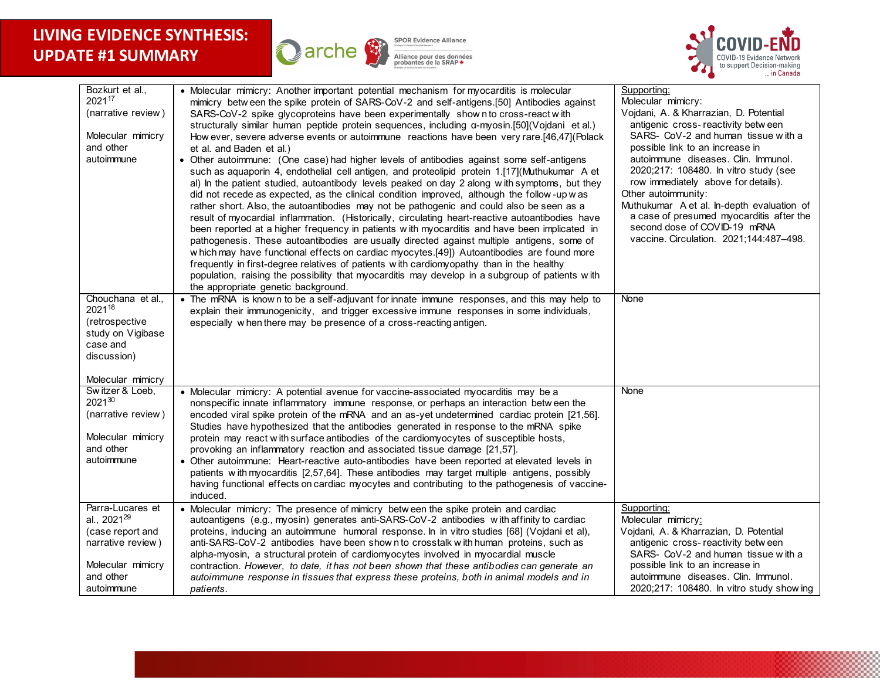





| Bozkurt et al.,<br>202117<br>(narrative review)<br>Molecular mimicry<br>and other<br>autoimmune                                      | • Molecular mimicry: Another important potential mechanism for myocarditis is molecular<br>mimicry betw een the spike protein of SARS-CoV-2 and self-antigens.[50] Antibodies against<br>SARS-CoV-2 spike glycoproteins have been experimentally show n to cross-react with<br>structurally similar human peptide protein sequences, including α-myosin.[50](Vojdani et al.)<br>How ever, severe adverse events or autoimmune reactions have been very rare.[46,47](Polack<br>et al. and Baden et al.)<br>• Other autoimmune: (One case) had higher levels of antibodies against some self-antigens<br>such as aquaporin 4, endothelial cell antigen, and proteolipid protein 1.[17](Muthukumar A et<br>al) In the patient studied, autoantibody levels peaked on day 2 along with symptoms, but they<br>did not recede as expected, as the clinical condition improved, although the follow-up w as<br>rather short. Also, the autoantibodies may not be pathogenic and could also be seen as a<br>result of myocardial inflammation. (Historically, circulating heart-reactive autoantibodies have<br>been reported at a higher frequency in patients with myocarditis and have been implicated in<br>pathogenesis. These autoantibodies are usually directed against multiple antigens, some of<br>w hich may have functional effects on cardiac myocytes.[49]) Autoantibodies are found more<br>frequently in first-degree relatives of patients with cardiomyopathy than in the healthy<br>population, raising the possibility that myocarditis may develop in a subgroup of patients with<br>the appropriate genetic background. | Supporting:<br>Molecular mimicry:<br>Vojdani, A. & Kharrazian, D. Potential<br>antigenic cross-reactivity between<br>SARS- CoV-2 and human tissue with a<br>possible link to an increase in<br>autoimmune diseases. Clin. Immunol.<br>2020;217: 108480. In vitro study (see<br>row immediately above for details).<br>Other autoimmunity:<br>Muthukumar A et al. In-depth evaluation of<br>a case of presumed myocarditis after the<br>second dose of COVID-19 mRNA<br>vaccine. Circulation. 2021;144:487-498. |
|--------------------------------------------------------------------------------------------------------------------------------------|----------------------------------------------------------------------------------------------------------------------------------------------------------------------------------------------------------------------------------------------------------------------------------------------------------------------------------------------------------------------------------------------------------------------------------------------------------------------------------------------------------------------------------------------------------------------------------------------------------------------------------------------------------------------------------------------------------------------------------------------------------------------------------------------------------------------------------------------------------------------------------------------------------------------------------------------------------------------------------------------------------------------------------------------------------------------------------------------------------------------------------------------------------------------------------------------------------------------------------------------------------------------------------------------------------------------------------------------------------------------------------------------------------------------------------------------------------------------------------------------------------------------------------------------------------------------------------------------------------------------------------------|----------------------------------------------------------------------------------------------------------------------------------------------------------------------------------------------------------------------------------------------------------------------------------------------------------------------------------------------------------------------------------------------------------------------------------------------------------------------------------------------------------------|
| Chouchana et al.,<br>202118<br>(retrospective<br>study on Vigibase<br>case and<br>discussion)<br>Molecular mimicry                   | • The mRNA is known to be a self-adjuvant for innate immune responses, and this may help to<br>explain their immunogenicity, and trigger excessive immune responses in some individuals,<br>especially when there may be presence of a cross-reacting antigen.                                                                                                                                                                                                                                                                                                                                                                                                                                                                                                                                                                                                                                                                                                                                                                                                                                                                                                                                                                                                                                                                                                                                                                                                                                                                                                                                                                         | None                                                                                                                                                                                                                                                                                                                                                                                                                                                                                                           |
| Switzer & Loeb,<br>202130<br>(narrative review)<br>Molecular mimicry<br>and other<br>autoimmune                                      | • Molecular mimicry: A potential avenue for vaccine-associated myocarditis may be a<br>nonspecific innate inflammatory immune response, or perhaps an interaction between the<br>encoded viral spike protein of the mRNA and an as-yet undetermined cardiac protein [21,56].<br>Studies have hypothesized that the antibodies generated in response to the mRNA spike<br>protein may react with surface antibodies of the cardiomyocytes of susceptible hosts,<br>provoking an inflammatory reaction and associated tissue damage [21,57].<br>• Other autoimmune: Heart-reactive auto-antibodies have been reported at elevated levels in<br>patients with myocarditis [2,57,64]. These antibodies may target multiple antigens, possibly<br>having functional effects on cardiac myocytes and contributing to the pathogenesis of vaccine-<br>induced.                                                                                                                                                                                                                                                                                                                                                                                                                                                                                                                                                                                                                                                                                                                                                                                | None                                                                                                                                                                                                                                                                                                                                                                                                                                                                                                           |
| Parra-Lucares et<br>al., 2021 <sup>29</sup><br>(case report and<br>narrative review)<br>Molecular mimicry<br>and other<br>autoimmune | • Molecular mimicry: The presence of mimicry between the spike protein and cardiac<br>autoantigens (e.g., myosin) generates anti-SARS-CoV-2 antibodies with affinity to cardiac<br>proteins, inducing an autoimmune humoral response. In in vitro studies [68] (Vojdani et al),<br>anti-SARS-CoV-2 antibodies have been show n to crosstalk with human proteins, such as<br>alpha-myosin, a structural protein of cardiomyocytes involved in myocardial muscle<br>contraction. However, to date, it has not been shown that these antibodies can generate an<br>autoimmune response in tissues that express these proteins, both in animal models and in<br>patients.                                                                                                                                                                                                                                                                                                                                                                                                                                                                                                                                                                                                                                                                                                                                                                                                                                                                                                                                                                  | Supporting:<br>Molecular mimicry:<br>Vojdani, A. & Kharrazian, D. Potential<br>antigenic cross-reactivity between<br>SARS- CoV-2 and human tissue with a<br>possible link to an increase in<br>autoimmune diseases. Clin. Immunol.<br>2020;217: 108480. In vitro study show ing                                                                                                                                                                                                                                |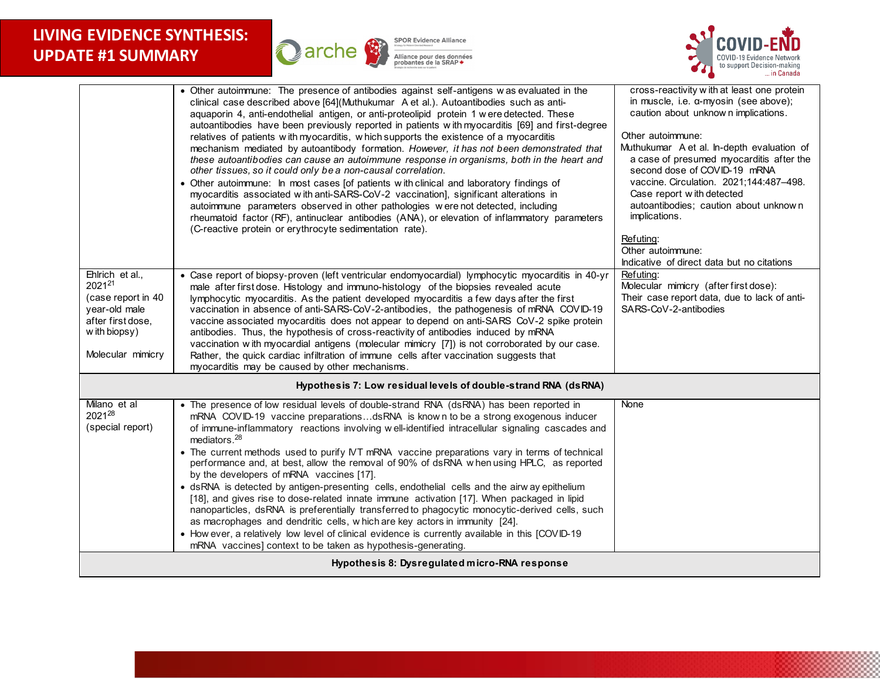





|                                                                                                                              | • Other autoimmune: The presence of antibodies against self-antigens was evaluated in the<br>clinical case described above [64](Muthukumar A et al.). Autoantibodies such as anti-                                                                                                                                                                                                                                                                                                                                                                                                                                                                                                                                                                                                                                                                                                                                                                                                                                                                                                                     | cross-reactivity with at least one protein<br>in muscle, i.e. α-myosin (see above);                                                                                                                                                                                                                                               |
|------------------------------------------------------------------------------------------------------------------------------|--------------------------------------------------------------------------------------------------------------------------------------------------------------------------------------------------------------------------------------------------------------------------------------------------------------------------------------------------------------------------------------------------------------------------------------------------------------------------------------------------------------------------------------------------------------------------------------------------------------------------------------------------------------------------------------------------------------------------------------------------------------------------------------------------------------------------------------------------------------------------------------------------------------------------------------------------------------------------------------------------------------------------------------------------------------------------------------------------------|-----------------------------------------------------------------------------------------------------------------------------------------------------------------------------------------------------------------------------------------------------------------------------------------------------------------------------------|
|                                                                                                                              | aquaporin 4, anti-endothelial antigen, or anti-proteolipid protein 1 w ere detected. These<br>autoantibodies have been previously reported in patients with myocarditis [69] and first-degree<br>relatives of patients with myocarditis, which supports the existence of a myocarditis<br>mechanism mediated by autoantibody formation. However, it has not been demonstrated that<br>these autoantibodies can cause an autoimmune response in organisms, both in the heart and<br>other tissues, so it could only be a non-causal correlation.<br>• Other autoimmune: In most cases [of patients with clinical and laboratory findings of<br>myocarditis associated with anti-SARS-CoV-2 vaccination], significant alterations in<br>autoimmune parameters observed in other pathologies were not detected, including<br>rheumatoid factor (RF), antinuclear antibodies (ANA), or elevation of inflammatory parameters<br>(C-reactive protein or erythrocyte sedimentation rate).                                                                                                                     | caution about unknown implications.<br>Other autoimmune:<br>Muthukumar A et al. In-depth evaluation of<br>a case of presumed myocarditis after the<br>second dose of COVID-19 mRNA<br>vaccine. Circulation. 2021;144:487-498.<br>Case report with detected<br>autoantibodies; caution about unknown<br>implications.<br>Refuting: |
|                                                                                                                              |                                                                                                                                                                                                                                                                                                                                                                                                                                                                                                                                                                                                                                                                                                                                                                                                                                                                                                                                                                                                                                                                                                        | Other autoimmune:<br>Indicative of direct data but no citations                                                                                                                                                                                                                                                                   |
| Ehlrich et al.,<br>202121<br>(case report in 40)<br>year-old male<br>after first dose.<br>w ith biopsy)<br>Molecular mimicry | • Case report of biopsy-proven (left ventricular endomyocardial) lymphocytic myocarditis in 40-yr<br>male after first dose. Histology and immuno-histology of the biopsies revealed acute<br>lymphocytic myocarditis. As the patient developed myocarditis a few days after the first<br>vaccination in absence of anti-SARS-CoV-2-antibodies, the pathogenesis of mRNA COVID-19<br>vaccine associated myocarditis does not appear to depend on anti-SARS CoV-2 spike protein<br>antibodies. Thus, the hypothesis of cross-reactivity of antibodies induced by mRNA<br>vaccination with myocardial antigens (molecular mimicry [7]) is not corroborated by our case.<br>Rather, the quick cardiac infiltration of immune cells after vaccination suggests that<br>myocarditis may be caused by other mechanisms.                                                                                                                                                                                                                                                                                       | Refuting:<br>Molecular mimicry (after first dose):<br>Their case report data, due to lack of anti-<br>SARS-CoV-2-antibodies                                                                                                                                                                                                       |
|                                                                                                                              | Hypothesis 7: Low residual levels of double-strand RNA (ds RNA)                                                                                                                                                                                                                                                                                                                                                                                                                                                                                                                                                                                                                                                                                                                                                                                                                                                                                                                                                                                                                                        |                                                                                                                                                                                                                                                                                                                                   |
| Milano et al<br>202128<br>(special report)                                                                                   | • The presence of low residual levels of double-strand RNA (dsRNA) has been reported in<br>mRNA COVID-19 vaccine preparationsdsRNA is known to be a strong exogenous inducer<br>of immune-inflammatory reactions involving well-identified intracellular signaling cascades and<br>mediators. <sup>28</sup><br>• The current methods used to purify IVT mRNA vaccine preparations vary in terms of technical<br>performance and, at best, allow the removal of 90% of dsRNA when using HPLC, as reported<br>by the developers of mRNA vaccines [17].<br>• dsRNA is detected by antigen-presenting cells, endothelial cells and the airway epithelium<br>[18], and gives rise to dose-related innate immune activation [17]. When packaged in lipid<br>nanoparticles, dsRNA is preferentially transferred to phagocytic monocytic-derived cells, such<br>as macrophages and dendritic cells, which are key actors in immunity [24].<br>• How ever, a relatively low level of clinical evidence is currently available in this [COVID-19<br>mRNA vaccines] context to be taken as hypothesis-generating. | None                                                                                                                                                                                                                                                                                                                              |
| Hypothesis 8: Dysregulated micro-RNA response                                                                                |                                                                                                                                                                                                                                                                                                                                                                                                                                                                                                                                                                                                                                                                                                                                                                                                                                                                                                                                                                                                                                                                                                        |                                                                                                                                                                                                                                                                                                                                   |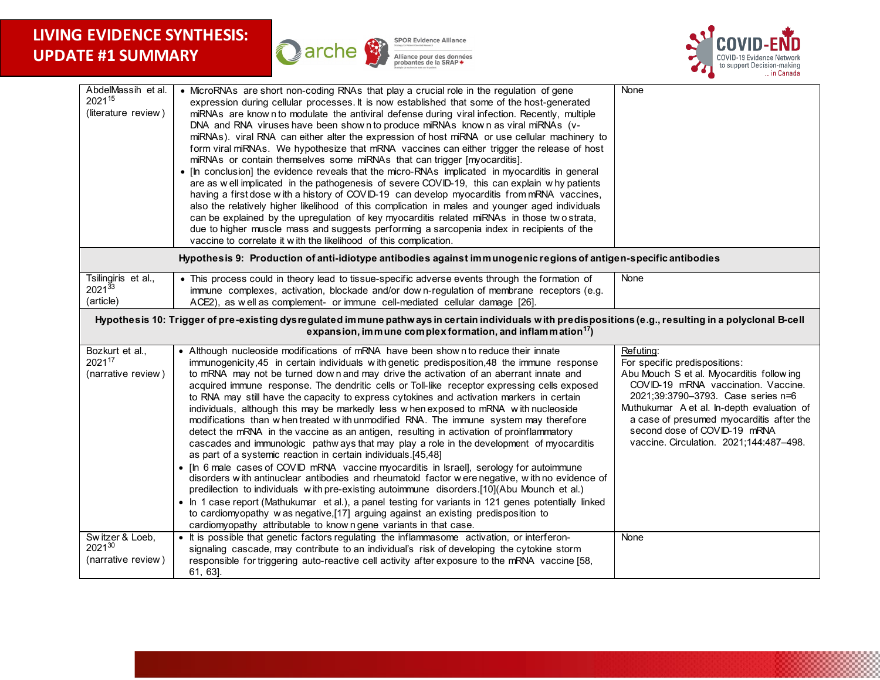





| AbdelMassih et al.<br>2021 <sup>15</sup><br>(literature review)                                                                                                                                                                  | • MicroRNAs are short non-coding RNAs that play a crucial role in the regulation of gene<br>expression during cellular processes. It is now established that some of the host-generated<br>miRNAs are know n to modulate the antiviral defense during viral infection. Recently, multiple<br>DNA and RNA viruses have been shown to produce miRNAs known as viral miRNAs (v-<br>miRNAs). viral RNA can either alter the expression of host miRNA or use cellular machinery to<br>form viral miRNAs. We hypothesize that mRNA vaccines can either trigger the release of host<br>miRNAs or contain themselves some miRNAs that can trigger [myocarditis].<br>• [In conclusion] the evidence reveals that the micro-RNAs implicated in myocarditis in general<br>are as well implicated in the pathogenesis of severe COVID-19, this can explain why patients<br>having a first dose with a history of COVID-19 can develop myocarditis from mRNA vaccines,<br>also the relatively higher likelihood of this complication in males and younger aged individuals<br>can be explained by the upregulation of key myocarditis related miRNAs in those two strata,<br>due to higher muscle mass and suggests performing a sarcopenia index in recipients of the<br>vaccine to correlate it with the likelihood of this complication.                                                                                                                                                                                                                                                  | None                                                                                                                                                                                                                                                                                                                                             |
|----------------------------------------------------------------------------------------------------------------------------------------------------------------------------------------------------------------------------------|---------------------------------------------------------------------------------------------------------------------------------------------------------------------------------------------------------------------------------------------------------------------------------------------------------------------------------------------------------------------------------------------------------------------------------------------------------------------------------------------------------------------------------------------------------------------------------------------------------------------------------------------------------------------------------------------------------------------------------------------------------------------------------------------------------------------------------------------------------------------------------------------------------------------------------------------------------------------------------------------------------------------------------------------------------------------------------------------------------------------------------------------------------------------------------------------------------------------------------------------------------------------------------------------------------------------------------------------------------------------------------------------------------------------------------------------------------------------------------------------------------------------------------------------------------------------------------|--------------------------------------------------------------------------------------------------------------------------------------------------------------------------------------------------------------------------------------------------------------------------------------------------------------------------------------------------|
| Hypothesis 9: Production of anti-idiotype antibodies against immunogenic regions of antigen-specific antibodies                                                                                                                  |                                                                                                                                                                                                                                                                                                                                                                                                                                                                                                                                                                                                                                                                                                                                                                                                                                                                                                                                                                                                                                                                                                                                                                                                                                                                                                                                                                                                                                                                                                                                                                                 |                                                                                                                                                                                                                                                                                                                                                  |
| Tsilingiris et al.,<br>$2021^{33}$<br>(article)                                                                                                                                                                                  | • This process could in theory lead to tissue-specific adverse events through the formation of<br>immune complexes, activation, blockade and/or down-regulation of membrane receptors (e.g.<br>ACE2), as well as complement- or immune cell-mediated cellular damage [26].                                                                                                                                                                                                                                                                                                                                                                                                                                                                                                                                                                                                                                                                                                                                                                                                                                                                                                                                                                                                                                                                                                                                                                                                                                                                                                      | None                                                                                                                                                                                                                                                                                                                                             |
| Hypothesis 10: Trigger of pre-existing dysregulated immune pathways in certain individuals with predispositions (e.g., resulting in a polyclonal B-cell<br>expansion, immune complex formation, and inflammation <sup>17</sup> ) |                                                                                                                                                                                                                                                                                                                                                                                                                                                                                                                                                                                                                                                                                                                                                                                                                                                                                                                                                                                                                                                                                                                                                                                                                                                                                                                                                                                                                                                                                                                                                                                 |                                                                                                                                                                                                                                                                                                                                                  |
| Bozkurt et al.,<br>202117<br>(narrative review)<br>Switzer & Loeb,                                                                                                                                                               | Although nucleoside modifications of mRNA have been show n to reduce their innate<br>immunogenicity,45 in certain individuals with genetic predisposition,48 the immune response<br>to mRNA may not be turned down and may drive the activation of an aberrant innate and<br>acquired immune response. The dendritic cells or Toll-like receptor expressing cells exposed<br>to RNA may still have the capacity to express cytokines and activation markers in certain<br>individuals, although this may be markedly less w hen exposed to mRNA with nucleoside<br>modifications than when treated with unmodified RNA. The immune system may therefore<br>detect the mRNA in the vaccine as an antigen, resulting in activation of proinflammatory<br>cascades and immunologic pathways that may play a role in the development of myocarditis<br>as part of a systemic reaction in certain individuals.[45,48]<br>• [In 6 male cases of COVID mRNA vaccine myocarditis in Israel], serology for autoimmune<br>disorders with antinuclear antibodies and rheumatoid factor were negative, with no evidence of<br>predilection to individuals with pre-existing autoimmune disorders.[10](Abu Mounch et al.)<br>• In 1 case report (Mathukumar et al.), a panel testing for variants in 121 genes potentially linked<br>to cardiomyopathy was negative, [17] arguing against an existing predisposition to<br>cardiomyopathy attributable to know n gene variants in that case.<br>• It is possible that genetic factors regulating the inflammasome activation, or interferon- | Refuting:<br>For specific predispositions:<br>Abu Mouch S et al. Myocarditis following<br>COVID-19 mRNA vaccination. Vaccine.<br>2021;39:3790-3793. Case series n=6<br>Muthukumar A et al. In-depth evaluation of<br>a case of presumed myocarditis after the<br>second dose of COVID-19 mRNA<br>vaccine. Circulation. 2021;144:487-498.<br>None |
| 202130<br>(narrative review)                                                                                                                                                                                                     | signaling cascade, may contribute to an individual's risk of developing the cytokine storm<br>responsible for triggering auto-reactive cell activity after exposure to the mRNA vaccine [58,<br>61, 63].                                                                                                                                                                                                                                                                                                                                                                                                                                                                                                                                                                                                                                                                                                                                                                                                                                                                                                                                                                                                                                                                                                                                                                                                                                                                                                                                                                        |                                                                                                                                                                                                                                                                                                                                                  |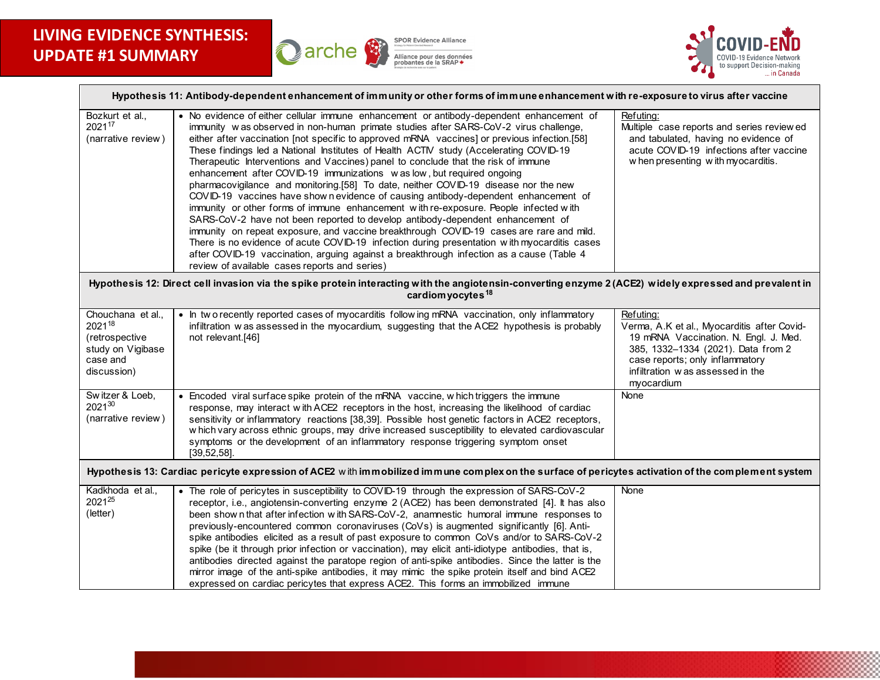



| Hypothesis 11: Antibody-dependent enhancement of immunity or other forms of immune enhancement with re-exposure to virus after vaccine                                                   |                                                                                                                                                                                                                                                                                                                                                                                                                                                                                                                                                                                                                                                                                                                                                                                                                                                                                                                                                                                                                                                                                                                                                                                                                                         |                                                                                                                                                                                                                              |
|------------------------------------------------------------------------------------------------------------------------------------------------------------------------------------------|-----------------------------------------------------------------------------------------------------------------------------------------------------------------------------------------------------------------------------------------------------------------------------------------------------------------------------------------------------------------------------------------------------------------------------------------------------------------------------------------------------------------------------------------------------------------------------------------------------------------------------------------------------------------------------------------------------------------------------------------------------------------------------------------------------------------------------------------------------------------------------------------------------------------------------------------------------------------------------------------------------------------------------------------------------------------------------------------------------------------------------------------------------------------------------------------------------------------------------------------|------------------------------------------------------------------------------------------------------------------------------------------------------------------------------------------------------------------------------|
| Bozkurt et al.,<br>202117<br>(narrative review)                                                                                                                                          | • No evidence of either cellular immune enhancement or antibody-dependent enhancement of<br>immunity was observed in non-human primate studies after SARS-CoV-2 virus challenge,<br>either after vaccination [not specific to approved mRNA vaccines] or previous infection.[58]<br>These findings led a National Institutes of Health ACTIV study (Accelerating COVID-19<br>Therapeutic Interventions and Vaccines) panel to conclude that the risk of immune<br>enhancement after COVID-19 immunizations was low, but required ongoing<br>pharmacovigilance and monitoring.[58] To date, neither COVID-19 disease nor the new<br>COVID-19 vaccines have show n evidence of causing antibody-dependent enhancement of<br>immunity or other forms of immune enhancement with re-exposure. People infected with<br>SARS-CoV-2 have not been reported to develop antibody-dependent enhancement of<br>immunity on repeat exposure, and vaccine breakthrough COVID-19 cases are rare and mild.<br>There is no evidence of acute COVID-19 infection during presentation with myocarditis cases<br>after COVID-19 vaccination, arguing against a breakthrough infection as a cause (Table 4<br>review of available cases reports and series) | Refuting:<br>Multiple case reports and series review ed<br>and tabulated, having no evidence of<br>acute COVID-19 infections after vaccine<br>when presenting with myocarditis.                                              |
| Hypothesis 12: Direct cell invasion via the spike protein interacting with the angiotensin-converting enzyme 2 (ACE2) widely expressed and prevalent in<br>cardiom yocytes <sup>18</sup> |                                                                                                                                                                                                                                                                                                                                                                                                                                                                                                                                                                                                                                                                                                                                                                                                                                                                                                                                                                                                                                                                                                                                                                                                                                         |                                                                                                                                                                                                                              |
| Chouchana et al.,<br>202118<br>(retrospective<br>study on Vigibase<br>case and<br>discussion)                                                                                            | • In two recently reported cases of myocarditis following mRNA vaccination, only inflammatory<br>infiltration was assessed in the myocardium, suggesting that the ACE2 hypothesis is probably<br>not relevant.[46]                                                                                                                                                                                                                                                                                                                                                                                                                                                                                                                                                                                                                                                                                                                                                                                                                                                                                                                                                                                                                      | Refuting:<br>Verma, A.K et al., Myocarditis after Covid-<br>19 mRNA Vaccination. N. Engl. J. Med.<br>385, 1332-1334 (2021). Data from 2<br>case reports; only inflammatory<br>infiltration was assessed in the<br>myocardium |
| Switzer & Loeb,<br>202130<br>(narrative review)                                                                                                                                          | • Encoded viral surface spike protein of the mRNA vaccine, which triggers the immune<br>response, may interact with ACE2 receptors in the host, increasing the likelihood of cardiac<br>sensitivity or inflammatory reactions [38,39]. Possible host genetic factors in ACE2 receptors,<br>w hich vary across ethnic groups, may drive increased susceptibility to elevated cardiovascular<br>symptoms or the development of an inflammatory response triggering symptom onset<br>$[39, 52, 58]$ .                                                                                                                                                                                                                                                                                                                                                                                                                                                                                                                                                                                                                                                                                                                                      | None                                                                                                                                                                                                                         |
| Hypothesis 13: Cardiac pericyte expression of ACE2 with immobilized immune complex on the surface of pericytes activation of the complement system                                       |                                                                                                                                                                                                                                                                                                                                                                                                                                                                                                                                                                                                                                                                                                                                                                                                                                                                                                                                                                                                                                                                                                                                                                                                                                         |                                                                                                                                                                                                                              |
| Kadkhoda et al.,<br>202125<br>(letter)                                                                                                                                                   | • The role of pericytes in susceptibility to COVID-19 through the expression of SARS-CoV-2<br>receptor, i.e., angiotensin-converting enzyme 2 (ACE2) has been demonstrated [4]. It has also<br>been show n that after infection w ith SARS-CoV-2, anamnestic humoral immune responses to<br>previously-encountered common coronaviruses (CoVs) is augmented significantly [6]. Anti-<br>spike antibodies elicited as a result of past exposure to common CoVs and/or to SARS-CoV-2<br>spike (be it through prior infection or vaccination), may elicit anti-idiotype antibodies, that is,<br>antibodies directed against the paratope region of anti-spike antibodies. Since the latter is the<br>mirror image of the anti-spike antibodies, it may mimic the spike protein itself and bind ACE2<br>expressed on cardiac pericytes that express ACE2. This forms an immobilized immune                                                                                                                                                                                                                                                                                                                                                  | None                                                                                                                                                                                                                         |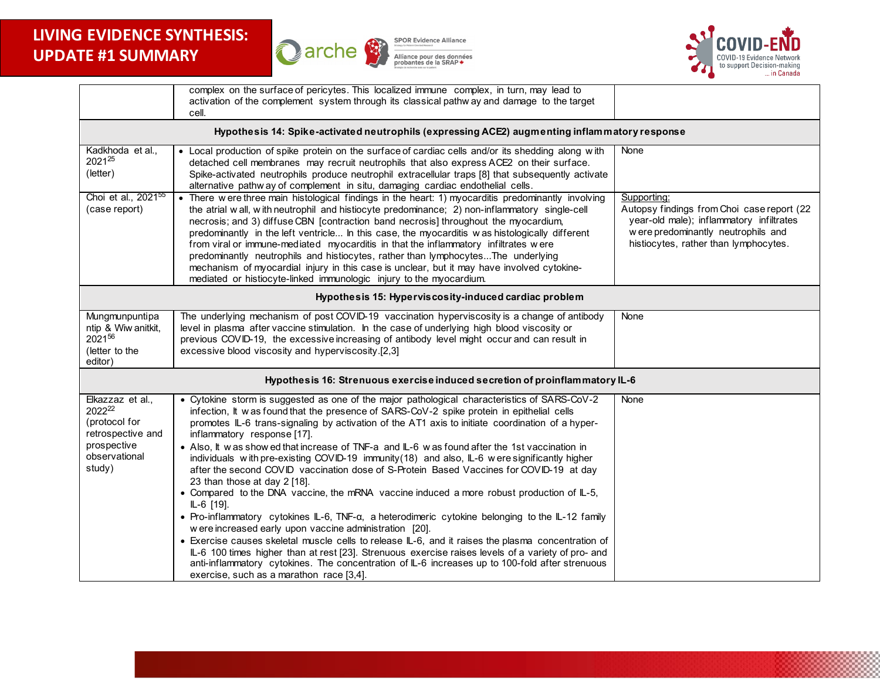



|                                                                                                            | complex on the surface of pericytes. This localized immune complex, in turn, may lead to<br>activation of the complement system through its classical pathway and damage to the target<br>cell.                                                                                                                                                                                                                                                                                                                                                                                                                                                                                                                                                                                                                                                                                                                                                                                                                                                                                                                                                                                                                                                                                               |                                                                                                                                                                                       |  |
|------------------------------------------------------------------------------------------------------------|-----------------------------------------------------------------------------------------------------------------------------------------------------------------------------------------------------------------------------------------------------------------------------------------------------------------------------------------------------------------------------------------------------------------------------------------------------------------------------------------------------------------------------------------------------------------------------------------------------------------------------------------------------------------------------------------------------------------------------------------------------------------------------------------------------------------------------------------------------------------------------------------------------------------------------------------------------------------------------------------------------------------------------------------------------------------------------------------------------------------------------------------------------------------------------------------------------------------------------------------------------------------------------------------------|---------------------------------------------------------------------------------------------------------------------------------------------------------------------------------------|--|
|                                                                                                            | Hypothesis 14: Spike-activated neutrophils (expressing ACE2) augmenting inflammatory response                                                                                                                                                                                                                                                                                                                                                                                                                                                                                                                                                                                                                                                                                                                                                                                                                                                                                                                                                                                                                                                                                                                                                                                                 |                                                                                                                                                                                       |  |
| Kadkhoda et al.,<br>202125<br>(letter)                                                                     | • Local production of spike protein on the surface of cardiac cells and/or its shedding along with<br>detached cell membranes may recruit neutrophils that also express ACE2 on their surface.<br>Spike-activated neutrophils produce neutrophil extracellular traps [8] that subsequently activate<br>alternative pathw ay of complement in situ, damaging cardiac endothelial cells.                                                                                                                                                                                                                                                                                                                                                                                                                                                                                                                                                                                                                                                                                                                                                                                                                                                                                                        | None                                                                                                                                                                                  |  |
| Choi et al., 2021 <sup>55</sup><br>(case report)                                                           | • There were three main histological findings in the heart: 1) myocarditis predominantly involving<br>the atrial wall, with neutrophil and histiocyte predominance; 2) non-inflammatory single-cell<br>necrosis; and 3) diffuse CBN [contraction band necrosis] throughout the myocardium,<br>predominantly in the left ventricle In this case, the myocarditis was histologically different<br>from viral or immune-mediated myocarditis in that the inflammatory infiltrates were<br>predominantly neutrophils and histiocytes, rather than lymphocytesThe underlying<br>mechanism of myocardial injury in this case is unclear, but it may have involved cytokine-<br>mediated or histiocyte-linked immunologic injury to the myocardium.                                                                                                                                                                                                                                                                                                                                                                                                                                                                                                                                                  | Supporting:<br>Autopsy findings from Choi case report (22<br>year-old male); inflammatory infiltrates<br>w ere predominantly neutrophils and<br>histiocytes, rather than lymphocytes. |  |
|                                                                                                            | Hypothesis 15: Hyperviscosity-induced cardiac problem                                                                                                                                                                                                                                                                                                                                                                                                                                                                                                                                                                                                                                                                                                                                                                                                                                                                                                                                                                                                                                                                                                                                                                                                                                         |                                                                                                                                                                                       |  |
| Mungmunpuntipa<br>ntip & Wiw anitkit,<br>202156<br>(letter to the<br>editor)                               | The underlying mechanism of post COVID-19 vaccination hyperviscosity is a change of antibody<br>level in plasma after vaccine stimulation. In the case of underlying high blood viscosity or<br>previous COVID-19, the excessive increasing of antibody level might occur and can result in<br>excessive blood viscosity and hyperviscosity.[2,3]                                                                                                                                                                                                                                                                                                                                                                                                                                                                                                                                                                                                                                                                                                                                                                                                                                                                                                                                             | None                                                                                                                                                                                  |  |
|                                                                                                            | Hypothesis 16: Strenuous exercise induced secretion of proinflam matory IL-6                                                                                                                                                                                                                                                                                                                                                                                                                                                                                                                                                                                                                                                                                                                                                                                                                                                                                                                                                                                                                                                                                                                                                                                                                  |                                                                                                                                                                                       |  |
| Elkazzaz et al.,<br>202222<br>(protocol for<br>retrospective and<br>prospective<br>observational<br>study) | • Cytokine storm is suggested as one of the major pathological characteristics of SARS-CoV-2<br>infection, It was found that the presence of SARS-CoV-2 spike protein in epithelial cells<br>promotes IL-6 trans-signaling by activation of the AT1 axis to initiate coordination of a hyper-<br>inflammatory response [17].<br>• Also, It was show ed that increase of TNF-a and IL-6 was found after the 1st vaccination in<br>individuals with pre-existing COVID-19 immunity(18) and also, IL-6 were significantly higher<br>after the second COVID vaccination dose of S-Protein Based Vaccines for COVID-19 at day<br>23 than those at day 2 [18].<br>• Compared to the DNA vaccine, the mRNA vaccine induced a more robust production of IL-5,<br>IL-6 [19].<br>• Pro-inflammatory cytokines IL-6, TNF-a, a heterodimeric cytokine belonging to the IL-12 family<br>w ere increased early upon vaccine administration [20].<br>• Exercise causes skeletal muscle cells to release IL-6, and it raises the plasma concentration of<br>IL-6 100 times higher than at rest [23]. Strenuous exercise raises levels of a variety of pro- and<br>anti-inflammatory cytokines. The concentration of IL-6 increases up to 100-fold after strenuous<br>exercise, such as a marathon race [3,4]. | None                                                                                                                                                                                  |  |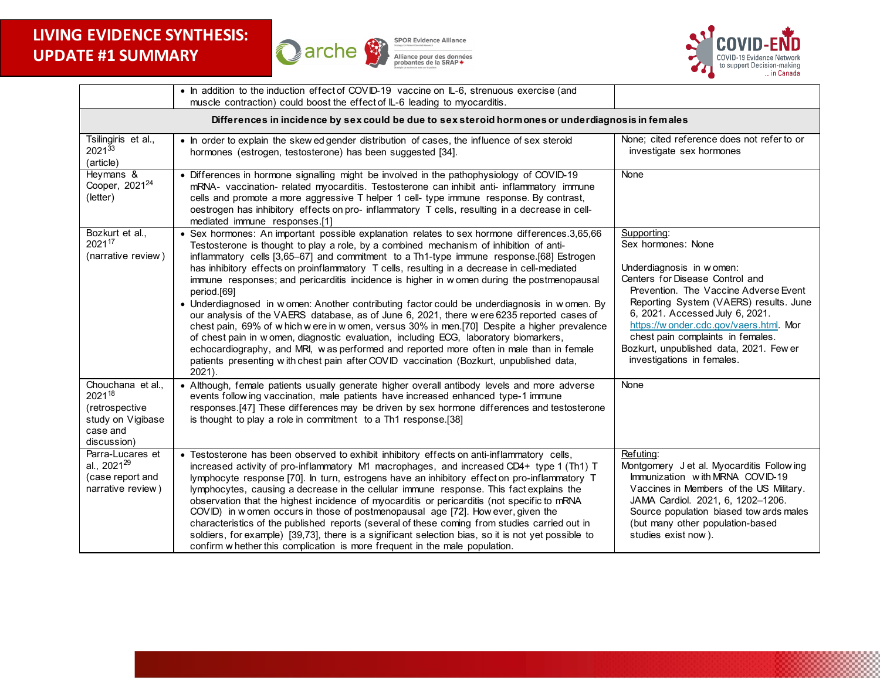



|                                                                                                   | • In addition to the induction effect of COVID-19 vaccine on IL-6, strenuous exercise (and<br>muscle contraction) could boost the effect of IL-6 leading to myocarditis.                                                                                                                                                                                                                                                                                                                                                                                                                                                                                                                                                                                                                                                                                                                                                                                                                                                                                                              |                                                                                                                                                                                                                                                                                                                                                                                 |  |
|---------------------------------------------------------------------------------------------------|---------------------------------------------------------------------------------------------------------------------------------------------------------------------------------------------------------------------------------------------------------------------------------------------------------------------------------------------------------------------------------------------------------------------------------------------------------------------------------------------------------------------------------------------------------------------------------------------------------------------------------------------------------------------------------------------------------------------------------------------------------------------------------------------------------------------------------------------------------------------------------------------------------------------------------------------------------------------------------------------------------------------------------------------------------------------------------------|---------------------------------------------------------------------------------------------------------------------------------------------------------------------------------------------------------------------------------------------------------------------------------------------------------------------------------------------------------------------------------|--|
| Differences in incidence by sex could be due to sex steroid hormones or underdiagnosis in females |                                                                                                                                                                                                                                                                                                                                                                                                                                                                                                                                                                                                                                                                                                                                                                                                                                                                                                                                                                                                                                                                                       |                                                                                                                                                                                                                                                                                                                                                                                 |  |
| Tsilingiris et al.,<br>$2021^{33}$<br>(article)                                                   | • In order to explain the skew ed gender distribution of cases, the influence of sex steroid<br>hormones (estrogen, testosterone) has been suggested [34].                                                                                                                                                                                                                                                                                                                                                                                                                                                                                                                                                                                                                                                                                                                                                                                                                                                                                                                            | None; cited reference does not refer to or<br>investigate sex hormones                                                                                                                                                                                                                                                                                                          |  |
| Heymans &<br>Cooper, 2021 <sup>24</sup><br>(letter)                                               | • Differences in hormone signalling might be involved in the pathophysiology of COVID-19<br>mRNA- vaccination- related myocarditis. Testosterone can inhibit anti- inflammatory immune<br>cells and promote a more aggressive T helper 1 cell- type immune response. By contrast,<br>oestrogen has inhibitory effects on pro- inflammatory T cells, resulting in a decrease in cell-<br>mediated immune responses.[1]                                                                                                                                                                                                                                                                                                                                                                                                                                                                                                                                                                                                                                                                 | None                                                                                                                                                                                                                                                                                                                                                                            |  |
| Bozkurt et al.,<br>202117<br>(narrative review)                                                   | • Sex hormones: An important possible explanation relates to sex hormone differences.3,65,66<br>Testosterone is thought to play a role, by a combined mechanism of inhibition of anti-<br>inflammatory cells [3,65–67] and commitment to a Th1-type immune response.[68] Estrogen<br>has inhibitory effects on proinflammatory T cells, resulting in a decrease in cell-mediated<br>immune responses; and pericarditis incidence is higher in women during the postmenopausal<br>period.[69]<br>• Underdiagnosed in w omen: Another contributing factor could be underdiagnosis in w omen. By<br>our analysis of the VAERS database, as of June 6, 2021, there were 6235 reported cases of<br>chest pain, 69% of w hich w ere in w omen, versus 30% in men.[70] Despite a higher prevalence<br>of chest pain in w omen, diagnostic evaluation, including ECG, laboratory biomarkers,<br>echocardiography, and MRI, w as performed and reported more often in male than in female<br>patients presenting with chest pain after COVID vaccination (Bozkurt, unpublished data,<br>2021). | Supporting:<br>Sex hormones: None<br>Underdiagnosis in w omen:<br>Centers for Disease Control and<br>Prevention. The Vaccine Adverse Event<br>Reporting System (VAERS) results. June<br>6, 2021. Accessed July 6, 2021.<br>https://wonder.cdc.gov/vaers.html. Mor<br>chest pain complaints in females.<br>Bozkurt, unpublished data, 2021. Few er<br>investigations in females. |  |
| Chouchana et al<br>202118<br>(retrospective<br>study on Vigibase<br>case and<br>discussion)       | • Although, female patients usually generate higher overall antibody levels and more adverse<br>events follow ing vaccination, male patients have increased enhanced type-1 immune<br>responses.[47] These differences may be driven by sex hormone differences and testosterone<br>is thought to play a role in commitment to a Th1 response.[38]                                                                                                                                                                                                                                                                                                                                                                                                                                                                                                                                                                                                                                                                                                                                    | None                                                                                                                                                                                                                                                                                                                                                                            |  |
| Parra-Lucares et<br>al., 2021 <sup>29</sup><br>(case report and<br>narrative review)              | • Testosterone has been observed to exhibit inhibitory effects on anti-inflammatory cells,<br>increased activity of pro-inflammatory M1 macrophages, and increased CD4+ type 1 (Th1) T<br>lymphocyte response [70]. In turn, estrogens have an inhibitory effect on pro-inflammatory T<br>lymphocytes, causing a decrease in the cellular immune response. This fact explains the<br>observation that the highest incidence of myocarditis or pericarditis (not specific to mRNA<br>COVID) in w omen occurs in those of postmenopausal age [72]. How ever, given the<br>characteristics of the published reports (several of these coming from studies carried out in<br>soldiers, for example) [39,73], there is a significant selection bias, so it is not yet possible to<br>confirm w hether this complication is more frequent in the male population.                                                                                                                                                                                                                           | Refutina:<br>Montgomery J et al. Myocarditis Following<br>Immunization with MRNA COVID-19<br>Vaccines in Members of the US Military.<br>JAMA Cardiol. 2021, 6, 1202-1206.<br>Source population biased tow ards males<br>(but many other population-based<br>studies exist now).                                                                                                 |  |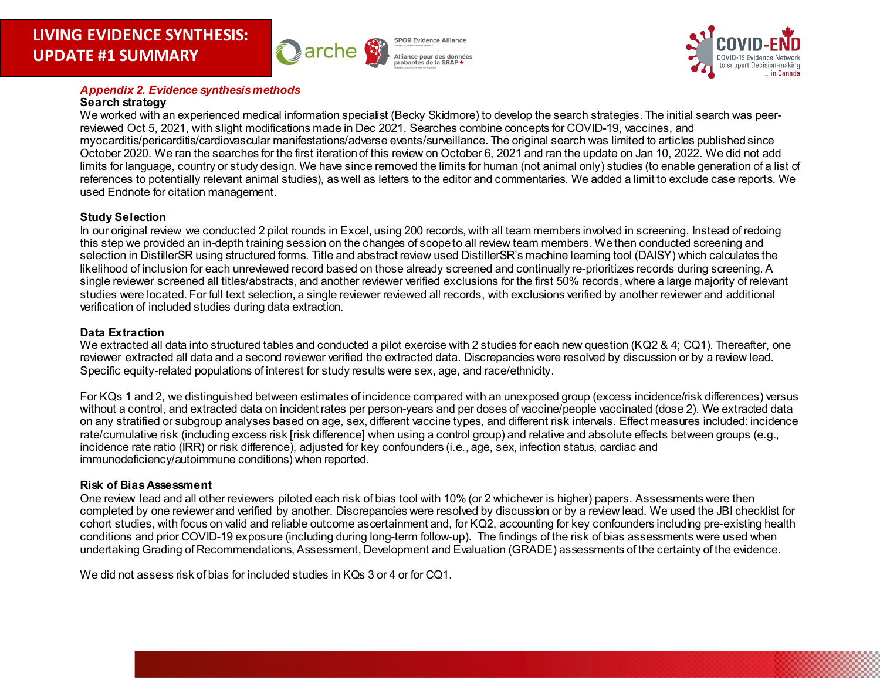



### *Appendix 2. Evidence synthesis methods*

#### **Search strategy**

We worked with an experienced medical information specialist (Becky Skidmore) to develop the search strategies. The initial search was peerreviewed Oct 5, 2021, with slight modifications made in Dec 2021. Searches combine concepts for COVID-19, vaccines, and myocarditis/pericarditis/cardiovascular manifestations/adverse events/surveillance. The original search was limited to articles published since October 2020. We ran the searches for the first iteration of this review on October 6, 2021 and ran the update on Jan 10, 2022. We did not add limits for language, country or study design. We have since removed the limits for human (not animal only) studies (to enable generation of a list of references to potentially relevant animal studies), as well as letters to the editor and commentaries. We added a limit to exclude case reports. We used Endnote for citation management.

### **Study Selection**

In our original review we conducted 2 pilot rounds in Excel, using 200 records, with all team members involved in screening. Instead of redoing this step we provided an in-depth training session on the changes of scopeto all review team members. We then conducted screening and selection in DistillerSR using structured forms. Title and abstract review used DistillerSR's machine learning tool (DAISY) which calculates the likelihood of inclusion for each unreviewed record based on those already screened and continually re-prioritizes records during screening. A single reviewer screened all titles/abstracts, and another reviewer verified exclusions for the first 50% records, where a large majority of relevant studies were located. For full text selection, a single reviewer reviewed all records, with exclusions verified by another reviewer and additional verification of included studies during data extraction.

### <span id="page-57-0"></span>**Data Extraction**

We extracted all data into structured tables and conducted a pilot exercise with 2 studies for each new question (KQ2 & 4; CQ1). Thereafter, one reviewer extracted all data and a second reviewer verified the extracted data. Discrepancies were resolved by discussion or by a review lead. Specific equity-related populations of interest for study results were sex, age, and race/ethnicity.

For KQs 1 and 2, we distinguished between estimates of incidence compared with an unexposed group (excess incidence/risk differences) versus without a control, and extracted data on incident rates per person-years and per doses of vaccine/people vaccinated (dose 2). We extracted data on any stratified or subgroup analyses based on age, sex, different vaccine types, and different risk intervals. Effect measures included: incidence rate/cumulative risk (including excess risk [risk difference] when using a control group) and relative and absolute effects between groups (e.g., incidence rate ratio (IRR) or risk difference), adjusted for key confounders (i.e., age, sex, infection status, cardiac and immunodeficiency/autoimmune conditions) when reported.

### **Risk of Bias Assessment**

One review lead and all other reviewers piloted each risk of bias tool with 10% (or 2 whichever is higher) papers. Assessments were then completed by one reviewer and verified by another. Discrepancies were resolved by discussion or by a review lead. We used the JBI checklist for cohort studies, with focus on valid and reliable outcome ascertainment and, for KQ2, accounting for key confounders including pre-existing health conditions and prior COVID-19 exposure (including during long-term follow-up). The findings of the risk of bias assessments were used when undertaking Grading of Recommendations, Assessment, Development and Evaluation (GRADE) assessments of the certainty of the evidence.

We did not assess risk of bias for included studies in KQs 3 or 4 or for CQ1.